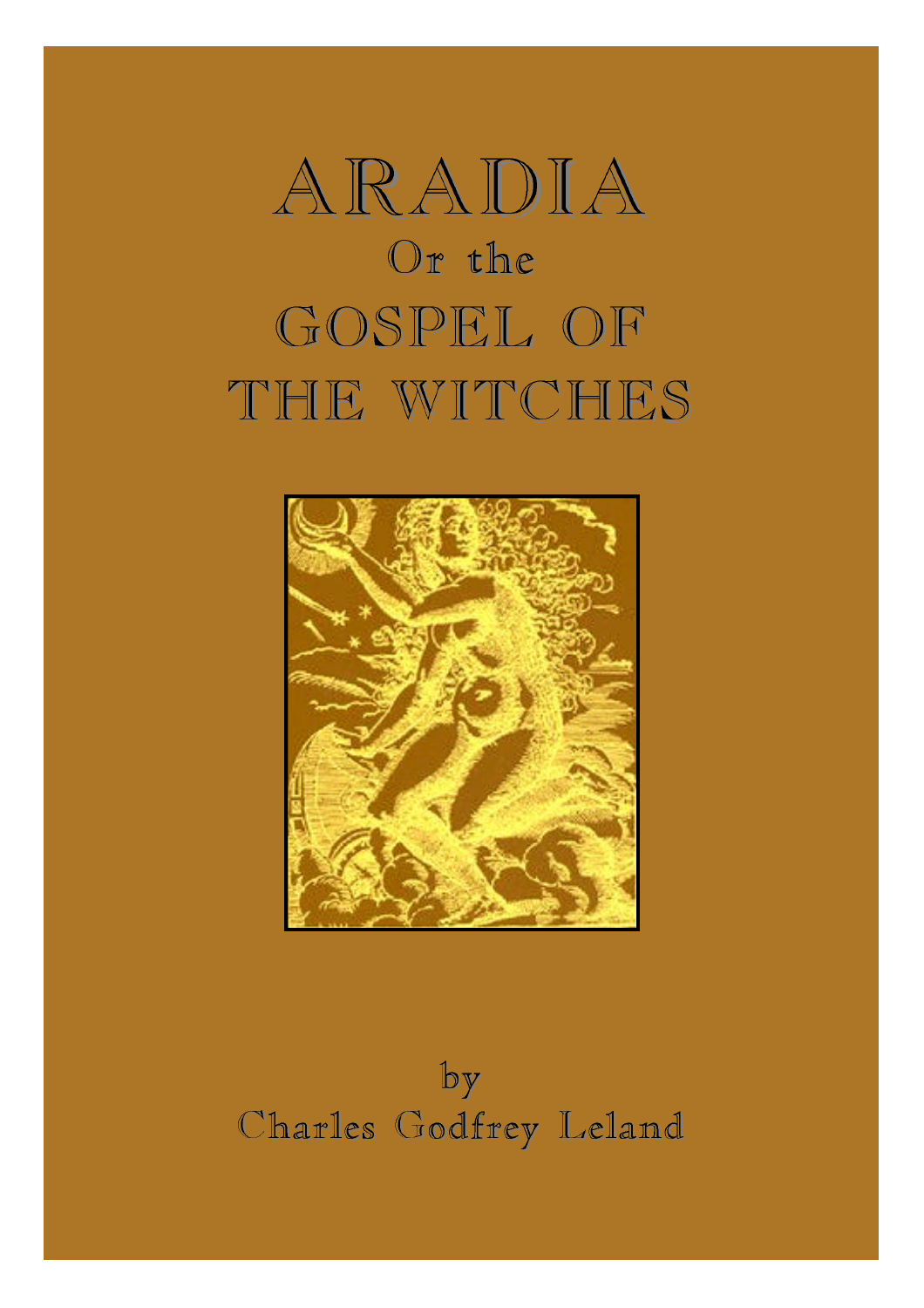



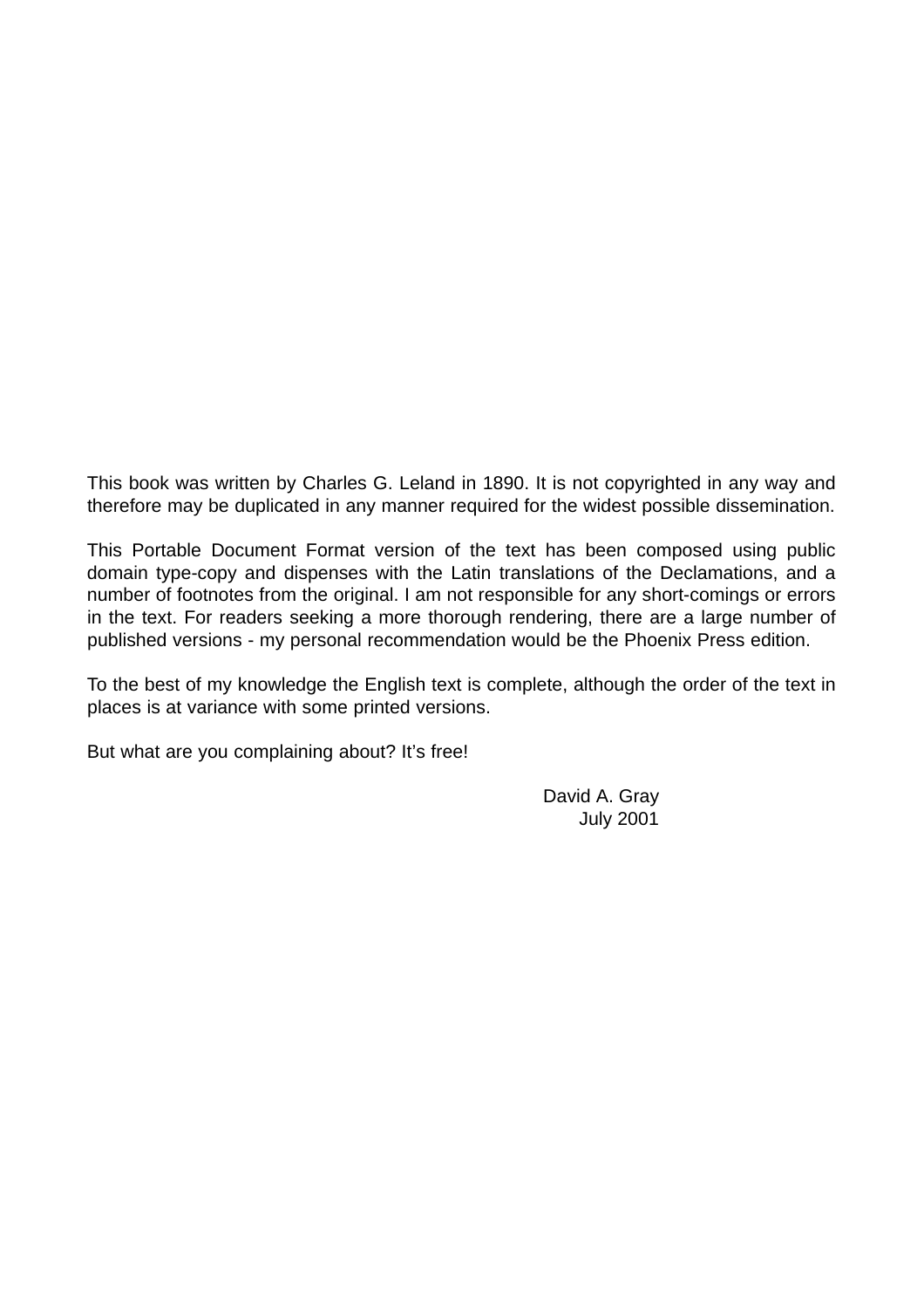This book was written by Charles G. Leland in 1890. It is not copyrighted in any way and therefore may be duplicated in any manner required for the widest possible dissemination.

This Portable Document Format version of the text has been composed using public domain type-copy and dispenses with the Latin translations of the Declamations, and a number of footnotes from the original. I am not responsible for any short-comings or errors in the text. For readers seeking a more thorough rendering, there are a large number of published versions - my personal recommendation would be the Phoenix Press edition.

To the best of my knowledge the English text is complete, although the order of the text in places is at variance with some printed versions.

But what are you complaining about? It's free!

David A. Gray July 2001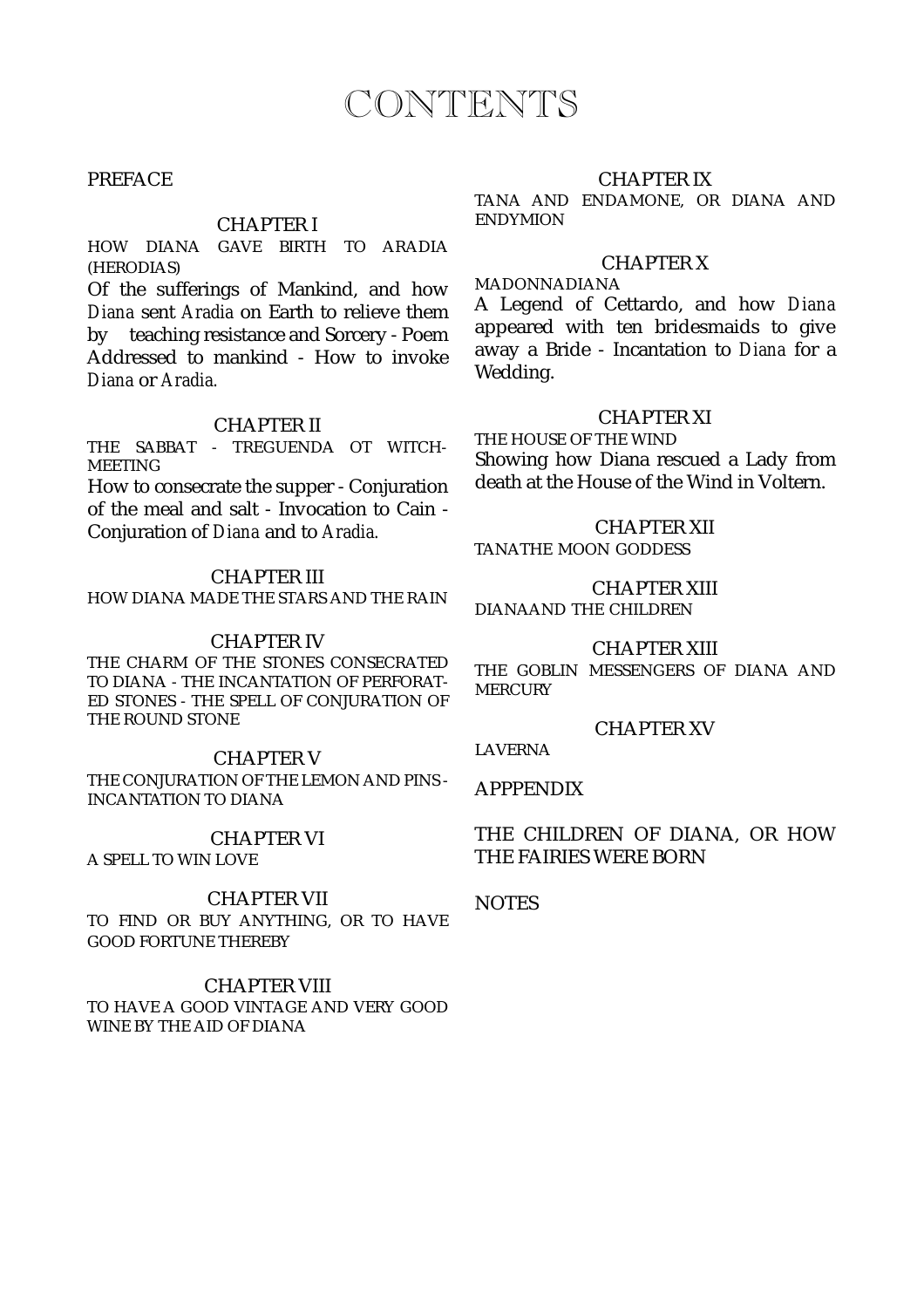### CONTENTS

#### PREFACE

#### CHAPTER I

HOW DIANA GAVE BIRTH TO ARADIA (HERODIAS)

Of the sufferings of Mankind, and how *Diana* sent *Aradia* on Earth to relieve them by teaching resistance and Sorcery - Poem Addressed to mankind - How to invoke *Diana* or *Aradia.*

#### CHAPTER II

THE SABBAT - TREGUENDA OT WITCH-**MEETING** 

How to consecrate the supper - Conjuration of the meal and salt - Invocation to Cain - Conjuration of *Diana* and to *Aradia.*

#### CHAPTER III

HOW DIANA MADE THE STARS AND THE RAIN

#### CHAPTER IV

THE CHARM OF THE STONES CONSECRATED TO DIANA - THE INCANTATION OF PERFORAT-ED STONES - THE SPELL OF CONJURATION OF THE ROUND STONE

#### CHAPTER V

THE CONJURATION OF THE LEMON AND PINS - INCANTATION TO DIANA

CHAPTER VI A SPELL TO WIN LOVE

#### CHAPTER VII

TO FIND OR BUY ANYTHING, OR TO HAVE GOOD FORTUNE THEREBY

#### CHAPTER VIII

TO HAVE A GOOD VINTAGE AND VERY GOOD WINE BY THE AID OF DIANA

#### CHAPTER IX

TANA AND ENDAMONE, OR DIANA AND **ENDYMION** 

#### CHAPTER X

#### MADONNADIANA

A Legend of Cettardo, and how Diana appeared with ten bridesmaids to give away a Bride - Incantation to *Diana* for a Wedding.

#### CHAPTER XI

THE HOUSE OF THE WIND Showing how Diana rescued a Lady from death at the House of the Wind in Voltern.

CHAPTER XII TANATHE MOON GODDESS

### CHAPTER XIII

DIANAAND THE CHILDREN

#### CHAPTER XIII

THE GOBLIN MESSENGERS OF DIANA AND **MERCURY** 

#### CHAPTER XV

LAVERNA

APPPENDIX

#### THE CHILDREN OF DIANA, OR HOW THE FAIRIES WERE BORN

**NOTES**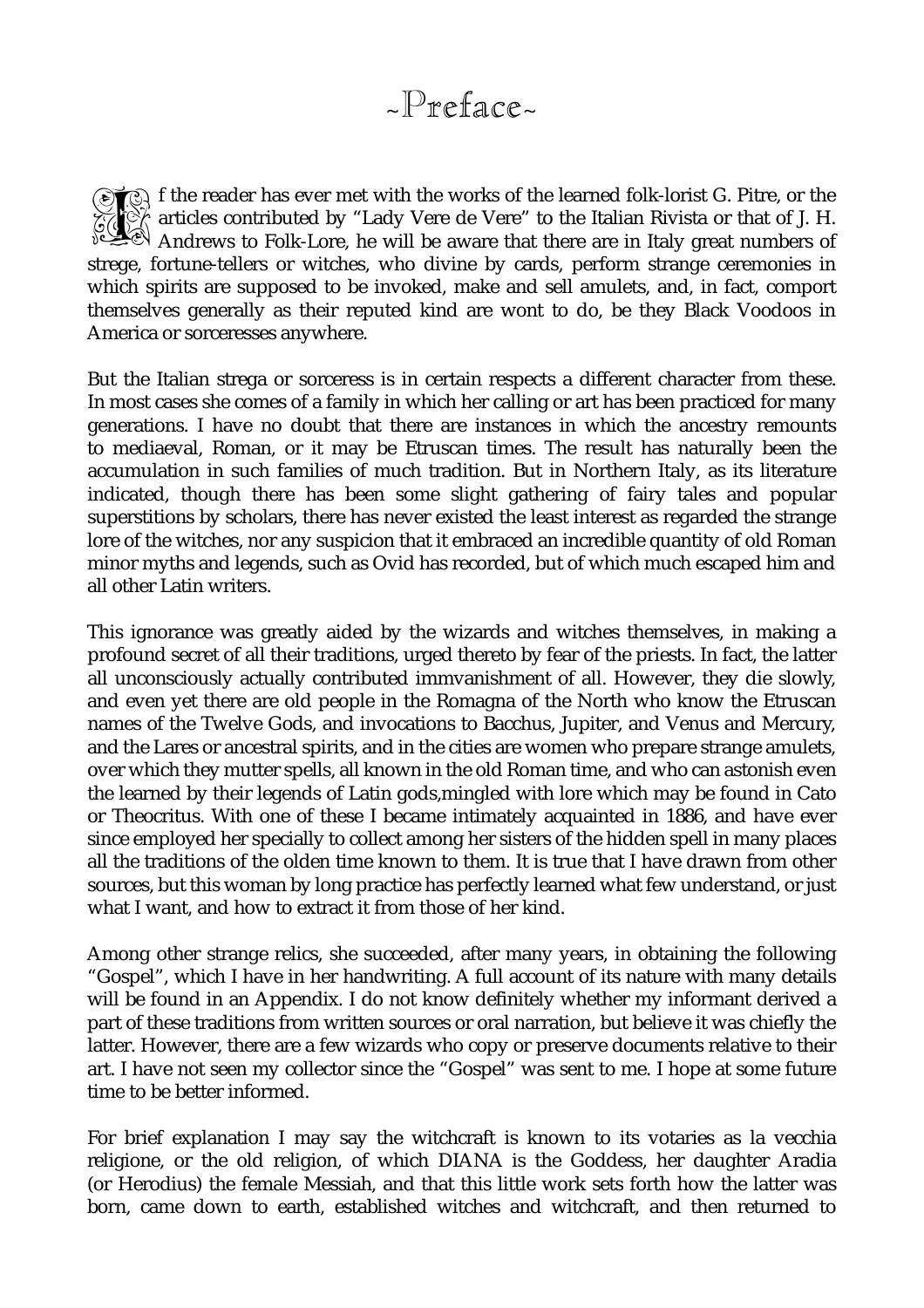$~\sim$ Preface~

II f the reader has ever met with the works of the learned folk-lorist G. Pitre, or the  $\frac{1}{2}$  articles contributed by "Lady Vere de Vere" to the Italian Rivista or that of J. H.<br>Andrews to Folk-Lore, he will be aware t  $\frac{1}{2}$  articles contributed by "Lady Vere de Vere" to the Italian Rivista or that of J. H.  $\textcircled{A}$  Andrews to Folk-Lore, he will be aware that there are in Italy great numbers of strege, fortune-tellers or witches, who divine by cards, perform strange ceremonies in which spirits are supposed to be invoked, make and sell amulets, and, in fact, comport themselves generally as their reputed kind are wont to do, be they Black Voodoos in America or sorceresses anywhere.

But the Italian strega or sorceress is in certain respects a different character from these. In most cases she comes of a family in which her calling or art has been practiced for many generations. I have no doubt that there are instances in which the ancestry remounts to mediaeval, Roman, or it may be Etruscan times. The result has naturally been the accumulation in such families of much tradition. But in Northern Italy, as its literature indicated, though there has been some slight gathering of fairy tales and popular superstitions by scholars, there has never existed the least interest as regarded the strange lore of the witches, nor any suspicion that it embraced an incredible quantity of old Roman minor myths and legends, such as Ovid has recorded, but of which much escaped him and all other Latin writers.

This ignorance was greatly aided by the wizards and witches themselves, in making a profound secret of all their traditions, urged thereto by fear of the priests. In fact, the latter all unconsciously actually contributed immvanishment of all. However, they die slowly, and even yet there are old people in the Romagna of the North who know the Etruscan names of the Twelve Gods, and invocations to Bacchus, Jupiter, and Venus and Mercury, and the Lares or ancestral spirits, and in the cities are women who prepare strange amulets, over which they mutter spells, all known in the old Roman time, and who can astonish even the learned by their legends of Latin gods,mingled with lore which may be found in Cato or Theocritus. With one of these I became intimately acquainted in 1886, and have ever since employed her specially to collect among her sisters of the hidden spell in many places all the traditions of the olden time known to them. It is true that I have drawn from other sources, but this woman by long practice has perfectly learned what few understand, or just what I want, and how to extract it from those of her kind.

Among other strange relics, she succeeded, after many years, in obtaining the following "Gospel", which I have in her handwriting. A full account of its nature with many details will be found in an Appendix. I do not know definitely whether my informant derived a part of these traditions from written sources or oral narration, but believe it was chiefly the latter. However, there are a few wizards who copy or preserve documents relative to their art. I have not seen my collector since the "Gospel" was sent to me. I hope at some future time to be better informed.

For brief explanation I may say the witchcraft is known to its votaries as la vecchia religione, or the old religion, of which DIANA is the Goddess, her daughter Aradia (or Herodius) the female Messiah, and that this little work sets forth how the latter was born, came down to earth, established witches and witchcraft, and then returned to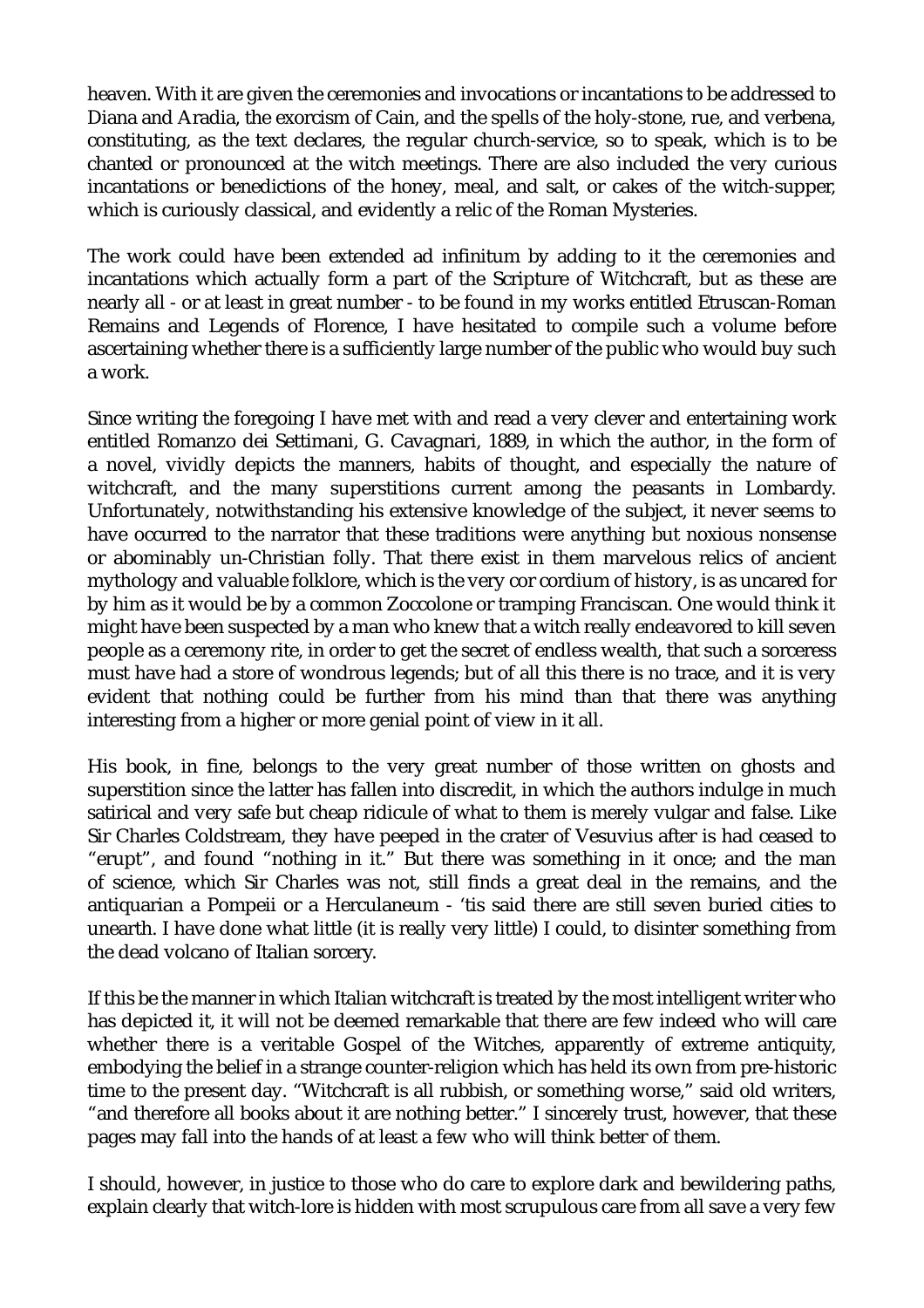heaven. With it are given the ceremonies and invocations or incantations to be addressed to Diana and Aradia, the exorcism of Cain, and the spells of the holy-stone, rue, and verbena, constituting, as the text declares, the regular church-service, so to speak, which is to be chanted or pronounced at the witch meetings. There are also included the very curious incantations or benedictions of the honey, meal, and salt, or cakes of the witch-supper, which is curiously classical, and evidently a relic of the Roman Mysteries.

The work could have been extended ad infinitum by adding to it the ceremonies and incantations which actually form a part of the Scripture of Witchcraft, but as these are nearly all - or at least in great number - to be found in my works entitled Etruscan-Roman Remains and Legends of Florence, I have hesitated to compile such a volume before ascertaining whether there is a sufficiently large number of the public who would buy such a work.

Since writing the foregoing I have met with and read a very clever and entertaining work entitled Romanzo dei Settimani, G. Cavagnari, 1889, in which the author, in the form of a novel, vividly depicts the manners, habits of thought, and especially the nature of witchcraft, and the many superstitions current among the peasants in Lombardy. Unfortunately, notwithstanding his extensive knowledge of the subject, it never seems to have occurred to the narrator that these traditions were anything but noxious nonsense or abominably un-Christian folly. That there exist in them marvelous relics of ancient mythology and valuable folklore, which is the very cor cordium of history, is as uncared for by him as it would be by a common Zoccolone or tramping Franciscan. One would think it might have been suspected by a man who knew that a witch really endeavored to kill seven people as a ceremony rite, in order to get the secret of endless wealth, that such a sorceress must have had a store of wondrous legends; but of all this there is no trace, and it is very evident that nothing could be further from his mind than that there was anything interesting from a higher or more genial point of view in it all.

His book, in fine, belongs to the very great number of those written on ghosts and superstition since the latter has fallen into discredit, in which the authors indulge in much satirical and very safe but cheap ridicule of what to them is merely vulgar and false. Like Sir Charles Coldstream, they have peeped in the crater of Vesuvius after is had ceased to "erupt", and found "nothing in it." But there was something in it once; and the man of science, which Sir Charles was not, still finds a great deal in the remains, and the antiquarian a Pompeii or a Herculaneum - 'tis said there are still seven buried cities to unearth. I have done what little (it is really very little) I could, to disinter something from the dead volcano of Italian sorcery.

If this be the manner in which Italian witchcraft is treated by the most intelligent writer who has depicted it, it will not be deemed remarkable that there are few indeed who will care whether there is a veritable Gospel of the Witches, apparently of extreme antiquity, embodying the belief in a strange counter-religion which has held its own from pre-historic time to the present day. "Witchcraft is all rubbish, or something worse," said old writers, "and therefore all books about it are nothing better." I sincerely trust, however, that these pages may fall into the hands of at least a few who will think better of them.

I should, however, in justice to those who do care to explore dark and bewildering paths, explain clearly that witch-lore is hidden with most scrupulous care from all save a very few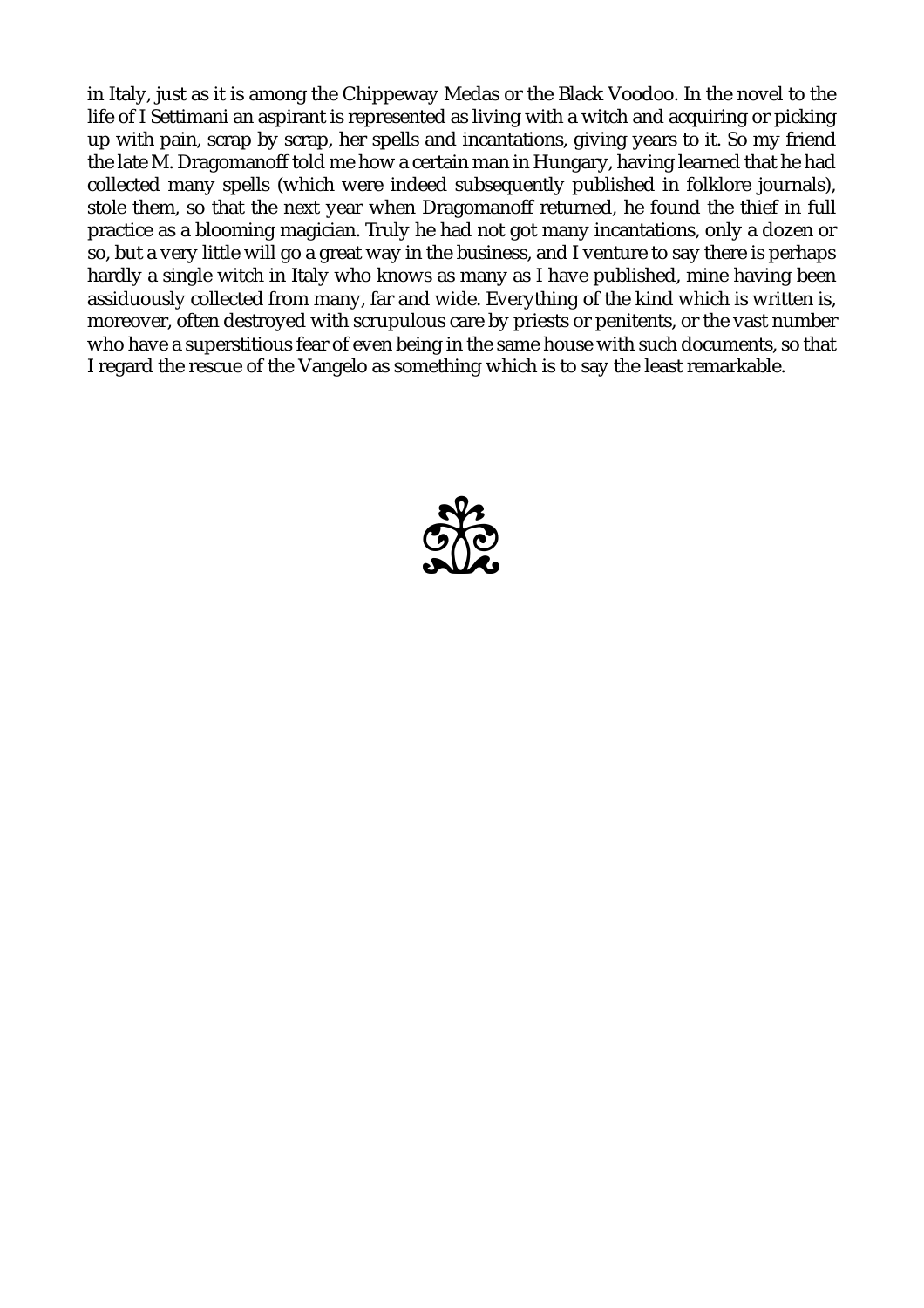in Italy, just as it is among the Chippeway Medas or the Black Voodoo. In the novel to the life of I Settimani an aspirant is represented as living with a witch and acquiring or picking up with pain, scrap by scrap, her spells and incantations, giving years to it. So my friend the late M. Dragomanoff told me how a certain man in Hungary, having learned that he had collected many spells (which were indeed subsequently published in folklore journals), stole them, so that the next year when Dragomanoff returned, he found the thief in full practice as a blooming magician. Truly he had not got many incantations, only a dozen or so, but a very little will go a great way in the business, and I venture to say there is perhaps hardly a single witch in Italy who knows as many as I have published, mine having been assiduously collected from many, far and wide. Everything of the kind which is written is, moreover, often destroyed with scrupulous care by priests or penitents, or the vast number who have a superstitious fear of even being in the same house with such documents, so that I regard the rescue of the Vangelo as something which is to say the least remarkable.

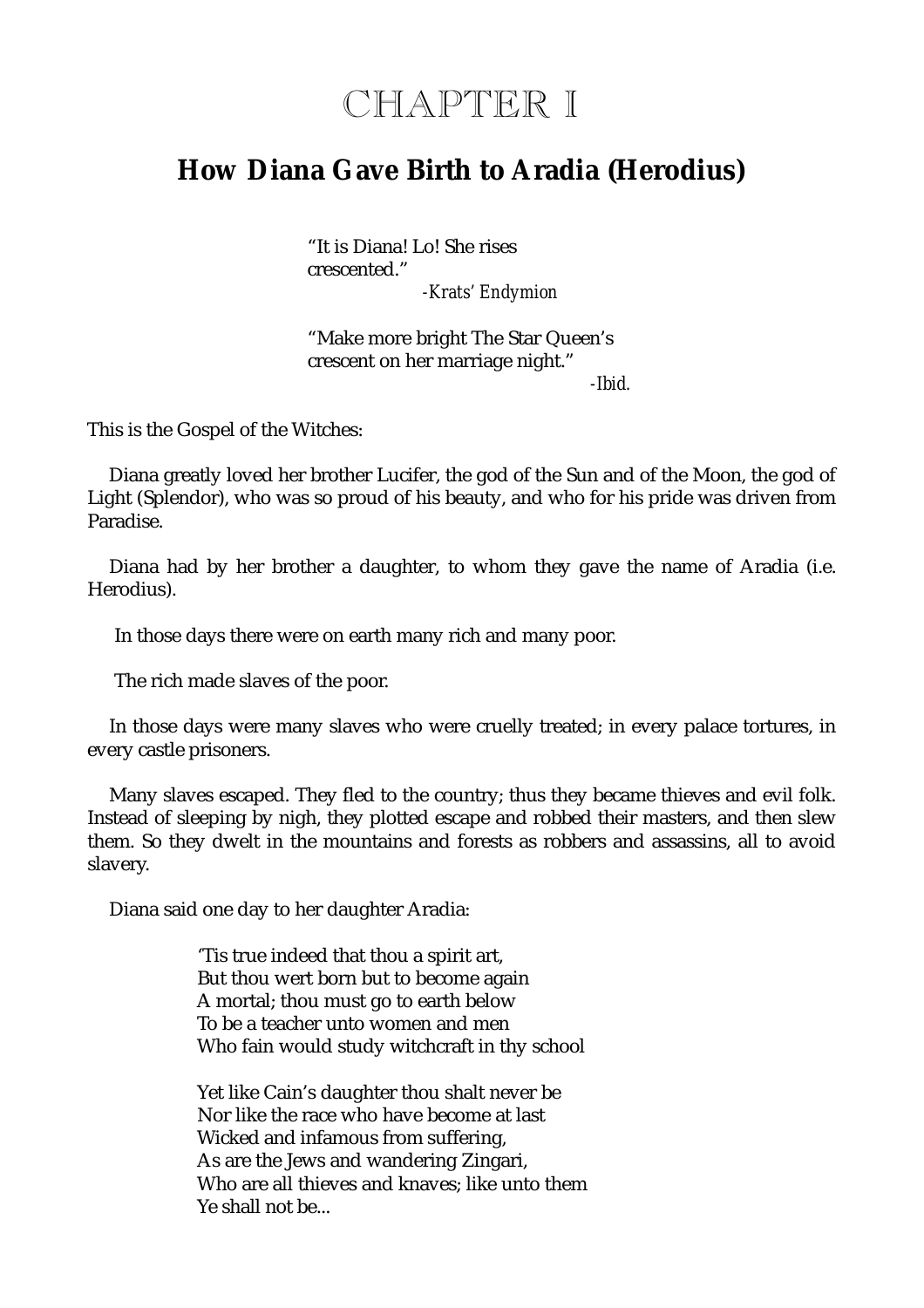## CHAPTER I

### **How Diana Gave Birth to Aradia (Herodius)**

"It is Diana! Lo! She rises crescented."

*-Krats' Endymion*

"Make more bright The Star Queen's crescent on her marriage night." *-Ibid.* 

This is the Gospel of the Witches:

Diana greatly loved her brother Lucifer, the god of the Sun and of the Moon, the god of Light (Splendor), who was so proud of his beauty, and who for his pride was driven from Paradise.

Diana had by her brother a daughter, to whom they gave the name of Aradia (i.e. Herodius).

In those days there were on earth many rich and many poor.

The rich made slaves of the poor.

In those days were many slaves who were cruelly treated; in every palace tortures, in every castle prisoners.

Many slaves escaped. They fled to the country; thus they became thieves and evil folk. Instead of sleeping by nigh, they plotted escape and robbed their masters, and then slew them. So they dwelt in the mountains and forests as robbers and assassins, all to avoid slavery.

Diana said one day to her daughter Aradia:

'Tis true indeed that thou a spirit art, But thou wert born but to become again A mortal; thou must go to earth below To be a teacher unto women and men Who fain would study witchcraft in thy school

Yet like Cain's daughter thou shalt never be Nor like the race who have become at last Wicked and infamous from suffering, As are the Jews and wandering Zingari, Who are all thieves and knaves; like unto them Ye shall not be...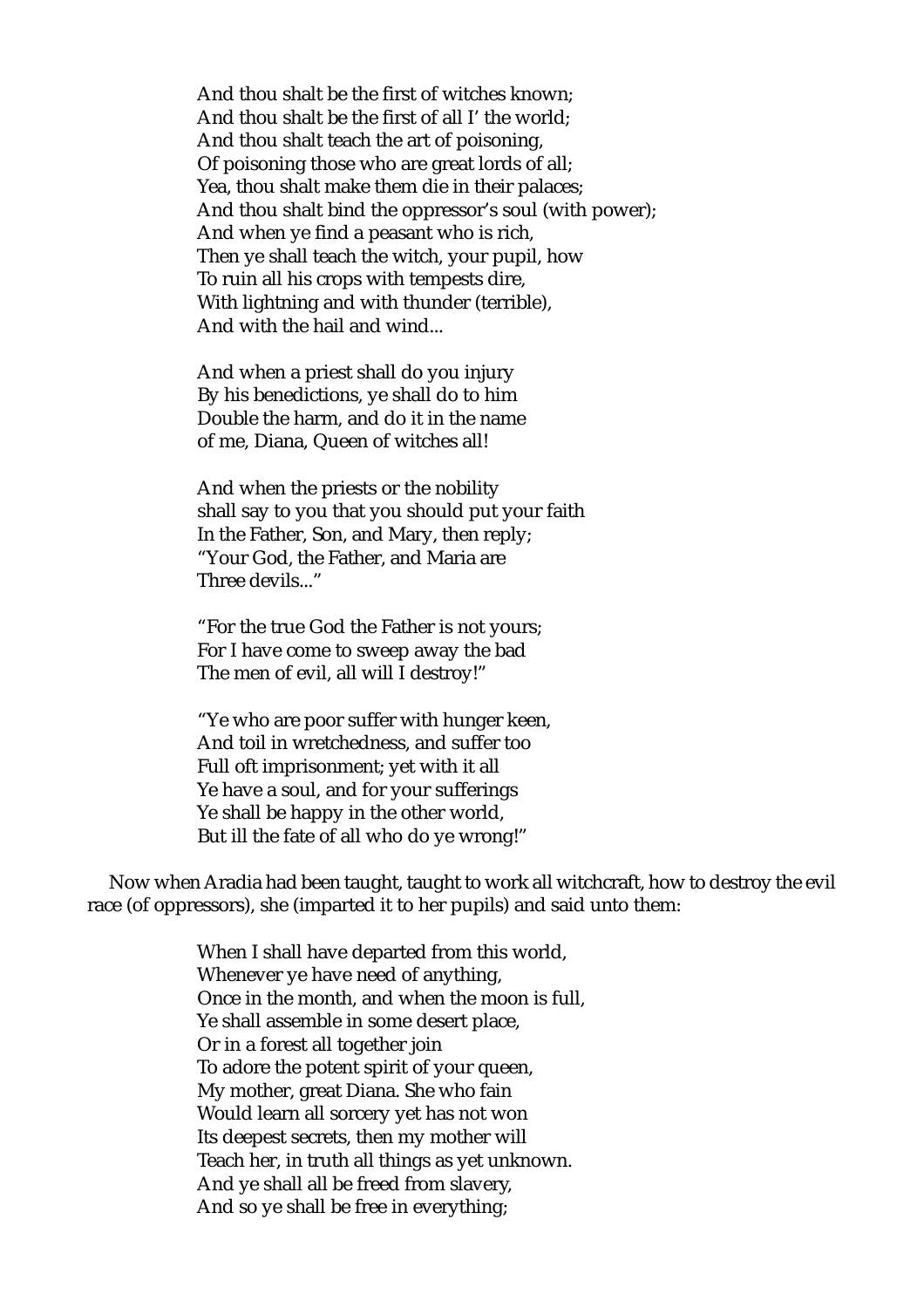And thou shalt be the first of witches known; And thou shalt be the first of all I' the world; And thou shalt teach the art of poisoning, Of poisoning those who are great lords of all; Yea, thou shalt make them die in their palaces; And thou shalt bind the oppressor's soul (with power); And when ye find a peasant who is rich, Then ye shall teach the witch, your pupil, how To ruin all his crops with tempests dire, With lightning and with thunder (terrible), And with the hail and wind...

And when a priest shall do you injury By his benedictions, ye shall do to him Double the harm, and do it in the name of me, Diana, Queen of witches all!

And when the priests or the nobility shall say to you that you should put your faith In the Father, Son, and Mary, then reply; "Your God, the Father, and Maria are Three devils..."

"For the true God the Father is not yours; For I have come to sweep away the bad The men of evil, all will I destroy!"

"Ye who are poor suffer with hunger keen, And toil in wretchedness, and suffer too Full oft imprisonment; yet with it all Ye have a soul, and for your sufferings Ye shall be happy in the other world, But ill the fate of all who do ye wrong!"

Now when Aradia had been taught, taught to work all witchcraft, how to destroy the evil race (of oppressors), she (imparted it to her pupils) and said unto them:

> When I shall have departed from this world, Whenever ye have need of anything, Once in the month, and when the moon is full, Ye shall assemble in some desert place, Or in a forest all together join To adore the potent spirit of your queen, My mother, great Diana. She who fain Would learn all sorcery yet has not won Its deepest secrets, then my mother will Teach her, in truth all things as yet unknown. And ye shall all be freed from slavery, And so ye shall be free in everything;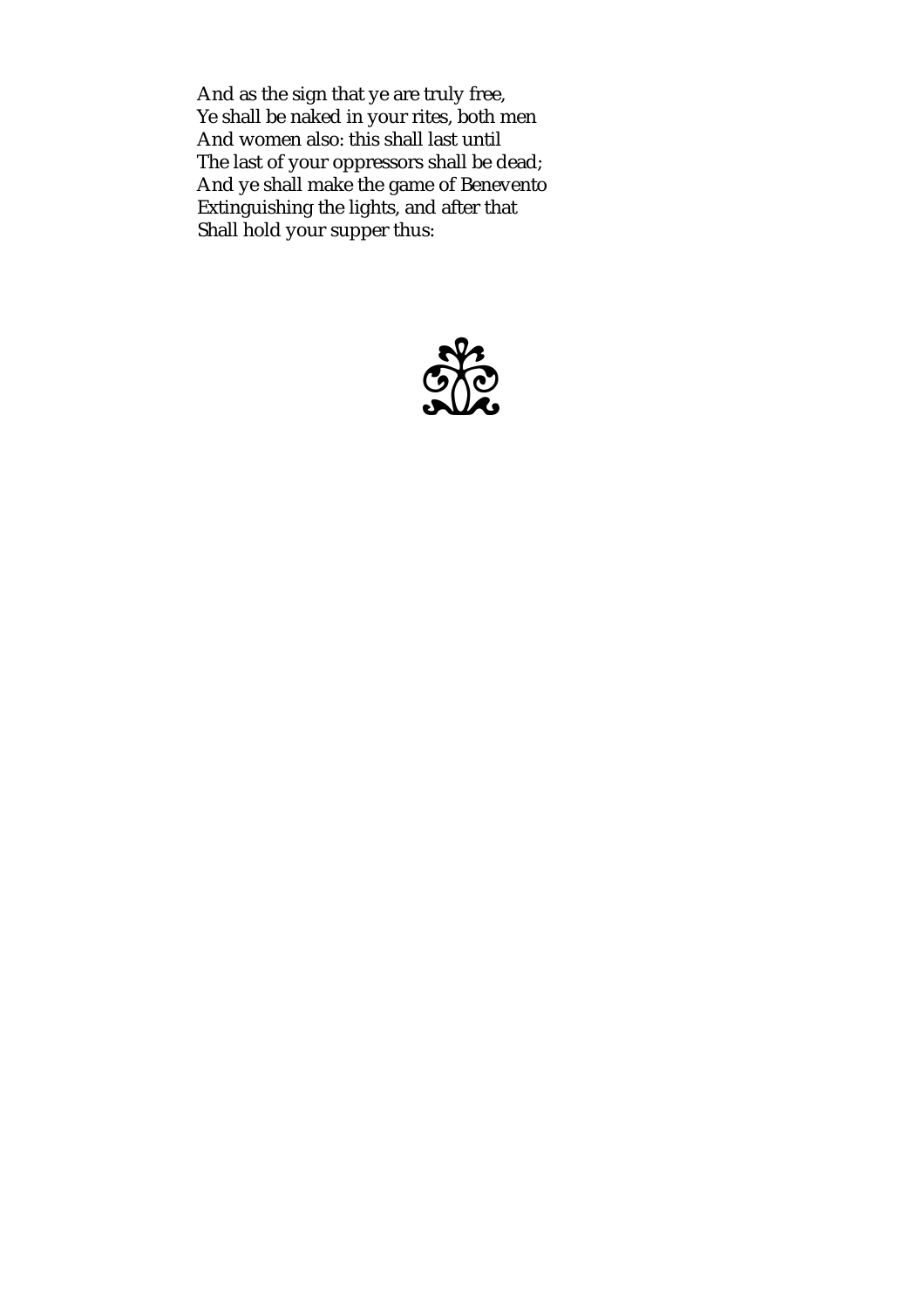And as the sign that ye are truly free, Ye shall be naked in your rites, both men And women also: this shall last until The last of your oppressors shall be dead; And ye shall make the game of Benevento Extinguishing the lights, and after that Shall hold your supper thus:

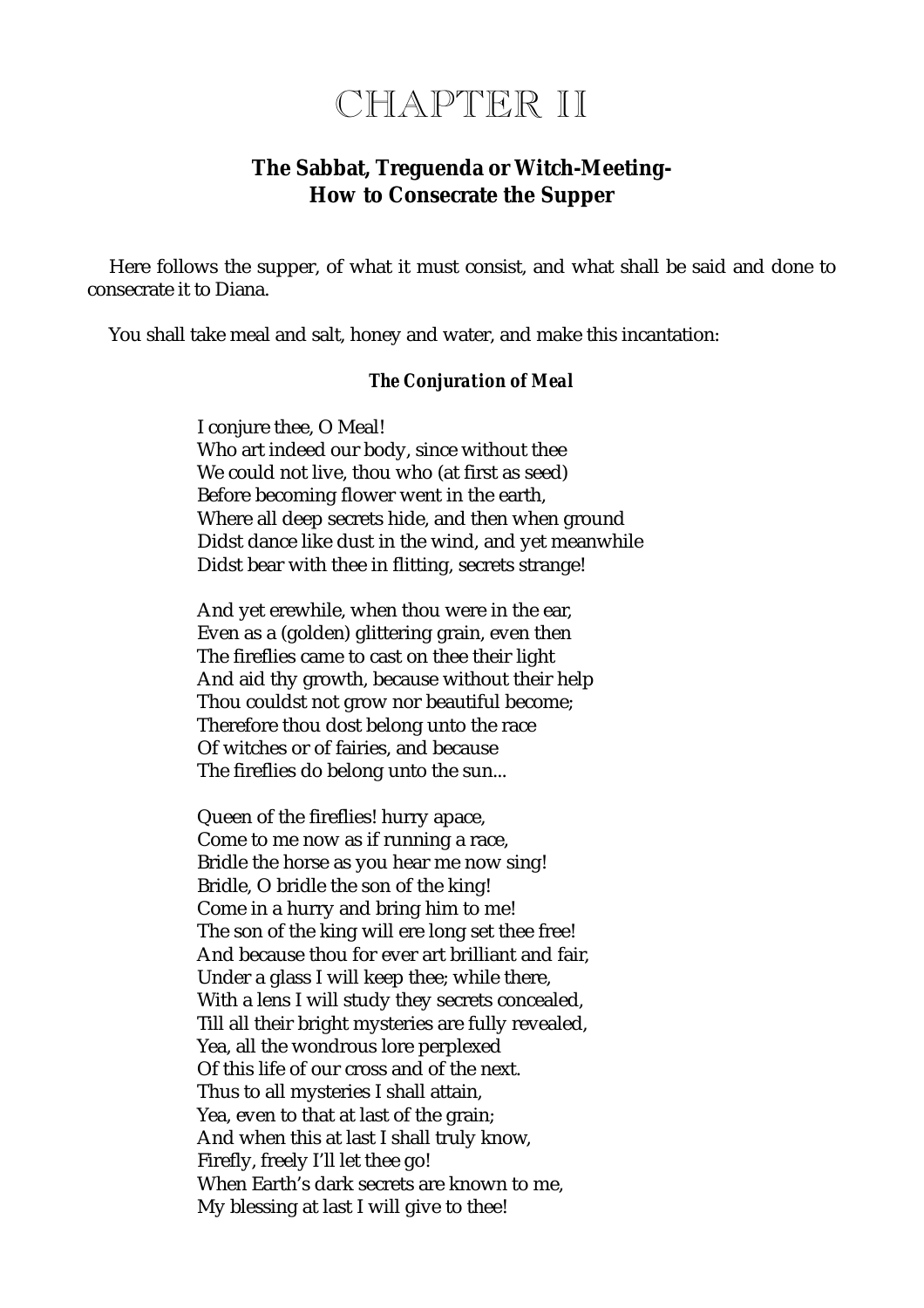## CHAPTER II

### **The Sabbat, Treguenda or Witch-Meeting-How to Consecrate the Supper**

Here follows the supper, of what it must consist, and what shall be said and done to consecrate it to Diana.

You shall take meal and salt, honey and water, and make this incantation:

#### *The Conjuration of Meal*

I conjure thee, O Meal! Who art indeed our body, since without thee We could not live, thou who (at first as seed) Before becoming flower went in the earth, Where all deep secrets hide, and then when ground Didst dance like dust in the wind, and yet meanwhile Didst bear with thee in flitting, secrets strange!

And yet erewhile, when thou were in the ear, Even as a (golden) glittering grain, even then The fireflies came to cast on thee their light And aid thy growth, because without their help Thou couldst not grow nor beautiful become; Therefore thou dost belong unto the race Of witches or of fairies, and because The fireflies do belong unto the sun...

Queen of the fireflies! hurry apace, Come to me now as if running a race, Bridle the horse as you hear me now sing! Bridle, O bridle the son of the king! Come in a hurry and bring him to me! The son of the king will ere long set thee free! And because thou for ever art brilliant and fair, Under a glass I will keep thee; while there, With a lens I will study they secrets concealed, Till all their bright mysteries are fully revealed, Yea, all the wondrous lore perplexed Of this life of our cross and of the next. Thus to all mysteries I shall attain, Yea, even to that at last of the grain; And when this at last I shall truly know, Firefly, freely I'll let thee go! When Earth's dark secrets are known to me, My blessing at last I will give to thee!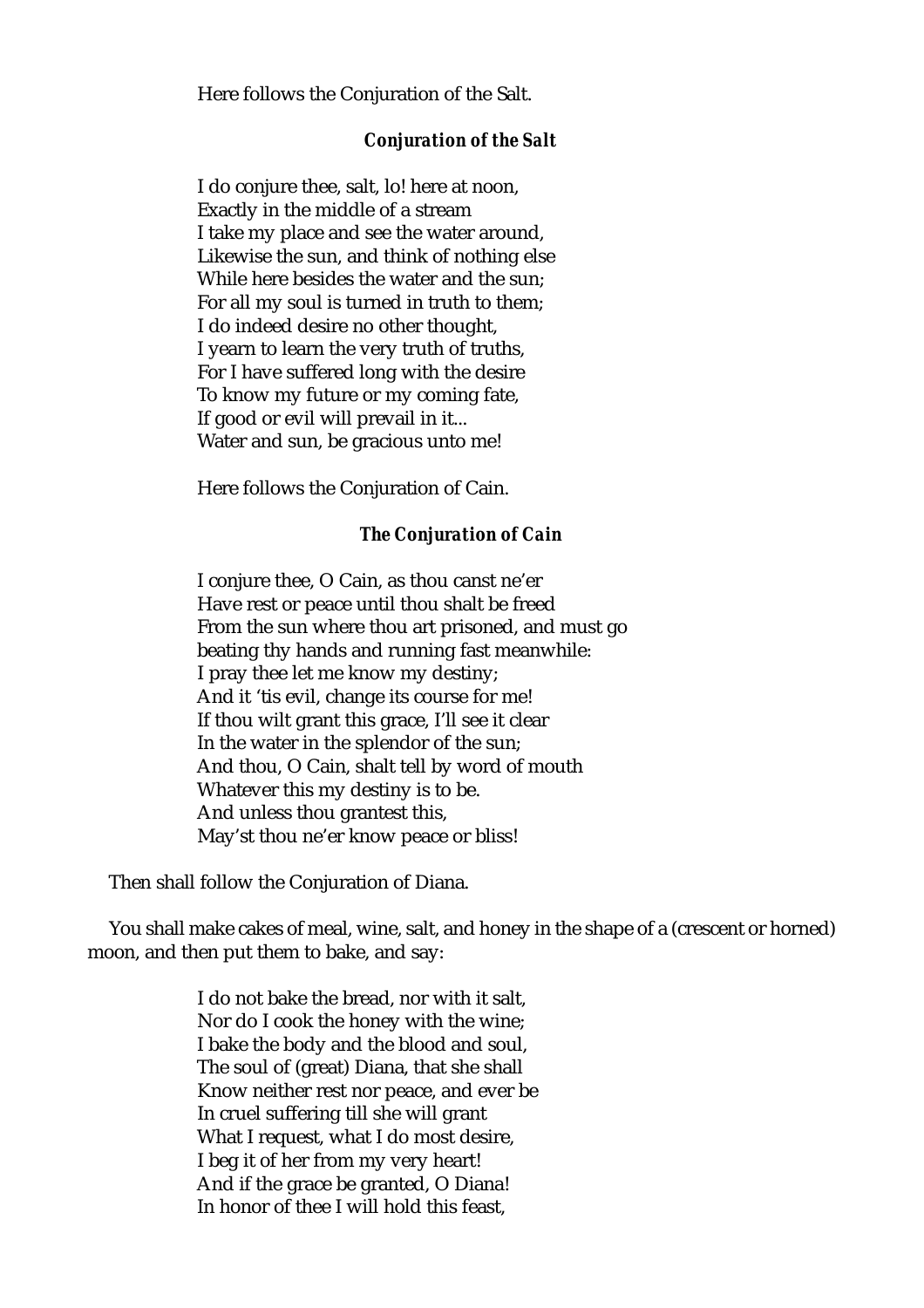Here follows the Conjuration of the Salt.

#### *Conjuration of the Salt*

I do conjure thee, salt, lo! here at noon, Exactly in the middle of a stream I take my place and see the water around, Likewise the sun, and think of nothing else While here besides the water and the sun; For all my soul is turned in truth to them; I do indeed desire no other thought, I yearn to learn the very truth of truths, For I have suffered long with the desire To know my future or my coming fate, If good or evil will prevail in it... Water and sun, be gracious unto me!

Here follows the Conjuration of Cain.

#### *The Conjuration of Cain*

I conjure thee, O Cain, as thou canst ne'er Have rest or peace until thou shalt be freed From the sun where thou art prisoned, and must go beating thy hands and running fast meanwhile: I pray thee let me know my destiny; And it 'tis evil, change its course for me! If thou wilt grant this grace, I'll see it clear In the water in the splendor of the sun; And thou, O Cain, shalt tell by word of mouth Whatever this my destiny is to be. And unless thou grantest this, May'st thou ne'er know peace or bliss!

Then shall follow the Conjuration of Diana.

You shall make cakes of meal, wine, salt, and honey in the shape of a (crescent or horned) moon, and then put them to bake, and say:

> I do not bake the bread, nor with it salt, Nor do I cook the honey with the wine; I bake the body and the blood and soul, The soul of (great) Diana, that she shall Know neither rest nor peace, and ever be In cruel suffering till she will grant What I request, what I do most desire, I beg it of her from my very heart! And if the grace be granted, O Diana! In honor of thee I will hold this feast,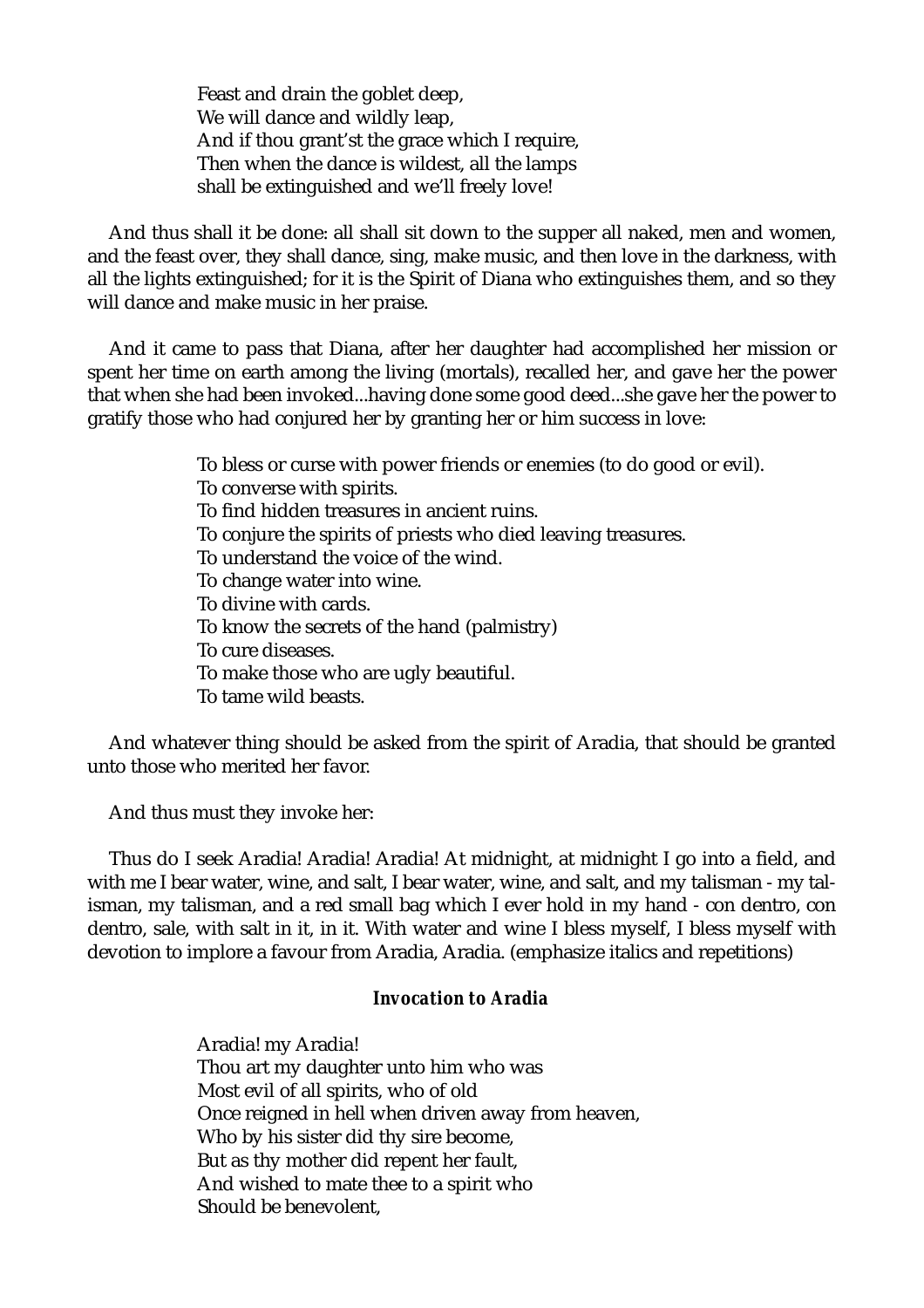Feast and drain the goblet deep, We will dance and wildly leap, And if thou grant'st the grace which I require, Then when the dance is wildest, all the lamps shall be extinguished and we'll freely love!

And thus shall it be done: all shall sit down to the supper all naked, men and women, and the feast over, they shall dance, sing, make music, and then love in the darkness, with all the lights extinguished; for it is the Spirit of Diana who extinguishes them, and so they will dance and make music in her praise.

And it came to pass that Diana, after her daughter had accomplished her mission or spent her time on earth among the living (mortals), recalled her, and gave her the power that when she had been invoked...having done some good deed...she gave her the power to gratify those who had conjured her by granting her or him success in love:

> To bless or curse with power friends or enemies (to do good or evil). To converse with spirits. To find hidden treasures in ancient ruins. To conjure the spirits of priests who died leaving treasures. To understand the voice of the wind. To change water into wine. To divine with cards. To know the secrets of the hand (palmistry) To cure diseases. To make those who are ugly beautiful. To tame wild beasts.

And whatever thing should be asked from the spirit of Aradia, that should be granted unto those who merited her favor.

And thus must they invoke her:

Thus do I seek Aradia! Aradia! Aradia! At midnight, at midnight I go into a field, and with me I bear water, wine, and salt, I bear water, wine, and salt, and my talisman - my talisman, my talisman, and a red small bag which I ever hold in my hand - con dentro, con dentro, sale, with salt in it, in it. With water and wine I bless myself, I bless myself with devotion to implore a favour from Aradia, Aradia. (emphasize italics and repetitions)

#### *Invocation to Aradia*

Aradia! my Aradia! Thou art my daughter unto him who was Most evil of all spirits, who of old Once reigned in hell when driven away from heaven, Who by his sister did thy sire become, But as thy mother did repent her fault, And wished to mate thee to a spirit who Should be benevolent,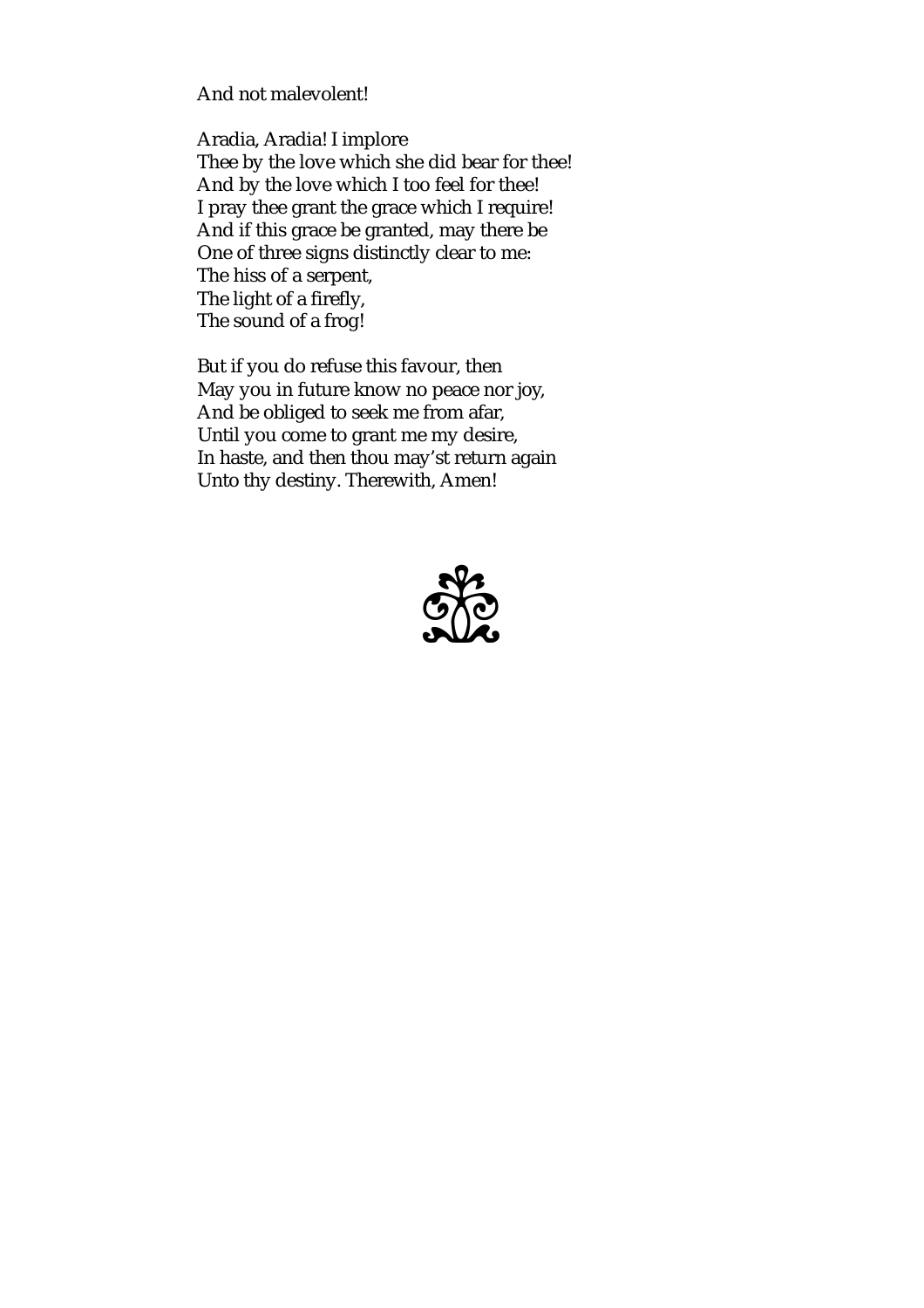And not malevolent!

Aradia, Aradia! I implore Thee by the love which she did bear for thee! And by the love which I too feel for thee! I pray thee grant the grace which I require! And if this grace be granted, may there be One of three signs distinctly clear to me: The hiss of a serpent, The light of a firefly, The sound of a frog!

But if you do refuse this favour, then May you in future know no peace nor joy, And be obliged to seek me from afar, Until you come to grant me my desire, In haste, and then thou may'st return again Unto thy destiny. Therewith, Amen!

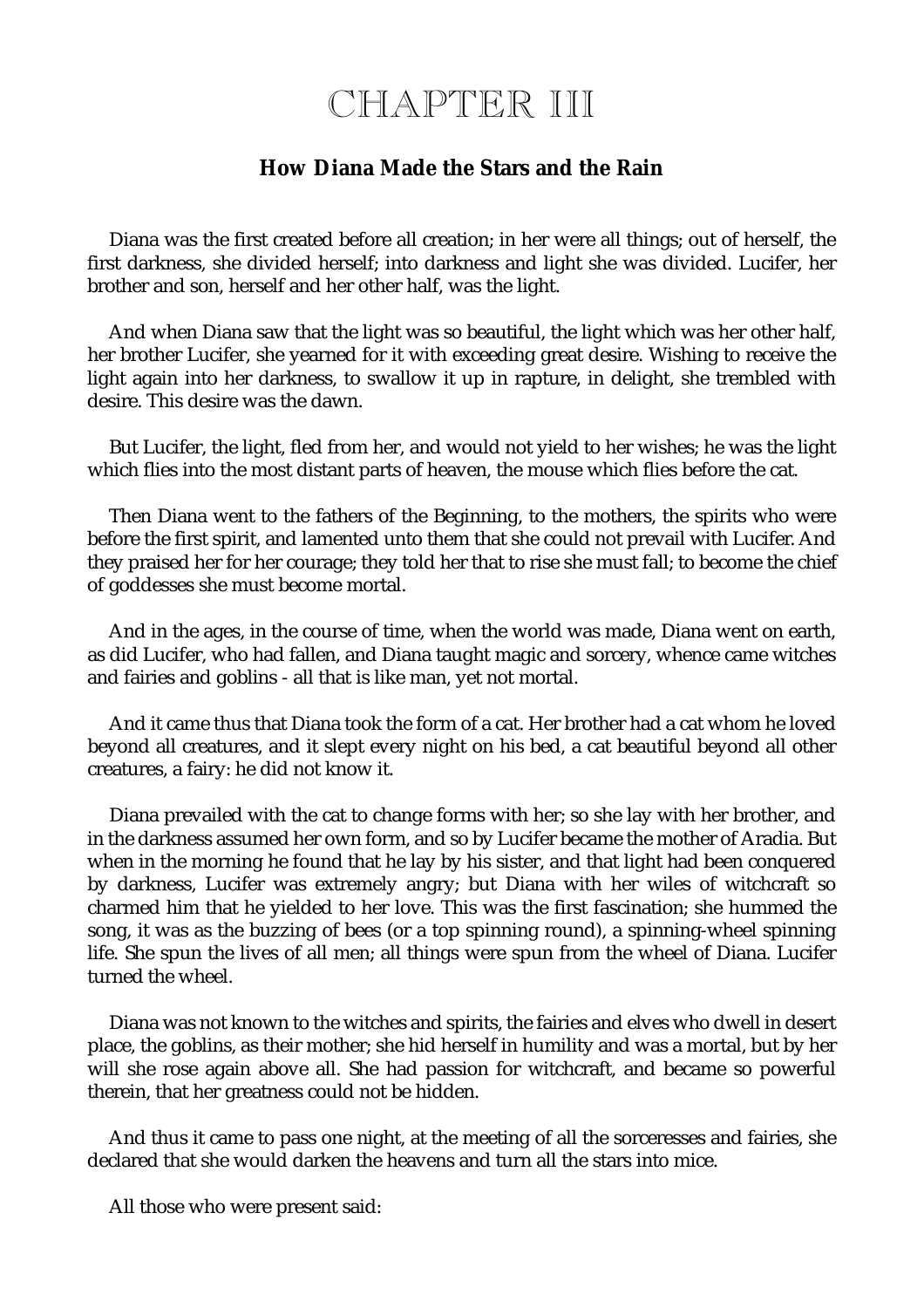## CHAPTER III

### **How Diana Made the Stars and the Rain**

Diana was the first created before all creation; in her were all things; out of herself, the first darkness, she divided herself; into darkness and light she was divided. Lucifer, her brother and son, herself and her other half, was the light.

And when Diana saw that the light was so beautiful, the light which was her other half, her brother Lucifer, she yearned for it with exceeding great desire. Wishing to receive the light again into her darkness, to swallow it up in rapture, in delight, she trembled with desire. This desire was the dawn.

But Lucifer, the light, fled from her, and would not yield to her wishes; he was the light which flies into the most distant parts of heaven, the mouse which flies before the cat.

Then Diana went to the fathers of the Beginning, to the mothers, the spirits who were before the first spirit, and lamented unto them that she could not prevail with Lucifer. And they praised her for her courage; they told her that to rise she must fall; to become the chief of goddesses she must become mortal.

And in the ages, in the course of time, when the world was made, Diana went on earth, as did Lucifer, who had fallen, and Diana taught magic and sorcery, whence came witches and fairies and goblins - all that is like man, yet not mortal.

And it came thus that Diana took the form of a cat. Her brother had a cat whom he loved beyond all creatures, and it slept every night on his bed, a cat beautiful beyond all other creatures, a fairy: he did not know it.

Diana prevailed with the cat to change forms with her; so she lay with her brother, and in the darkness assumed her own form, and so by Lucifer became the mother of Aradia. But when in the morning he found that he lay by his sister, and that light had been conquered by darkness, Lucifer was extremely angry; but Diana with her wiles of witchcraft so charmed him that he yielded to her love. This was the first fascination; she hummed the song, it was as the buzzing of bees (or a top spinning round), a spinning-wheel spinning life. She spun the lives of all men; all things were spun from the wheel of Diana. Lucifer turned the wheel.

Diana was not known to the witches and spirits, the fairies and elves who dwell in desert place, the goblins, as their mother; she hid herself in humility and was a mortal, but by her will she rose again above all. She had passion for witchcraft, and became so powerful therein, that her greatness could not be hidden.

And thus it came to pass one night, at the meeting of all the sorceresses and fairies, she declared that she would darken the heavens and turn all the stars into mice.

All those who were present said: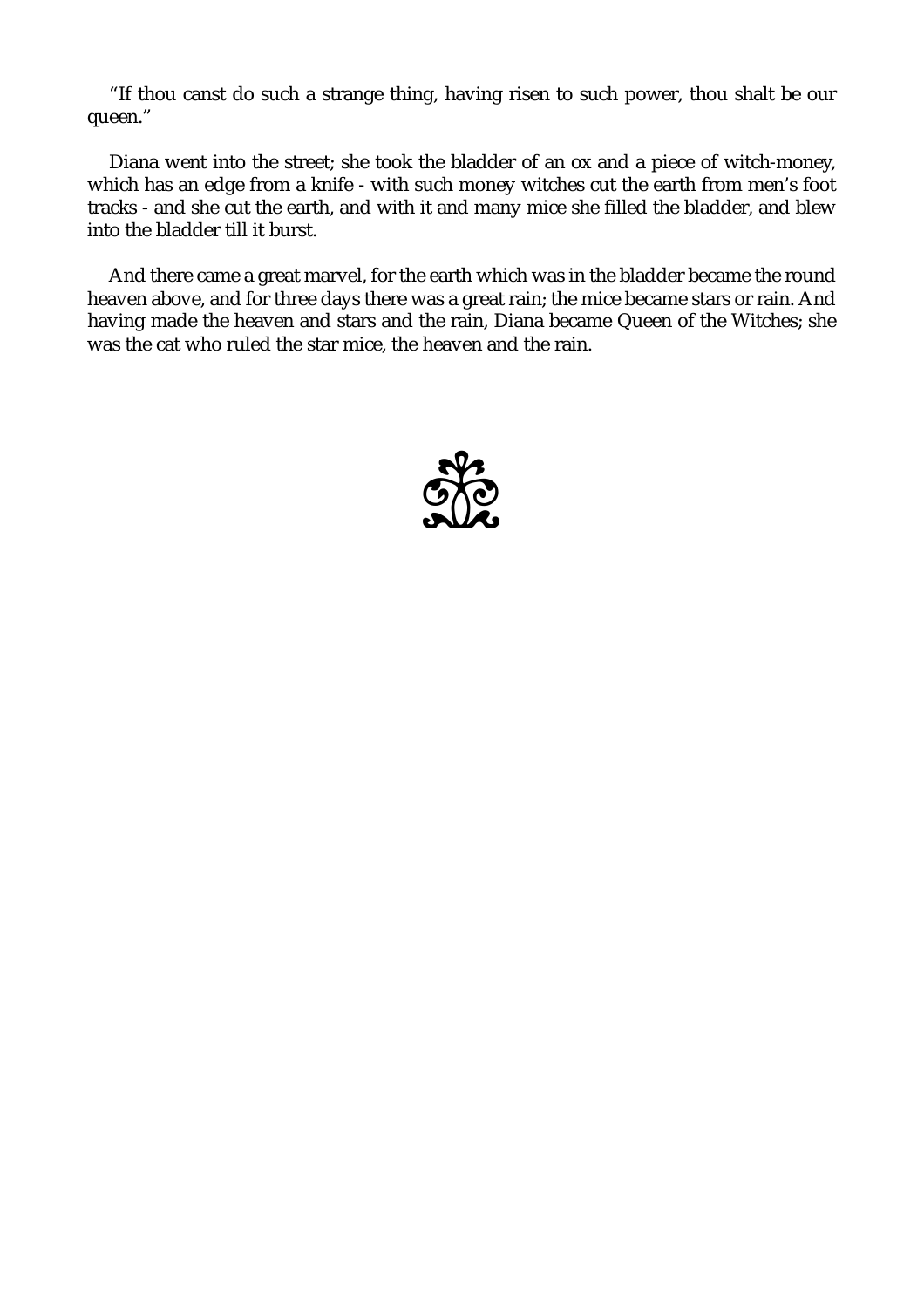"If thou canst do such a strange thing, having risen to such power, thou shalt be our queen."

Diana went into the street; she took the bladder of an ox and a piece of witch-money, which has an edge from a knife - with such money witches cut the earth from men's foot tracks - and she cut the earth, and with it and many mice she filled the bladder, and blew into the bladder till it burst.

And there came a great marvel, for the earth which was in the bladder became the round heaven above, and for three days there was a great rain; the mice became stars or rain. And having made the heaven and stars and the rain, Diana became Queen of the Witches; she was the cat who ruled the star mice, the heaven and the rain.

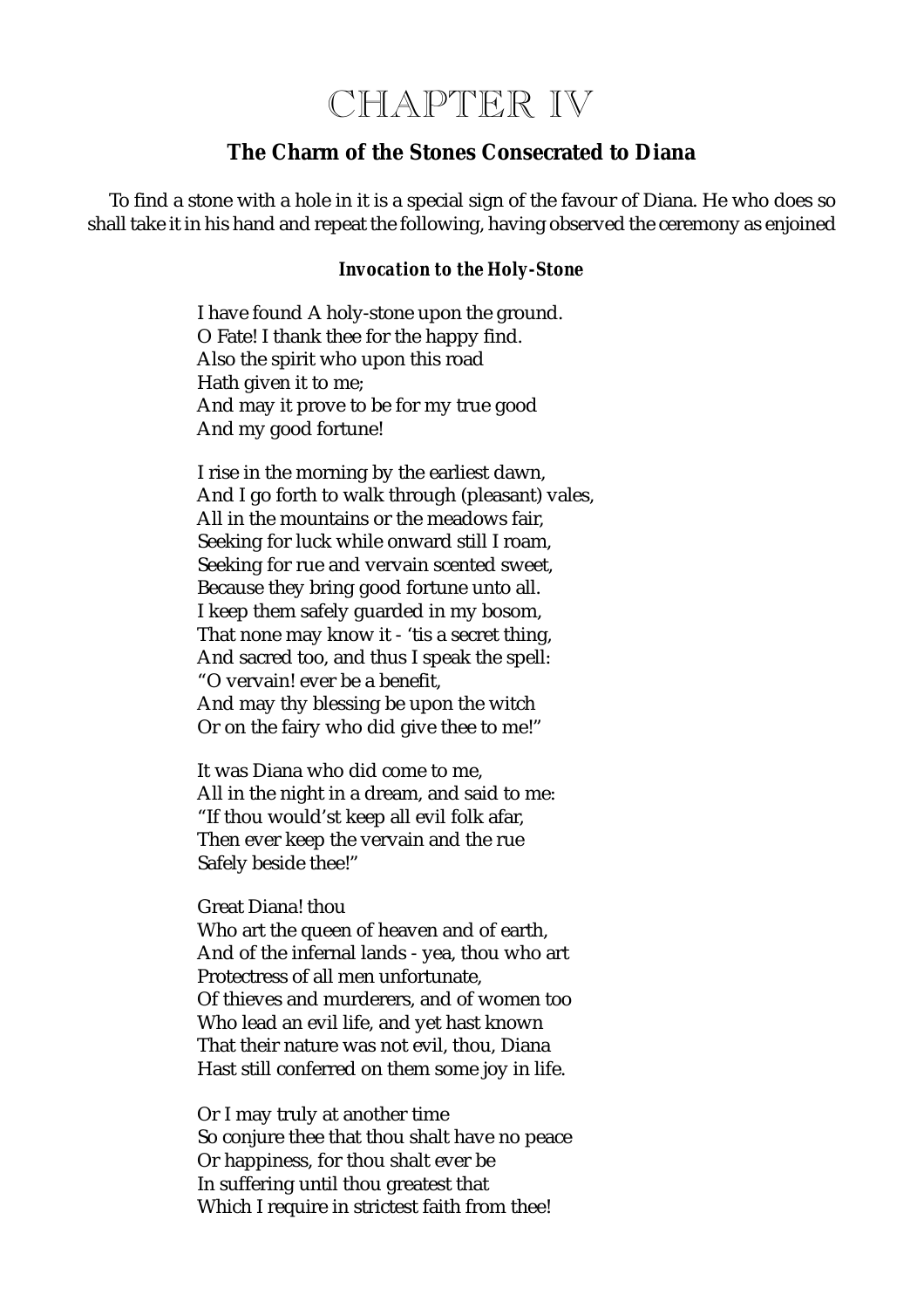## CHAPTER IV

### **The Charm of the Stones Consecrated to Diana**

To find a stone with a hole in it is a special sign of the favour of Diana. He who does so shall take it in his hand and repeat the following, having observed the ceremony as enjoined

#### *Invocation to the Holy-Stone*

I have found A holy-stone upon the ground. O Fate! I thank thee for the happy find. Also the spirit who upon this road Hath given it to me; And may it prove to be for my true good And my good fortune!

I rise in the morning by the earliest dawn, And I go forth to walk through (pleasant) vales, All in the mountains or the meadows fair, Seeking for luck while onward still I roam, Seeking for rue and vervain scented sweet, Because they bring good fortune unto all. I keep them safely guarded in my bosom, That none may know it - 'tis a secret thing, And sacred too, and thus I speak the spell: "O vervain! ever be a benefit, And may thy blessing be upon the witch Or on the fairy who did give thee to me!"

It was Diana who did come to me, All in the night in a dream, and said to me: "If thou would'st keep all evil folk afar, Then ever keep the vervain and the rue Safely beside thee!"

#### Great Diana! thou

Who art the queen of heaven and of earth, And of the infernal lands - yea, thou who art Protectress of all men unfortunate, Of thieves and murderers, and of women too Who lead an evil life, and yet hast known That their nature was not evil, thou, Diana Hast still conferred on them some joy in life.

Or I may truly at another time So conjure thee that thou shalt have no peace Or happiness, for thou shalt ever be In suffering until thou greatest that Which I require in strictest faith from thee!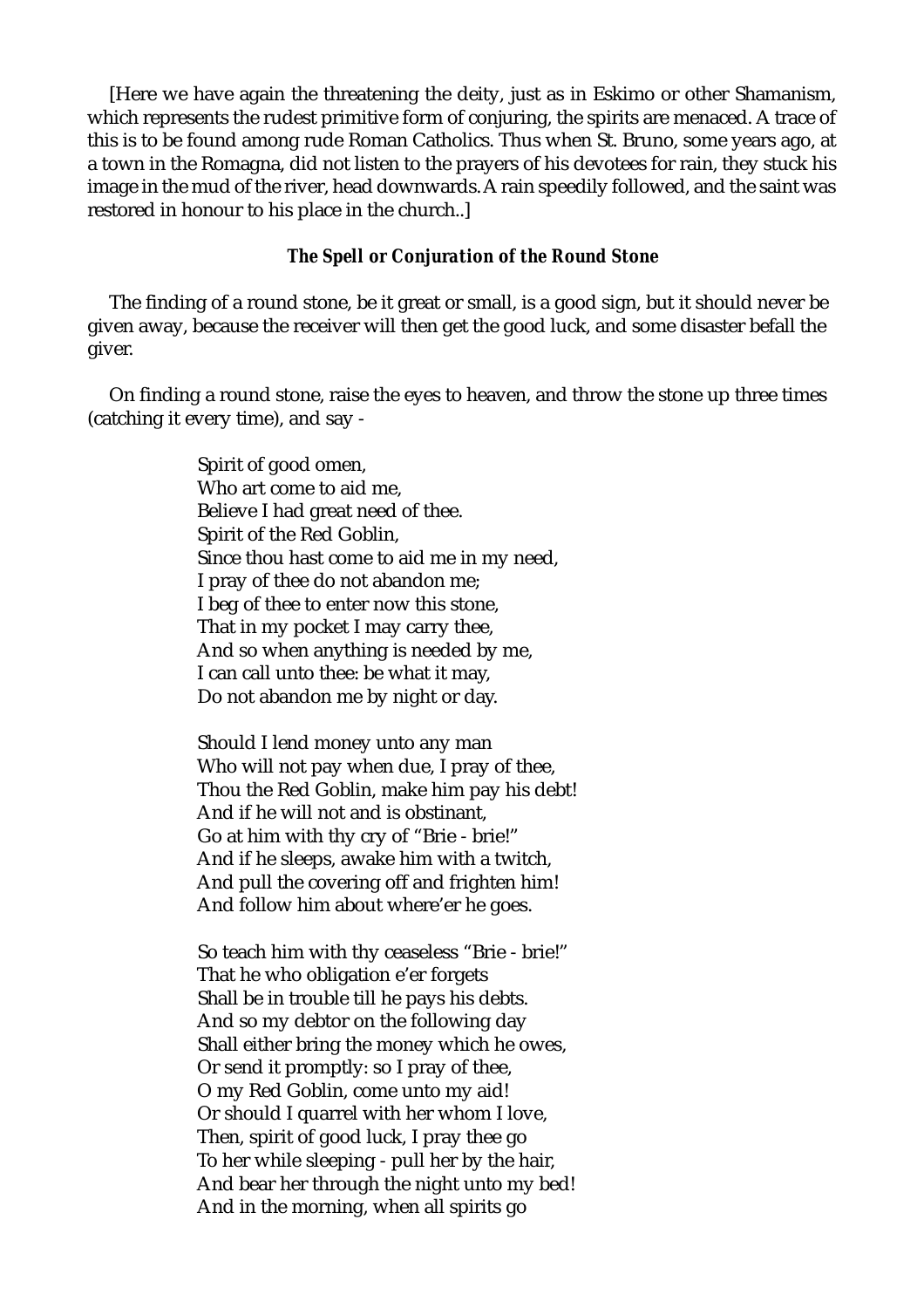[Here we have again the threatening the deity, just as in Eskimo or other Shamanism, which represents the rudest primitive form of conjuring, the spirits are menaced. A trace of this is to be found among rude Roman Catholics. Thus when St. Bruno, some years ago, at a town in the Romagna, did not listen to the prayers of his devotees for rain, they stuck his image in the mud of the river, head downwards. A rain speedily followed, and the saint was restored in honour to his place in the church..]

#### *The Spell or Conjuration of the Round Stone*

The finding of a round stone, be it great or small, is a good sign, but it should never be given away, because the receiver will then get the good luck, and some disaster befall the giver.

On finding a round stone, raise the eyes to heaven, and throw the stone up three times (catching it every time), and say -

> Spirit of good omen, Who art come to aid me, Believe I had great need of thee. Spirit of the Red Goblin, Since thou hast come to aid me in my need, I pray of thee do not abandon me; I beg of thee to enter now this stone, That in my pocket I may carry thee, And so when anything is needed by me, I can call unto thee: be what it may, Do not abandon me by night or day.

Should I lend money unto any man Who will not pay when due, I pray of thee, Thou the Red Goblin, make him pay his debt! And if he will not and is obstinant, Go at him with thy cry of "Brie - brie!" And if he sleeps, awake him with a twitch, And pull the covering off and frighten him! And follow him about where'er he goes.

So teach him with thy ceaseless "Brie - brie!" That he who obligation e'er forgets Shall be in trouble till he pays his debts. And so my debtor on the following day Shall either bring the money which he owes, Or send it promptly: so I pray of thee, O my Red Goblin, come unto my aid! Or should I quarrel with her whom I love, Then, spirit of good luck, I pray thee go To her while sleeping - pull her by the hair, And bear her through the night unto my bed! And in the morning, when all spirits go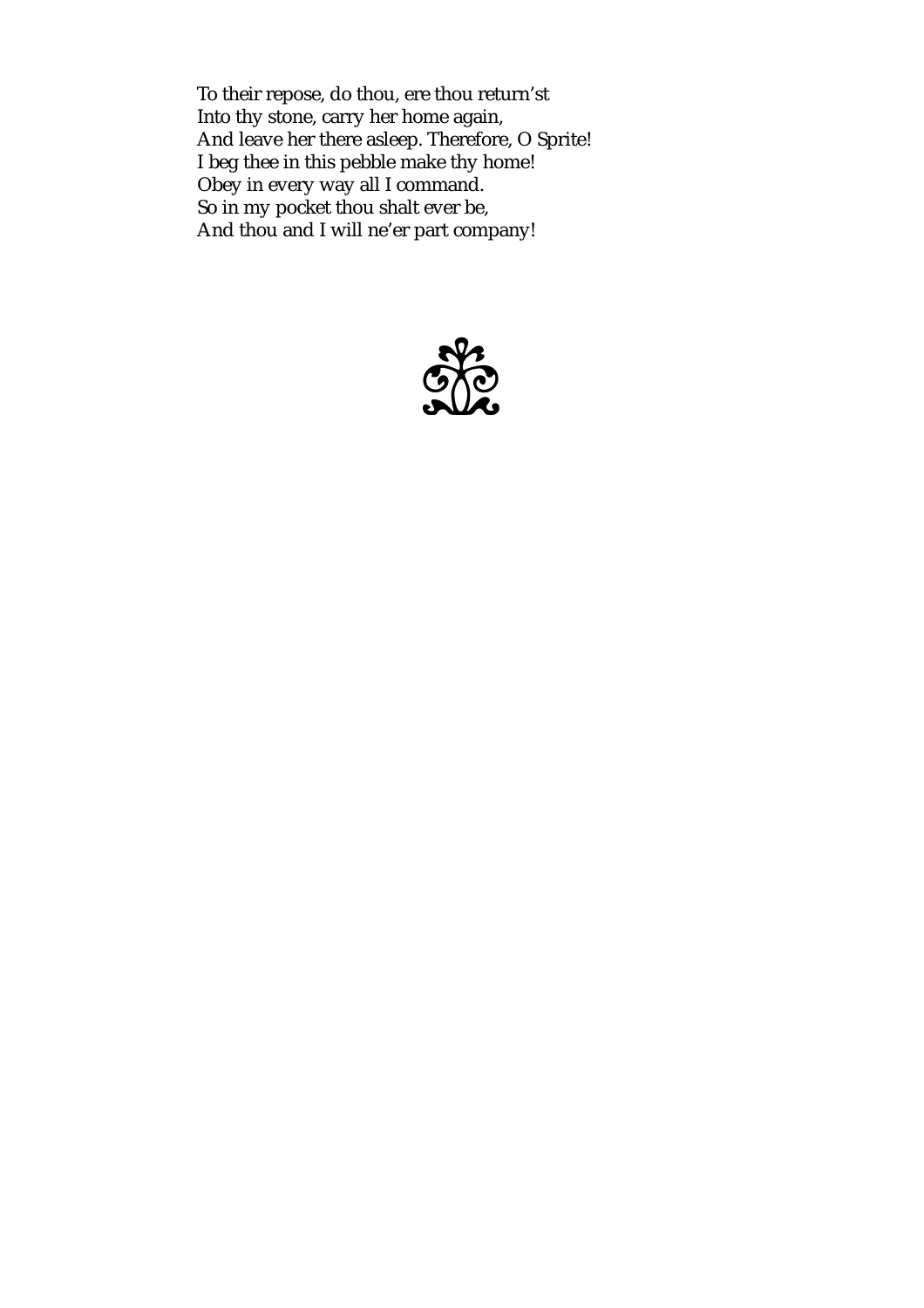To their repose, do thou, ere thou return'st Into thy stone, carry her home again, And leave her there asleep. Therefore, O Sprite! I beg thee in this pebble make thy home! Obey in every way all I command. So in my pocket thou shalt ever be, And thou and I will ne'er part company!

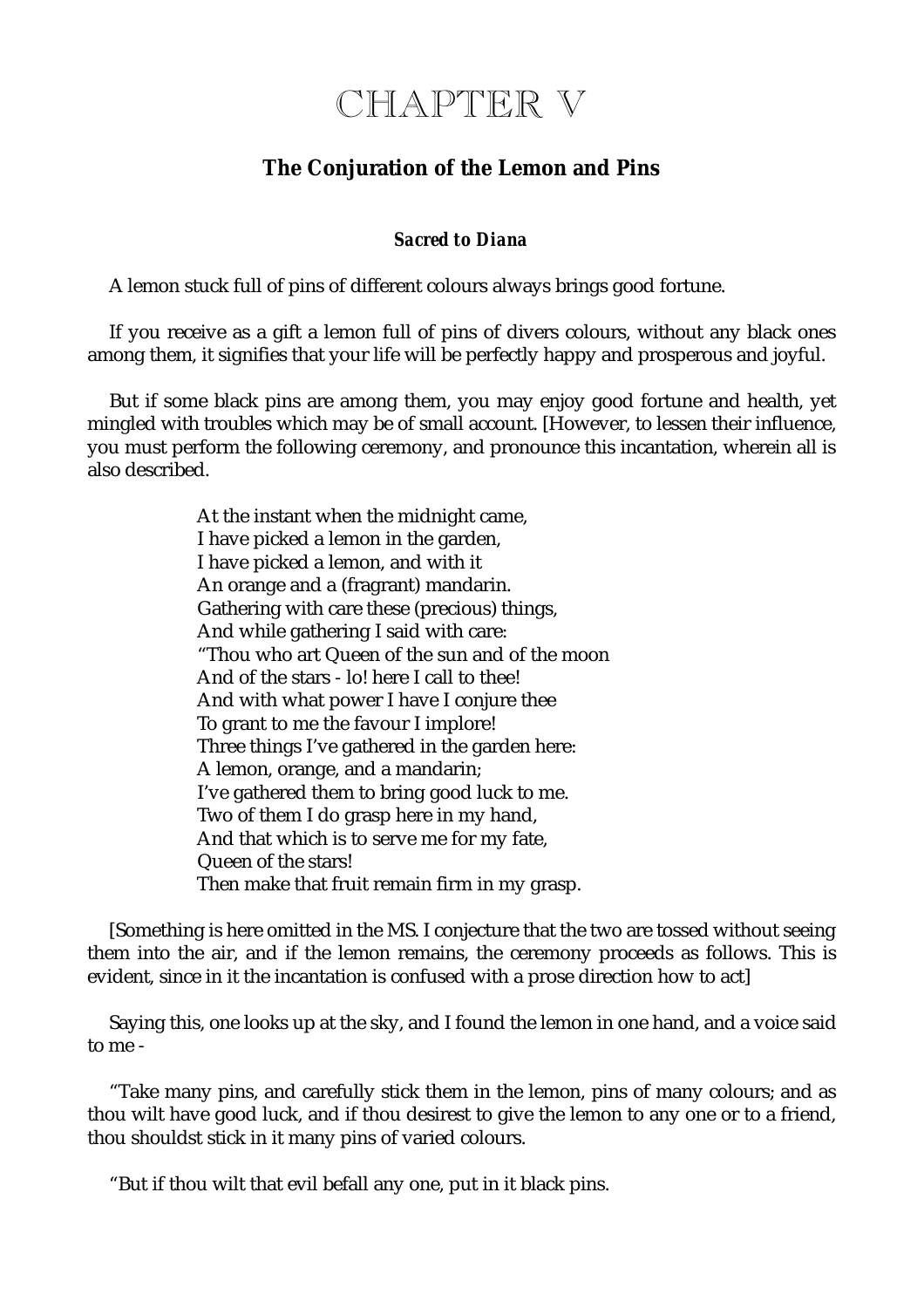

### **The Conjuration of the Lemon and Pins**

#### *Sacred to Diana*

A lemon stuck full of pins of different colours always brings good fortune.

If you receive as a gift a lemon full of pins of divers colours, without any black ones among them, it signifies that your life will be perfectly happy and prosperous and joyful.

But if some black pins are among them, you may enjoy good fortune and health, yet mingled with troubles which may be of small account. [However, to lessen their influence, you must perform the following ceremony, and pronounce this incantation, wherein all is also described.

> At the instant when the midnight came, I have picked a lemon in the garden, I have picked a lemon, and with it An orange and a (fragrant) mandarin. Gathering with care these (precious) things, And while gathering I said with care: "Thou who art Queen of the sun and of the moon And of the stars - lo! here I call to thee! And with what power I have I conjure thee To grant to me the favour I implore! Three things I've gathered in the garden here: A lemon, orange, and a mandarin; I've gathered them to bring good luck to me. Two of them I do grasp here in my hand, And that which is to serve me for my fate, Queen of the stars! Then make that fruit remain firm in my grasp.

[Something is here omitted in the MS. I conjecture that the two are tossed without seeing them into the air, and if the lemon remains, the ceremony proceeds as follows. This is evident, since in it the incantation is confused with a prose direction how to actl

Saying this, one looks up at the sky, and I found the lemon in one hand, and a voice said to me -

"Take many pins, and carefully stick them in the lemon, pins of many colours; and as thou wilt have good luck, and if thou desirest to give the lemon to any one or to a friend, thou shouldst stick in it many pins of varied colours.

"But if thou wilt that evil befall any one, put in it black pins.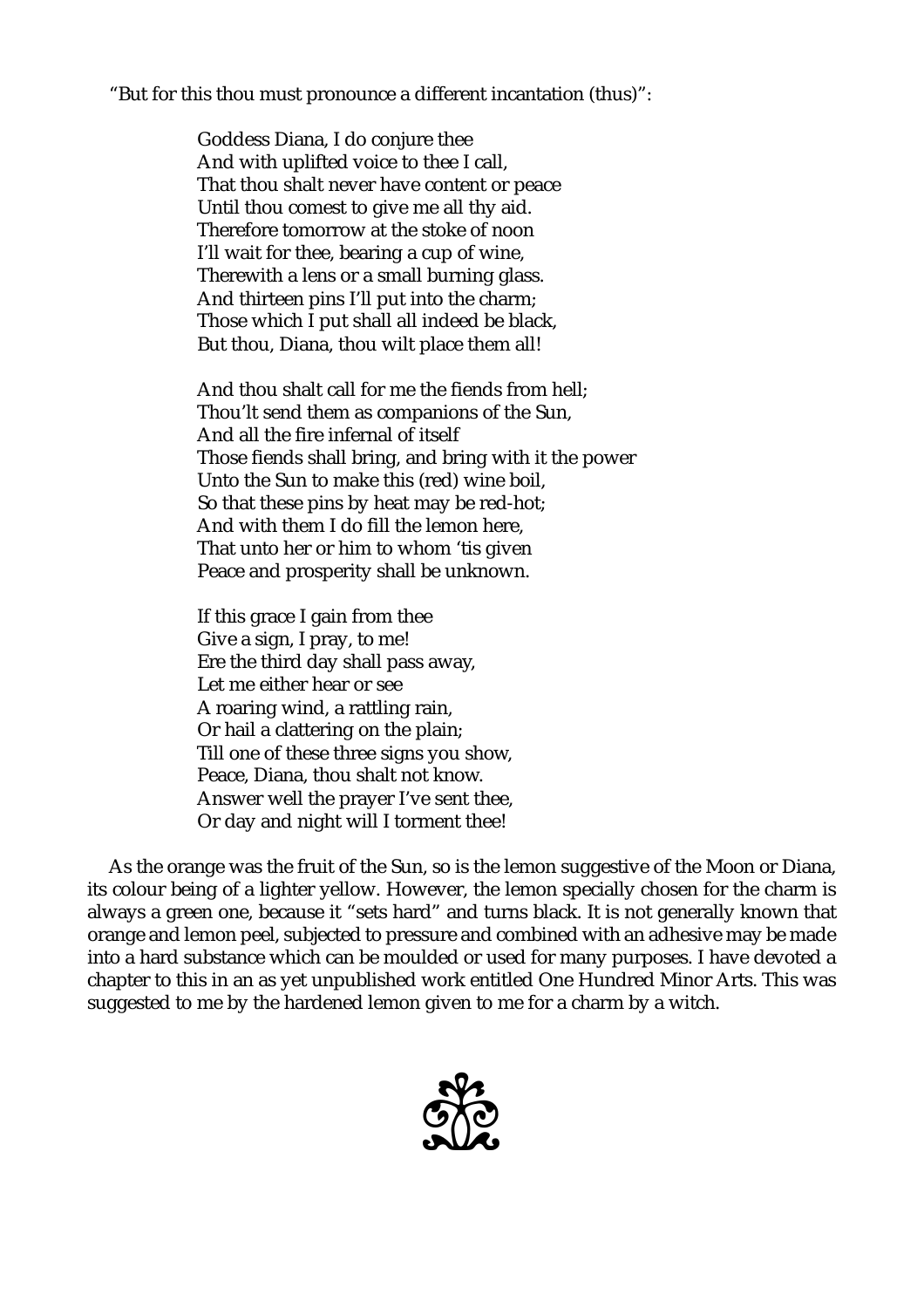"But for this thou must pronounce a different incantation (thus)":

Goddess Diana, I do conjure thee And with uplifted voice to thee I call, That thou shalt never have content or peace Until thou comest to give me all thy aid. Therefore tomorrow at the stoke of noon I'll wait for thee, bearing a cup of wine, Therewith a lens or a small burning glass. And thirteen pins I'll put into the charm; Those which I put shall all indeed be black, But thou, Diana, thou wilt place them all!

And thou shalt call for me the fiends from hell; Thou'lt send them as companions of the Sun, And all the fire infernal of itself Those fiends shall bring, and bring with it the power Unto the Sun to make this (red) wine boil, So that these pins by heat may be red-hot; And with them I do fill the lemon here, That unto her or him to whom 'tis given Peace and prosperity shall be unknown.

If this grace I gain from thee Give a sign, I pray, to me! Ere the third day shall pass away, Let me either hear or see A roaring wind, a rattling rain, Or hail a clattering on the plain; Till one of these three signs you show, Peace, Diana, thou shalt not know. Answer well the prayer I've sent thee, Or day and night will I torment thee!

As the orange was the fruit of the Sun, so is the lemon suggestive of the Moon or Diana, its colour being of a lighter yellow. However, the lemon specially chosen for the charm is always a green one, because it "sets hard" and turns black. It is not generally known that orange and lemon peel, subjected to pressure and combined with an adhesive may be made into a hard substance which can be moulded or used for many purposes. I have devoted a chapter to this in an as yet unpublished work entitled One Hundred Minor Arts. This was suggested to me by the hardened lemon given to me for a charm by a witch.

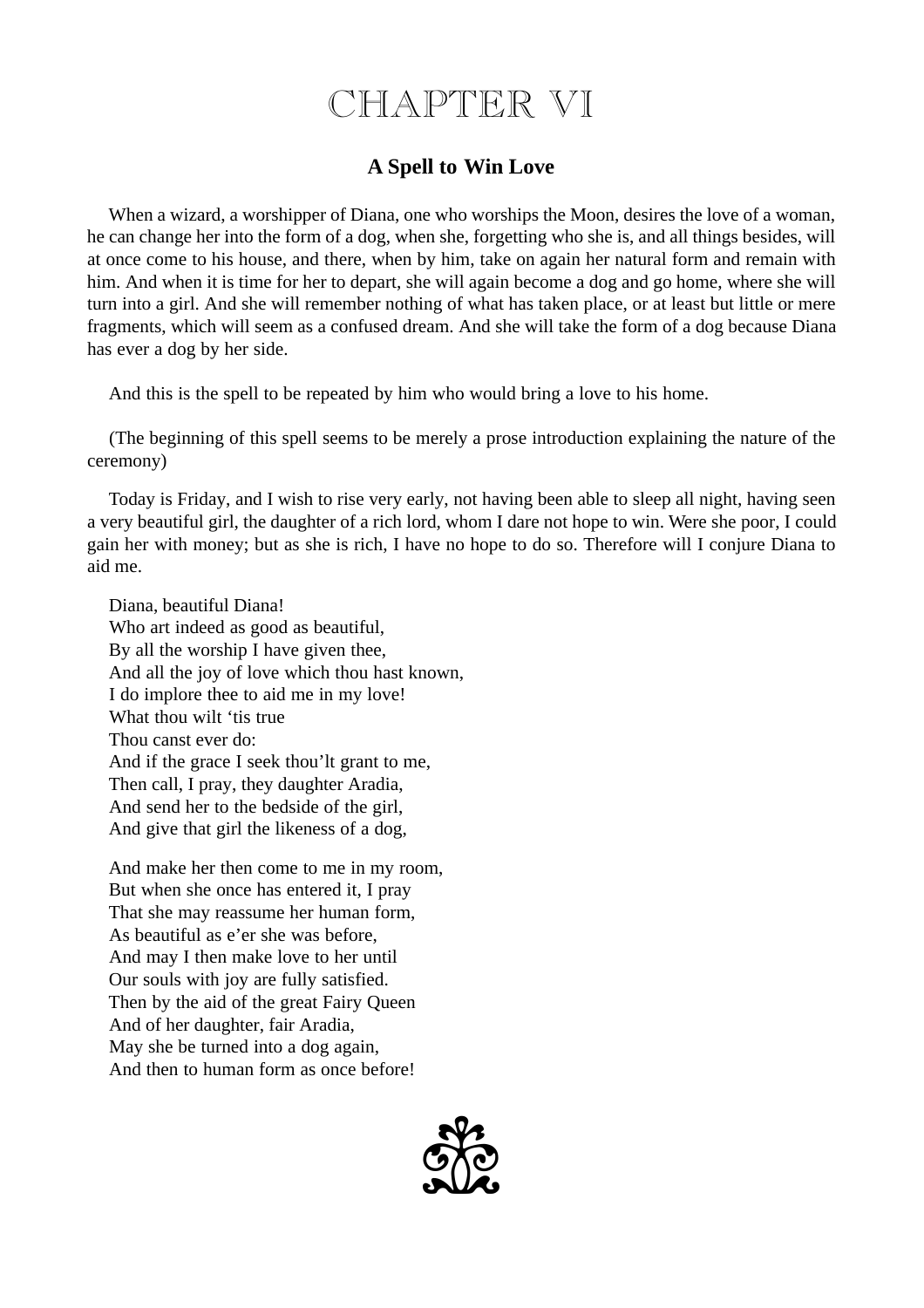# CHAPTER VI

### **A Spell to Win Love**

When a wizard, a worshipper of Diana, one who worships the Moon, desires the love of a woman, he can change her into the form of a dog, when she, forgetting who she is, and all things besides, will at once come to his house, and there, when by him, take on again her natural form and remain with him. And when it is time for her to depart, she will again become a dog and go home, where she will turn into a girl. And she will remember nothing of what has taken place, or at least but little or mere fragments, which will seem as a confused dream. And she will take the form of a dog because Diana has ever a dog by her side.

And this is the spell to be repeated by him who would bring a love to his home.

(The beginning of this spell seems to be merely a prose introduction explaining the nature of the ceremony)

Today is Friday, and I wish to rise very early, not having been able to sleep all night, having seen a very beautiful girl, the daughter of a rich lord, whom I dare not hope to win. Were she poor, I could gain her with money; but as she is rich, I have no hope to do so. Therefore will I conjure Diana to aid me.

Diana, beautiful Diana! Who art indeed as good as beautiful, By all the worship I have given thee, And all the joy of love which thou hast known, I do implore thee to aid me in my love! What thou wilt 'tis true Thou canst ever do: And if the grace I seek thou'lt grant to me, Then call, I pray, they daughter Aradia, And send her to the bedside of the girl, And give that girl the likeness of a dog,

And make her then come to me in my room, But when she once has entered it, I pray That she may reassume her human form, As beautiful as e'er she was before, And may I then make love to her until Our souls with joy are fully satisfied. Then by the aid of the great Fairy Queen And of her daughter, fair Aradia, May she be turned into a dog again, And then to human form as once before!

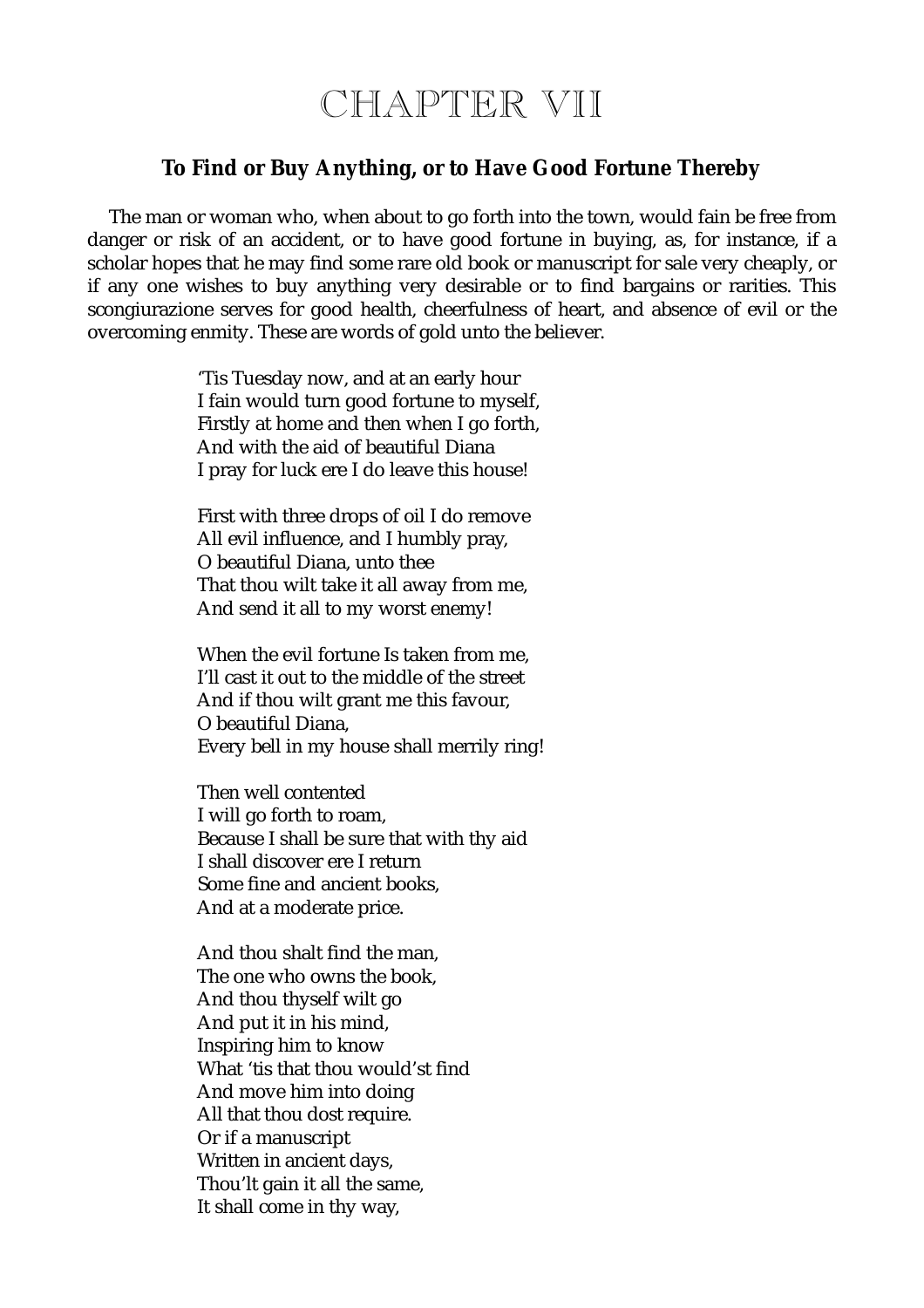## CHAPTER VII

### **To Find or Buy Anything, or to Have Good Fortune Thereby**

The man or woman who, when about to go forth into the town, would fain be free from danger or risk of an accident, or to have good fortune in buying, as, for instance, if a scholar hopes that he may find some rare old book or manuscript for sale very cheaply, or if any one wishes to buy anything very desirable or to find bargains or rarities. This scongiurazione serves for good health, cheerfulness of heart, and absence of evil or the overcoming enmity. These are words of gold unto the believer.

> 'Tis Tuesday now, and at an early hour I fain would turn good fortune to myself, Firstly at home and then when I go forth, And with the aid of beautiful Diana I pray for luck ere I do leave this house!

First with three drops of oil I do remove All evil influence, and I humbly pray, O beautiful Diana, unto thee That thou wilt take it all away from me, And send it all to my worst enemy!

When the evil fortune Is taken from me, I'll cast it out to the middle of the street And if thou wilt grant me this favour, O beautiful Diana, Every bell in my house shall merrily ring!

Then well contented I will go forth to roam, Because I shall be sure that with thy aid I shall discover ere I return Some fine and ancient books, And at a moderate price.

And thou shalt find the man, The one who owns the book, And thou thyself wilt go And put it in his mind, Inspiring him to know What 'tis that thou would'st find And move him into doing All that thou dost require. Or if a manuscript Written in ancient days, Thou'lt gain it all the same, It shall come in thy way,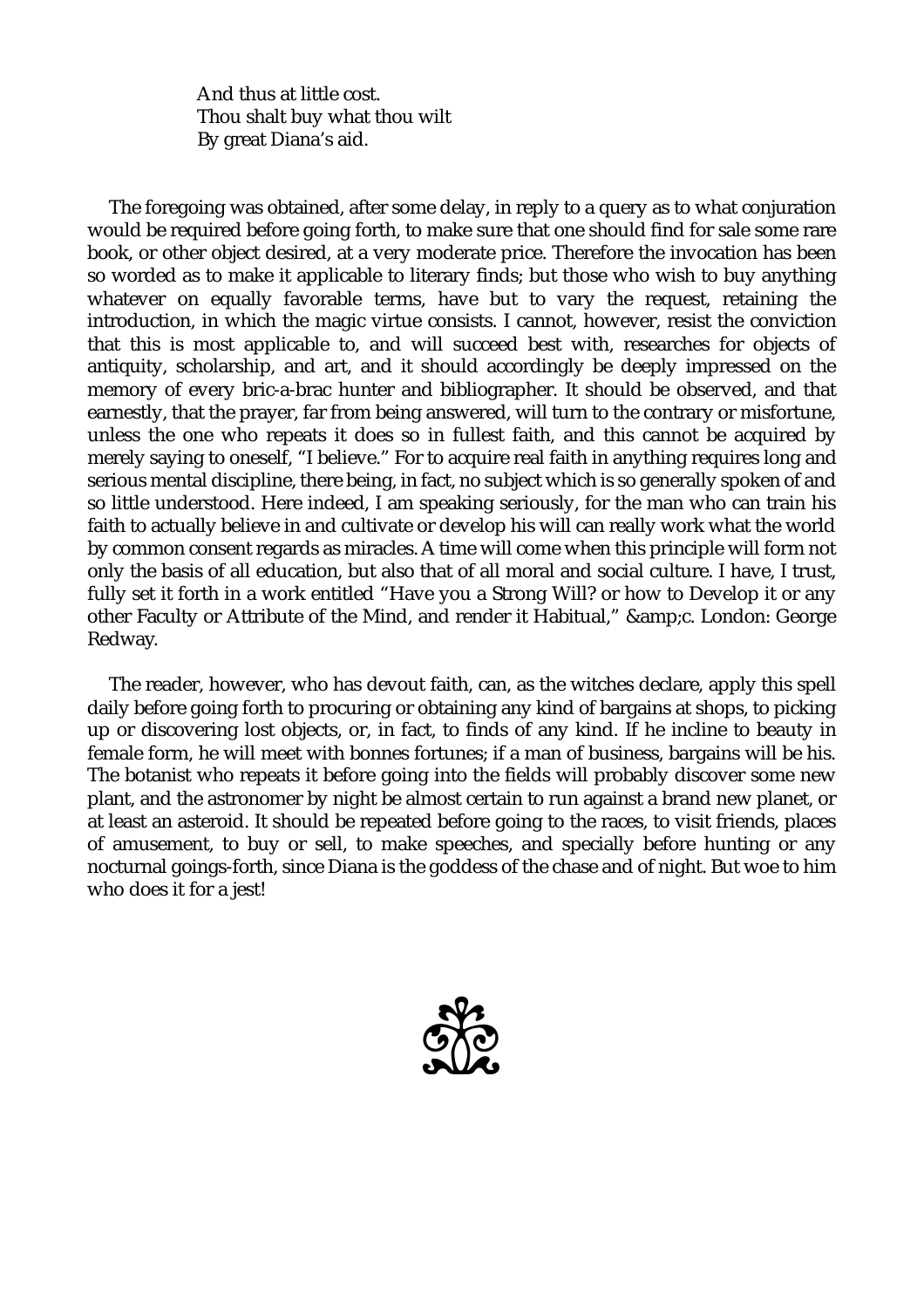And thus at little cost. Thou shalt buy what thou wilt By great Diana's aid.

The foregoing was obtained, after some delay, in reply to a query as to what conjuration would be required before going forth, to make sure that one should find for sale some rare book, or other object desired, at a very moderate price. Therefore the invocation has been so worded as to make it applicable to literary finds; but those who wish to buy anything whatever on equally favorable terms, have but to vary the request, retaining the introduction, in which the magic virtue consists. I cannot, however, resist the conviction that this is most applicable to, and will succeed best with, researches for objects of antiquity, scholarship, and art, and it should accordingly be deeply impressed on the memory of every bric-a-brac hunter and bibliographer. It should be observed, and that earnestly, that the prayer, far from being answered, will turn to the contrary or misfortune, unless the one who repeats it does so in fullest faith, and this cannot be acquired by merely saying to oneself, "I believe." For to acquire real faith in anything requires long and serious mental discipline, there being, in fact, no subject which is so generally spoken of and so little understood. Here indeed, I am speaking seriously, for the man who can train his faith to actually believe in and cultivate or develop his will can really work what the world by common consent regards as miracles. A time will come when this principle will form not only the basis of all education, but also that of all moral and social culture. I have, I trust, fully set it forth in a work entitled "Have you a Strong Will? or how to Develop it or any other Faculty or Attribute of the Mind, and render it Habitual," &c. London: George Redway.

The reader, however, who has devout faith, can, as the witches declare, apply this spell daily before going forth to procuring or obtaining any kind of bargains at shops, to picking up or discovering lost objects, or, in fact, to finds of any kind. If he incline to beauty in female form, he will meet with bonnes fortunes; if a man of business, bargains will be his. The botanist who repeats it before going into the fields will probably discover some new plant, and the astronomer by night be almost certain to run against a brand new planet, or at least an asteroid. It should be repeated before going to the races, to visit friends, places of amusement, to buy or sell, to make speeches, and specially before hunting or any nocturnal goings-forth, since Diana is the goddess of the chase and of night. But woe to him who does it for a jest!

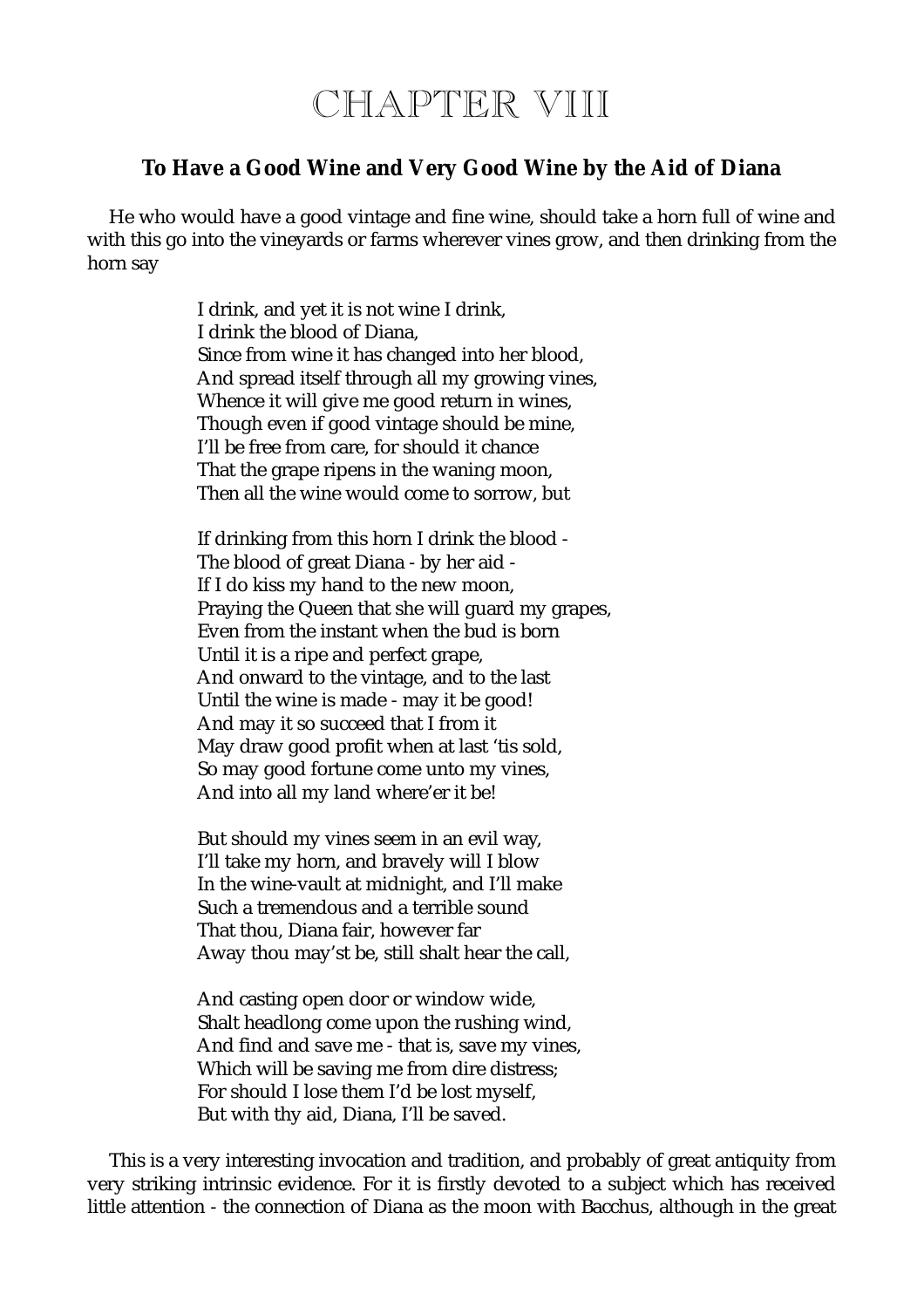## CHAPTER VIII

### **To Have a Good Wine and Very Good Wine by the Aid of Diana**

He who would have a good vintage and fine wine, should take a horn full of wine and with this go into the vineyards or farms wherever vines grow, and then drinking from the horn say

> I drink, and yet it is not wine I drink, I drink the blood of Diana, Since from wine it has changed into her blood, And spread itself through all my growing vines, Whence it will give me good return in wines, Though even if good vintage should be mine, I'll be free from care, for should it chance That the grape ripens in the waning moon, Then all the wine would come to sorrow, but

If drinking from this horn I drink the blood - The blood of great Diana - by her aid - If I do kiss my hand to the new moon, Praying the Queen that she will guard my grapes, Even from the instant when the bud is born Until it is a ripe and perfect grape, And onward to the vintage, and to the last Until the wine is made - may it be good! And may it so succeed that I from it May draw good profit when at last 'tis sold, So may good fortune come unto my vines, And into all my land where'er it be!

But should my vines seem in an evil way, I'll take my horn, and bravely will I blow In the wine-vault at midnight, and I'll make Such a tremendous and a terrible sound That thou, Diana fair, however far Away thou may'st be, still shalt hear the call,

And casting open door or window wide, Shalt headlong come upon the rushing wind, And find and save me - that is, save my vines, Which will be saving me from dire distress; For should I lose them I'd be lost myself, But with thy aid, Diana, I'll be saved.

This is a very interesting invocation and tradition, and probably of great antiquity from very striking intrinsic evidence. For it is firstly devoted to a subject which has received little attention - the connection of Diana as the moon with Bacchus, although in the great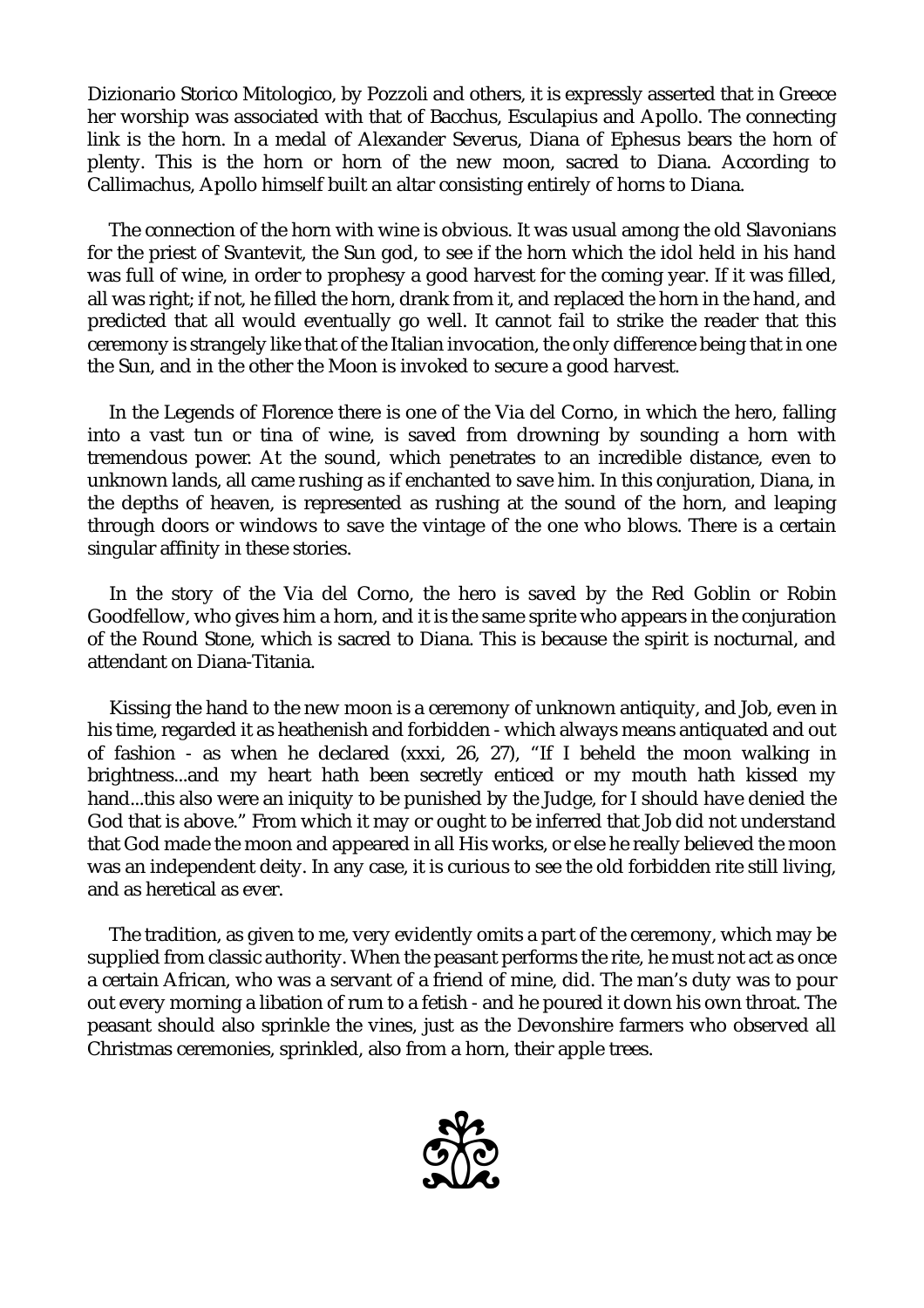Dizionario Storico Mitologico, by Pozzoli and others, it is expressly asserted that in Greece her worship was associated with that of Bacchus, Esculapius and Apollo. The connecting link is the horn. In a medal of Alexander Severus, Diana of Ephesus bears the horn of plenty. This is the horn or horn of the new moon, sacred to Diana. According to Callimachus, Apollo himself built an altar consisting entirely of horns to Diana.

The connection of the horn with wine is obvious. It was usual among the old Slavonians for the priest of Svantevit, the Sun god, to see if the horn which the idol held in his hand was full of wine, in order to prophesy a good harvest for the coming year. If it was filled, all was right; if not, he filled the horn, drank from it, and replaced the horn in the hand, and predicted that all would eventually go well. It cannot fail to strike the reader that this ceremony is strangely like that of the Italian invocation, the only difference being that in one the Sun, and in the other the Moon is invoked to secure a good harvest.

In the Legends of Florence there is one of the Via del Corno, in which the hero, falling into a vast tun or tina of wine, is saved from drowning by sounding a horn with tremendous power. At the sound, which penetrates to an incredible distance, even to unknown lands, all came rushing as if enchanted to save him. In this conjuration, Diana, in the depths of heaven, is represented as rushing at the sound of the horn, and leaping through doors or windows to save the vintage of the one who blows. There is a certain singular affinity in these stories.

In the story of the Via del Corno, the hero is saved by the Red Goblin or Robin Goodfellow, who gives him a horn, and it is the same sprite who appears in the conjuration of the Round Stone, which is sacred to Diana. This is because the spirit is nocturnal, and attendant on Diana-Titania.

Kissing the hand to the new moon is a ceremony of unknown antiquity, and Job, even in his time, regarded it as heathenish and forbidden - which always means antiquated and out of fashion - as when he declared (xxxi, 26, 27), "If I beheld the moon walking in brightness...and my heart hath been secretly enticed or my mouth hath kissed my hand...this also were an iniquity to be punished by the Judge, for I should have denied the God that is above." From which it may or ought to be inferred that Job did not understand that God made the moon and appeared in all His works, or else he really believed the moon was an independent deity. In any case, it is curious to see the old forbidden rite still living, and as heretical as ever.

The tradition, as given to me, very evidently omits a part of the ceremony, which may be supplied from classic authority. When the peasant performs the rite, he must not act as once a certain African, who was a servant of a friend of mine, did. The man's duty was to pour out every morning a libation of rum to a fetish - and he poured it down his own throat. The peasant should also sprinkle the vines, just as the Devonshire farmers who observed all Christmas ceremonies, sprinkled, also from a horn, their apple trees.

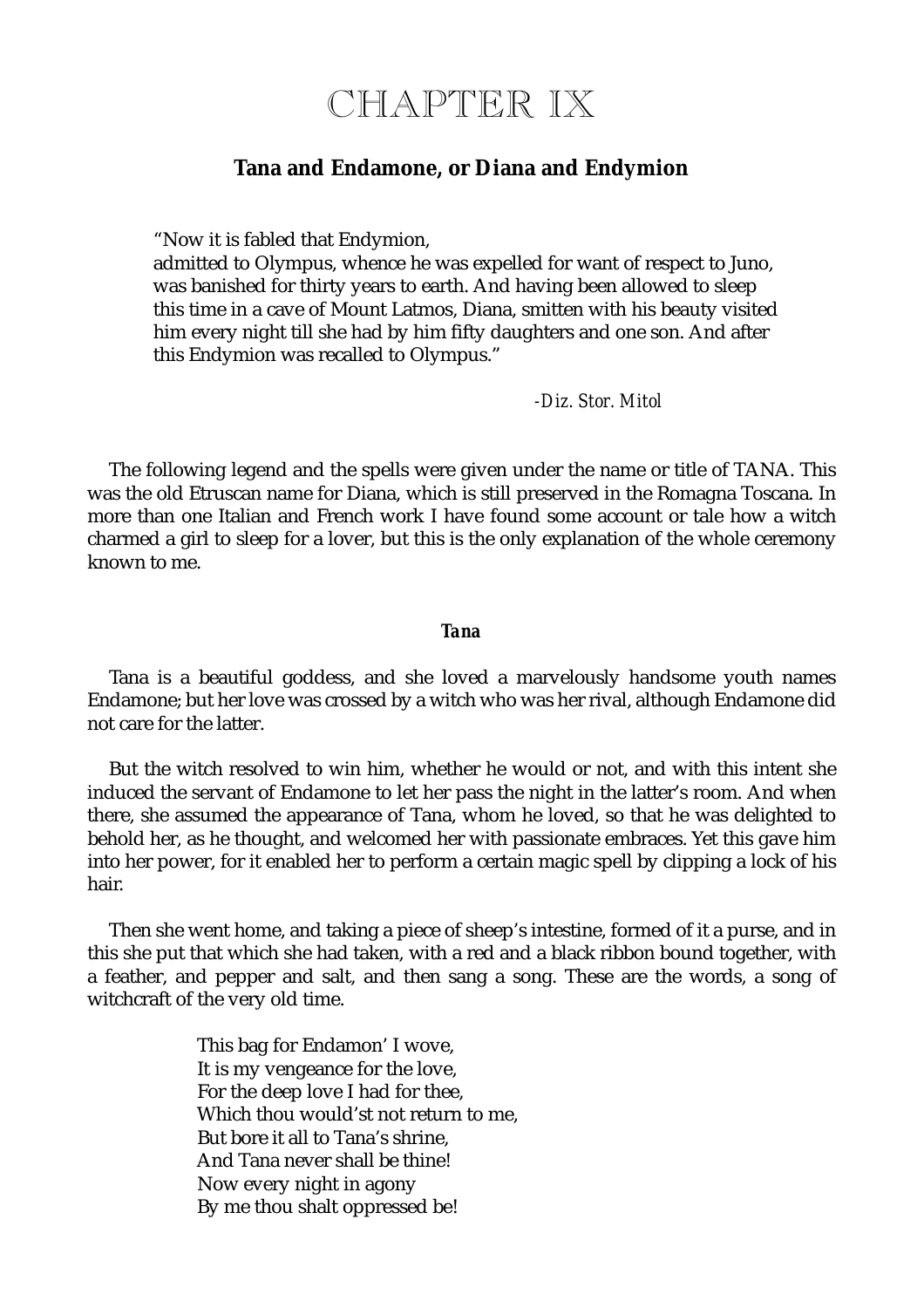## CHAPTER IX

### **Tana and Endamone, or Diana and Endymion**

"Now it is fabled that Endymion,

admitted to Olympus, whence he was expelled for want of respect to Juno, was banished for thirty years to earth. And having been allowed to sleep this time in a cave of Mount Latmos, Diana, smitten with his beauty visited him every night till she had by him fifty daughters and one son. And after this Endymion was recalled to Olympus."

*-Diz. Stor. Mitol* 

The following legend and the spells were given under the name or title of TANA. This was the old Etruscan name for Diana, which is still preserved in the Romagna Toscana. In more than one Italian and French work I have found some account or tale how a witch charmed a girl to sleep for a lover, but this is the only explanation of the whole ceremony known to me.

#### *Tana*

Tana is a beautiful goddess, and she loved a marvelously handsome youth names Endamone; but her love was crossed by a witch who was her rival, although Endamone did not care for the latter.

But the witch resolved to win him, whether he would or not, and with this intent she induced the servant of Endamone to let her pass the night in the latter's room. And when there, she assumed the appearance of Tana, whom he loved, so that he was delighted to behold her, as he thought, and welcomed her with passionate embraces. Yet this gave him into her power, for it enabled her to perform a certain magic spell by clipping a lock of his hair.

Then she went home, and taking a piece of sheep's intestine, formed of it a purse, and in this she put that which she had taken, with a red and a black ribbon bound together, with a feather, and pepper and salt, and then sang a song. These are the words, a song of witchcraft of the very old time.

> This bag for Endamon' I wove, It is my vengeance for the love, For the deep love I had for thee, Which thou would'st not return to me, But bore it all to Tana's shrine, And Tana never shall be thine! Now every night in agony By me thou shalt oppressed be!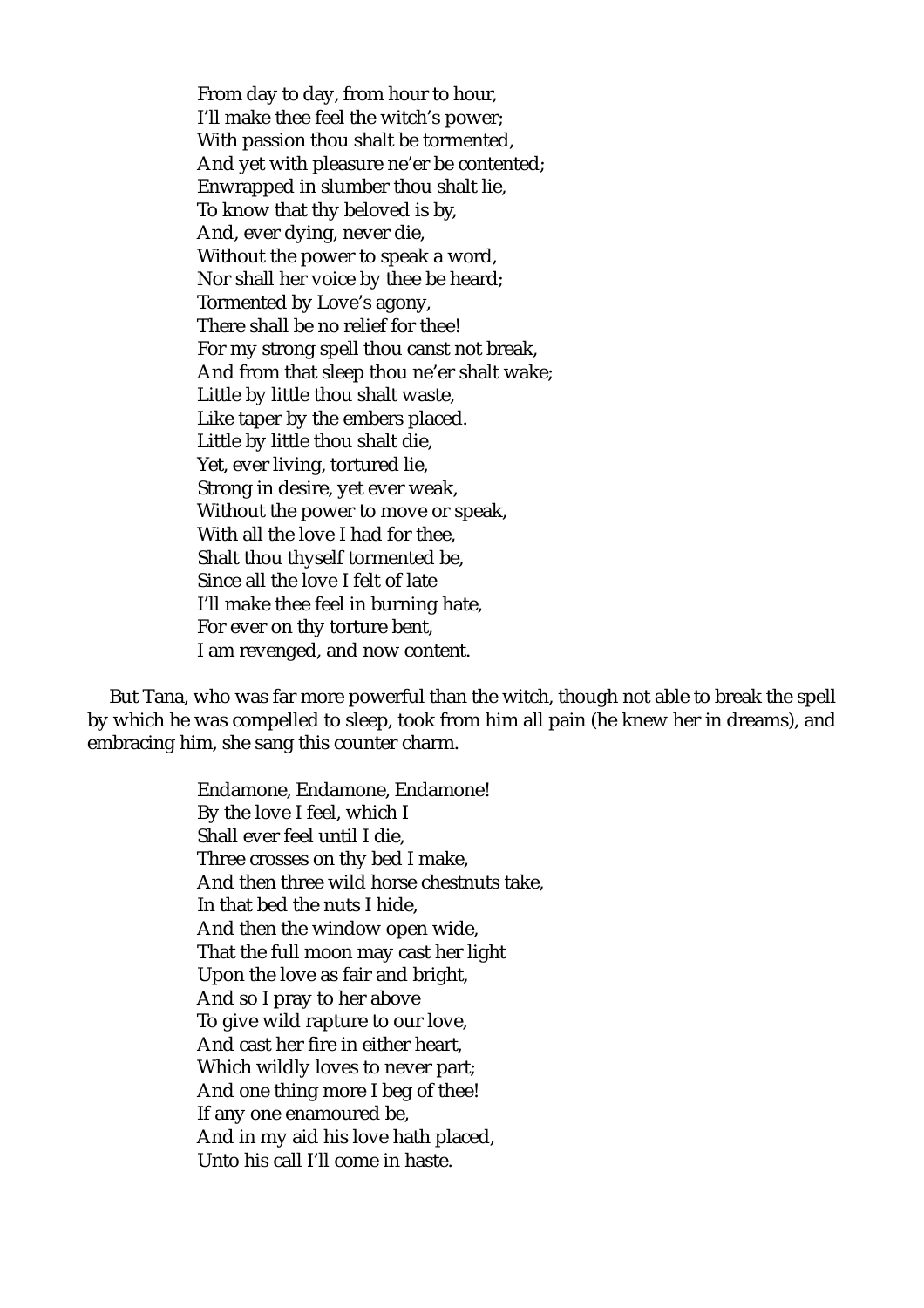From day to day, from hour to hour, I'll make thee feel the witch's power; With passion thou shalt be tormented, And yet with pleasure ne'er be contented; Enwrapped in slumber thou shalt lie, To know that thy beloved is by, And, ever dying, never die, Without the power to speak a word, Nor shall her voice by thee be heard; Tormented by Love's agony, There shall be no relief for thee! For my strong spell thou canst not break, And from that sleep thou ne'er shalt wake; Little by little thou shalt waste, Like taper by the embers placed. Little by little thou shalt die, Yet, ever living, tortured lie, Strong in desire, yet ever weak, Without the power to move or speak, With all the love I had for thee, Shalt thou thyself tormented be, Since all the love I felt of late I'll make thee feel in burning hate, For ever on thy torture bent, I am revenged, and now content.

But Tana, who was far more powerful than the witch, though not able to break the spell by which he was compelled to sleep, took from him all pain (he knew her in dreams), and embracing him, she sang this counter charm.

> Endamone, Endamone, Endamone! By the love I feel, which I Shall ever feel until I die, Three crosses on thy bed I make, And then three wild horse chestnuts take, In that bed the nuts I hide, And then the window open wide, That the full moon may cast her light Upon the love as fair and bright, And so I pray to her above To give wild rapture to our love, And cast her fire in either heart, Which wildly loves to never part; And one thing more I beg of thee! If any one enamoured be, And in my aid his love hath placed, Unto his call I'll come in haste.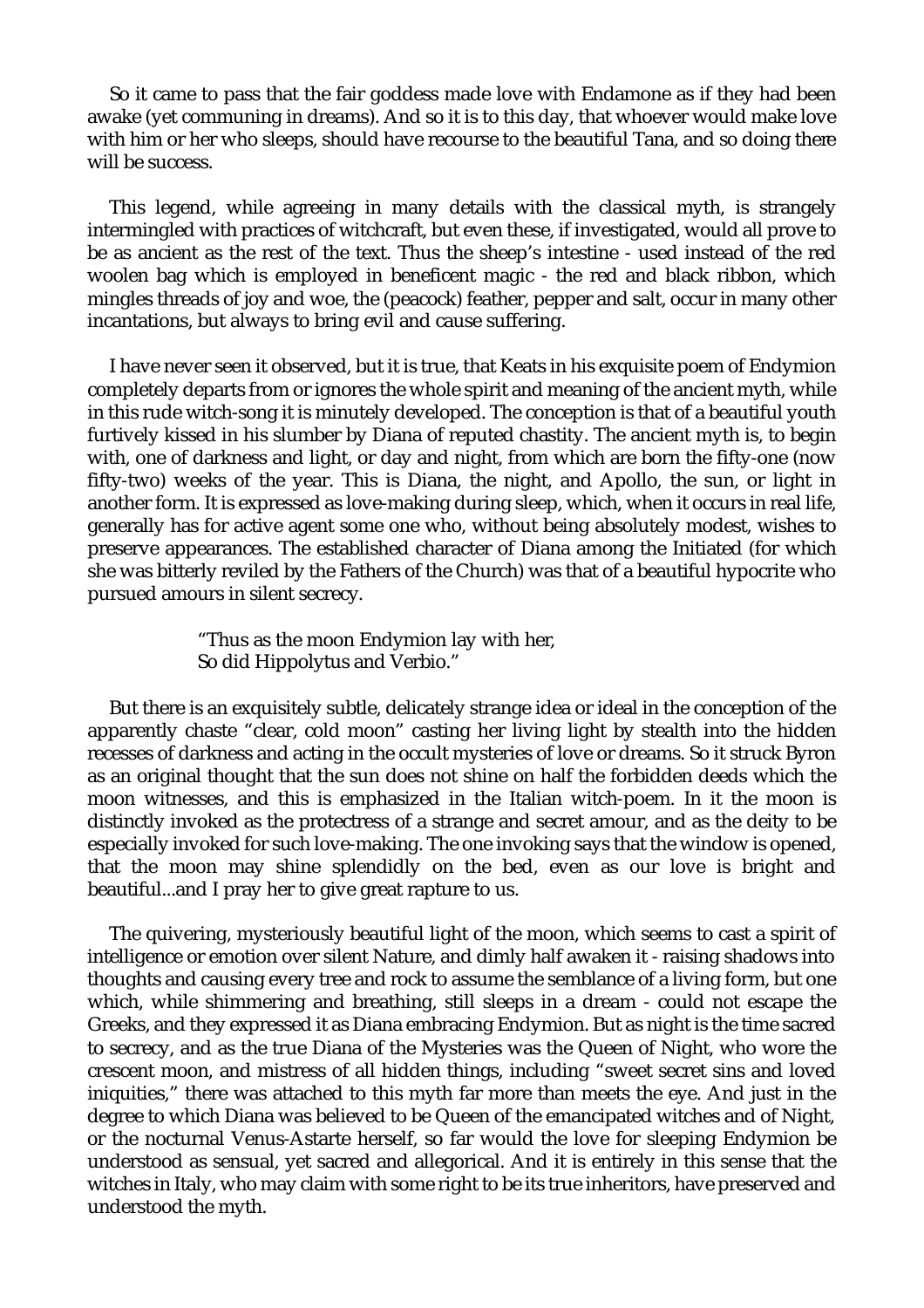So it came to pass that the fair goddess made love with Endamone as if they had been awake (yet communing in dreams). And so it is to this day, that whoever would make love with him or her who sleeps, should have recourse to the beautiful Tana, and so doing there will be success.

This legend, while agreeing in many details with the classical myth, is strangely intermingled with practices of witchcraft, but even these, if investigated, would all prove to be as ancient as the rest of the text. Thus the sheep's intestine - used instead of the red woolen bag which is employed in beneficent magic - the red and black ribbon, which mingles threads of joy and woe, the (peacock) feather, pepper and salt, occur in many other incantations, but always to bring evil and cause suffering.

I have never seen it observed, but it is true, that Keats in his exquisite poem of Endymion completely departs from or ignores the whole spirit and meaning of the ancient myth, while in this rude witch-song it is minutely developed. The conception is that of a beautiful youth furtively kissed in his slumber by Diana of reputed chastity. The ancient myth is, to begin with, one of darkness and light, or day and night, from which are born the fifty-one (now fifty-two) weeks of the year. This is Diana, the night, and Apollo, the sun, or light in another form. It is expressed as love-making during sleep, which, when it occurs in real life, generally has for active agent some one who, without being absolutely modest, wishes to preserve appearances. The established character of Diana among the Initiated (for which she was bitterly reviled by the Fathers of the Church) was that of a beautiful hypocrite who pursued amours in silent secrecy.

> "Thus as the moon Endymion lay with her, So did Hippolytus and Verbio."

But there is an exquisitely subtle, delicately strange idea or ideal in the conception of the apparently chaste "clear, cold moon" casting her living light by stealth into the hidden recesses of darkness and acting in the occult mysteries of love or dreams. So it struck Byron as an original thought that the sun does not shine on half the forbidden deeds which the moon witnesses, and this is emphasized in the Italian witch-poem. In it the moon is distinctly invoked as the protectress of a strange and secret amour, and as the deity to be especially invoked for such love-making. The one invoking says that the window is opened, that the moon may shine splendidly on the bed, even as our love is bright and beautiful...and I pray her to give great rapture to us.

The quivering, mysteriously beautiful light of the moon, which seems to cast a spirit of intelligence or emotion over silent Nature, and dimly half awaken it - raising shadows into thoughts and causing every tree and rock to assume the semblance of a living form, but one which, while shimmering and breathing, still sleeps in a dream - could not escape the Greeks, and they expressed it as Diana embracing Endymion. But as night is the time sacred to secrecy, and as the true Diana of the Mysteries was the Queen of Night, who wore the crescent moon, and mistress of all hidden things, including "sweet secret sins and loved iniquities," there was attached to this myth far more than meets the eye. And just in the degree to which Diana was believed to be Queen of the emancipated witches and of Night, or the nocturnal Venus-Astarte herself, so far would the love for sleeping Endymion be understood as sensual, yet sacred and allegorical. And it is entirely in this sense that the witches in Italy, who may claim with some right to be its true inheritors, have preserved and understood the myth.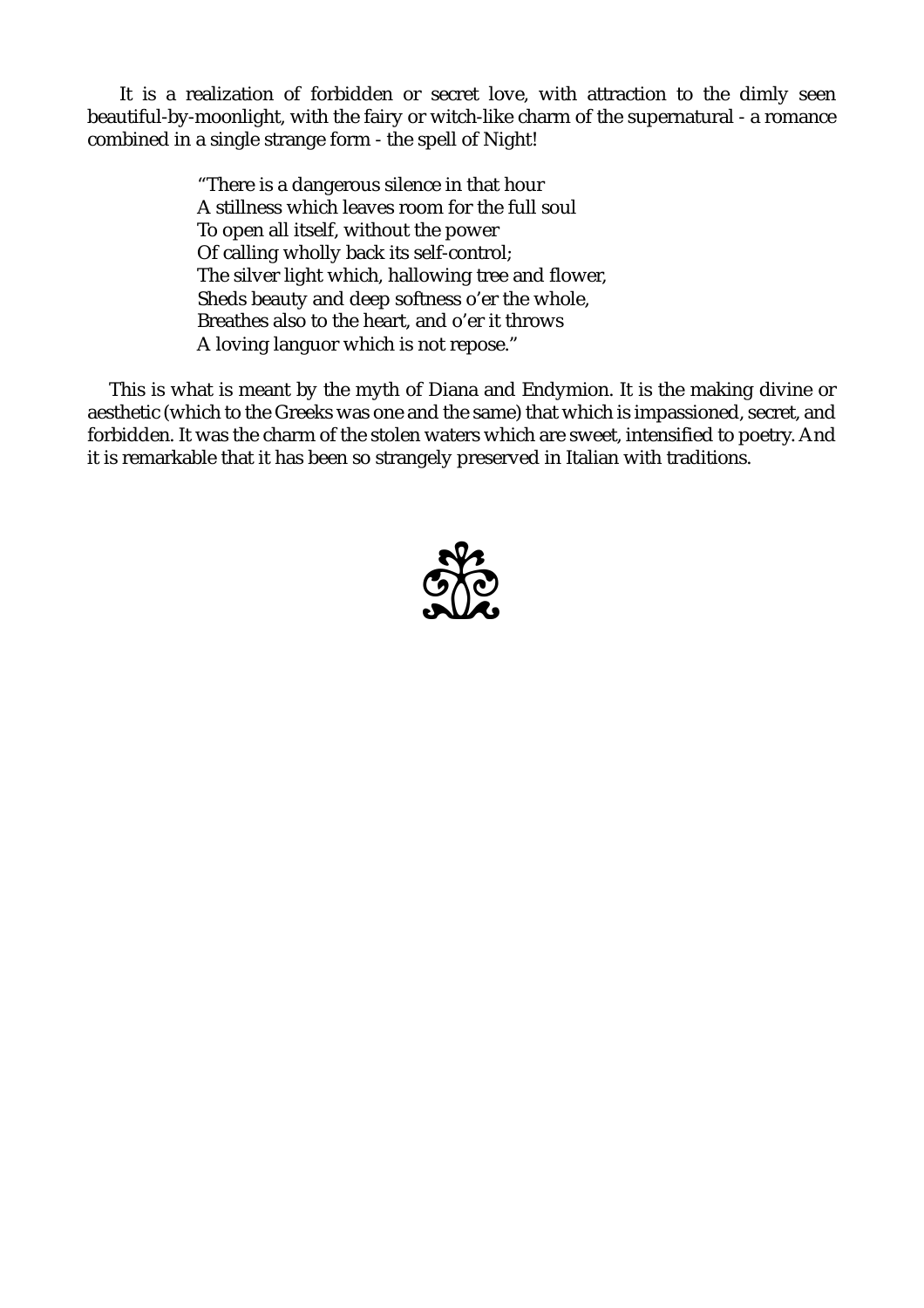It is a realization of forbidden or secret love, with attraction to the dimly seen beautiful-by-moonlight, with the fairy or witch-like charm of the supernatural - a romance combined in a single strange form - the spell of Night!

> "There is a dangerous silence in that hour A stillness which leaves room for the full soul To open all itself, without the power Of calling wholly back its self-control; The silver light which, hallowing tree and flower, Sheds beauty and deep softness o'er the whole, Breathes also to the heart, and o'er it throws A loving languor which is not repose."

This is what is meant by the myth of Diana and Endymion. It is the making divine or aesthetic (which to the Greeks was one and the same) that which is impassioned, secret, and forbidden. It was the charm of the stolen waters which are sweet, intensified to poetry. And it is remarkable that it has been so strangely preserved in Italian with traditions.

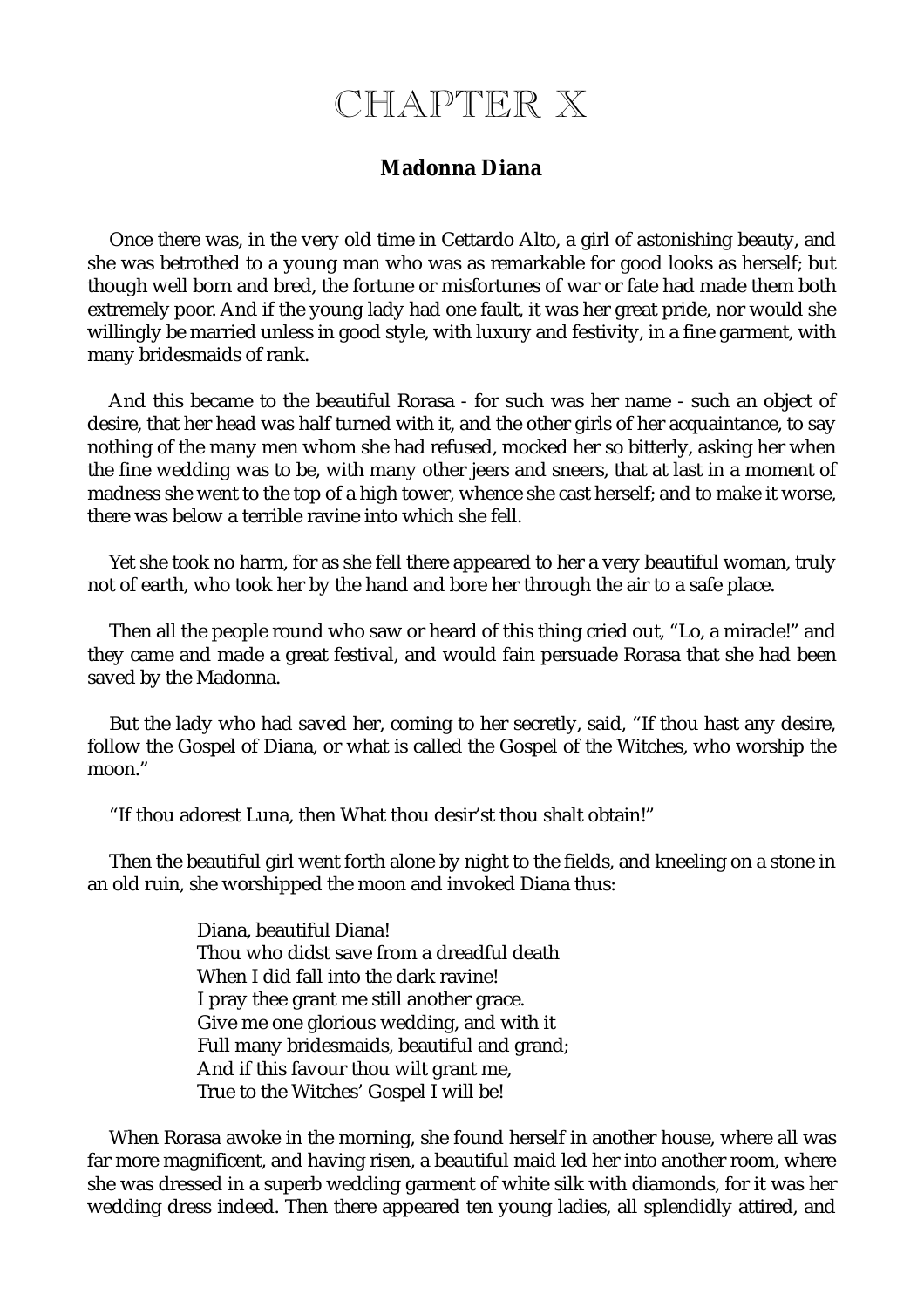## CHAPTER X

### **Madonna Diana**

Once there was, in the very old time in Cettardo Alto, a girl of astonishing beauty, and she was betrothed to a young man who was as remarkable for good looks as herself; but though well born and bred, the fortune or misfortunes of war or fate had made them both extremely poor. And if the young lady had one fault, it was her great pride, nor would she willingly be married unless in good style, with luxury and festivity, in a fine garment, with many bridesmaids of rank.

And this became to the beautiful Rorasa - for such was her name - such an object of desire, that her head was half turned with it, and the other girls of her acquaintance, to say nothing of the many men whom she had refused, mocked her so bitterly, asking her when the fine wedding was to be, with many other jeers and sneers, that at last in a moment of madness she went to the top of a high tower, whence she cast herself; and to make it worse, there was below a terrible ravine into which she fell.

Yet she took no harm, for as she fell there appeared to her a very beautiful woman, truly not of earth, who took her by the hand and bore her through the air to a safe place.

Then all the people round who saw or heard of this thing cried out, "Lo, a miracle!" and they came and made a great festival, and would fain persuade Rorasa that she had been saved by the Madonna.

But the lady who had saved her, coming to her secretly, said, "If thou hast any desire, follow the Gospel of Diana, or what is called the Gospel of the Witches, who worship the moon."

"If thou adorest Luna, then What thou desir'st thou shalt obtain!"

Then the beautiful girl went forth alone by night to the fields, and kneeling on a stone in an old ruin, she worshipped the moon and invoked Diana thus:

> Diana, beautiful Diana! Thou who didst save from a dreadful death When I did fall into the dark ravine! I pray thee grant me still another grace. Give me one glorious wedding, and with it Full many bridesmaids, beautiful and grand; And if this favour thou wilt grant me, True to the Witches' Gospel I will be!

When Rorasa awoke in the morning, she found herself in another house, where all was far more magnificent, and having risen, a beautiful maid led her into another room, where she was dressed in a superb wedding garment of white silk with diamonds, for it was her wedding dress indeed. Then there appeared ten young ladies, all splendidly attired, and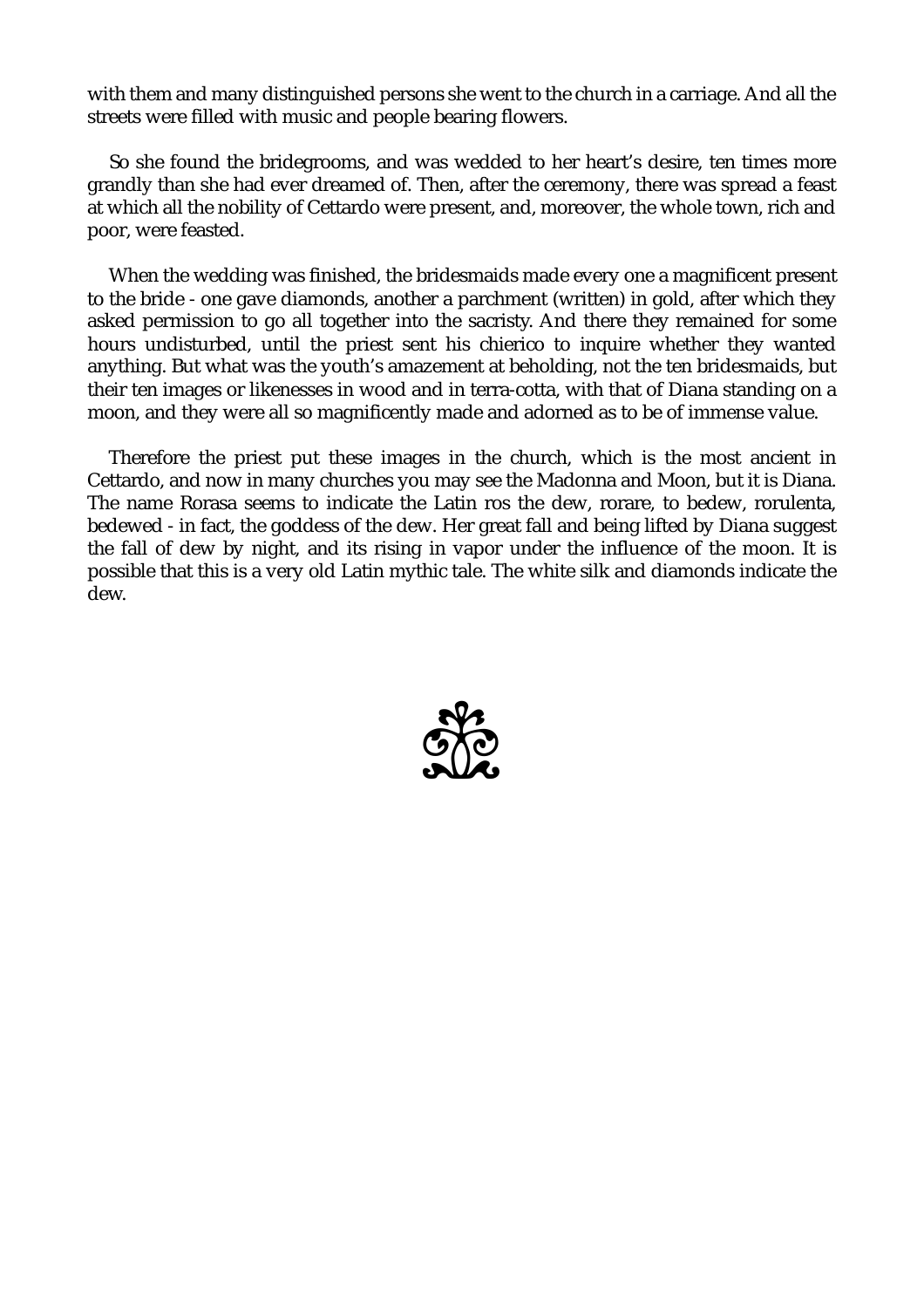with them and many distinguished persons she went to the church in a carriage. And all the streets were filled with music and people bearing flowers.

So she found the bridegrooms, and was wedded to her heart's desire, ten times more grandly than she had ever dreamed of. Then, after the ceremony, there was spread a feast at which all the nobility of Cettardo were present, and, moreover, the whole town, rich and poor, were feasted.

When the wedding was finished, the bridesmaids made every one a magnificent present to the bride - one gave diamonds, another a parchment (written) in gold, after which they asked permission to go all together into the sacristy. And there they remained for some hours undisturbed, until the priest sent his chierico to inquire whether they wanted anything. But what was the youth's amazement at beholding, not the ten bridesmaids, but their ten images or likenesses in wood and in terra-cotta, with that of Diana standing on a moon, and they were all so magnificently made and adorned as to be of immense value.

Therefore the priest put these images in the church, which is the most ancient in Cettardo, and now in many churches you may see the Madonna and Moon, but it is Diana. The name Rorasa seems to indicate the Latin ros the dew, rorare, to bedew, rorulenta, bedewed - in fact, the goddess of the dew. Her great fall and being lifted by Diana suggest the fall of dew by night, and its rising in vapor under the influence of the moon. It is possible that this is a very old Latin mythic tale. The white silk and diamonds indicate the dew.

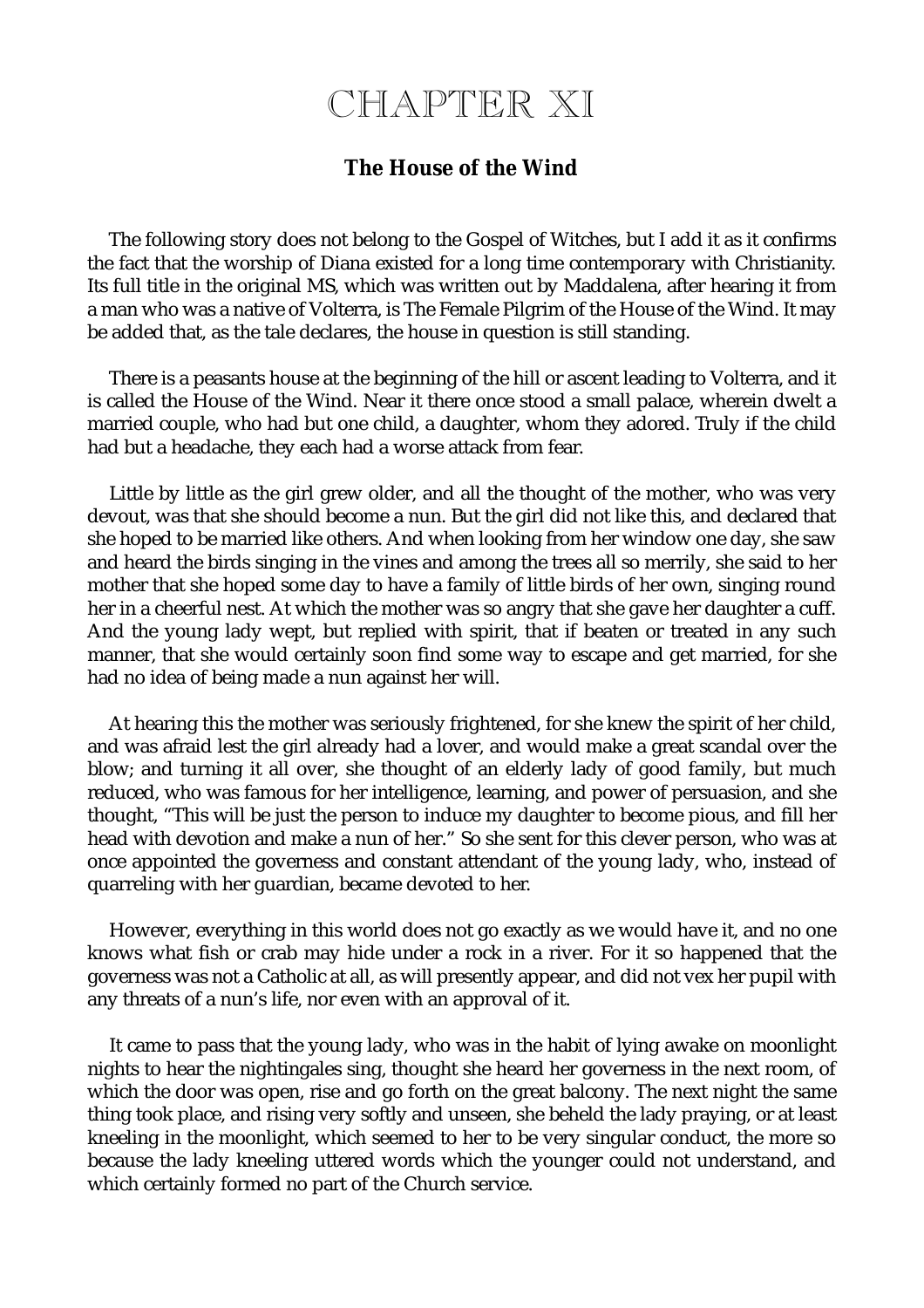## CHAPTER XI

### **The House of the Wind**

The following story does not belong to the Gospel of Witches, but I add it as it confirms the fact that the worship of Diana existed for a long time contemporary with Christianity. Its full title in the original MS, which was written out by Maddalena, after hearing it from a man who was a native of Volterra, is The Female Pilgrim of the House of the Wind. It may be added that, as the tale declares, the house in question is still standing.

There is a peasants house at the beginning of the hill or ascent leading to Volterra, and it is called the House of the Wind. Near it there once stood a small palace, wherein dwelt a married couple, who had but one child, a daughter, whom they adored. Truly if the child had but a headache, they each had a worse attack from fear.

Little by little as the girl grew older, and all the thought of the mother, who was very devout, was that she should become a nun. But the girl did not like this, and declared that she hoped to be married like others. And when looking from her window one day, she saw and heard the birds singing in the vines and among the trees all so merrily, she said to her mother that she hoped some day to have a family of little birds of her own, singing round her in a cheerful nest. At which the mother was so angry that she gave her daughter a cuff. And the young lady wept, but replied with spirit, that if beaten or treated in any such manner, that she would certainly soon find some way to escape and get married, for she had no idea of being made a nun against her will.

At hearing this the mother was seriously frightened, for she knew the spirit of her child, and was afraid lest the girl already had a lover, and would make a great scandal over the blow; and turning it all over, she thought of an elderly lady of good family, but much reduced, who was famous for her intelligence, learning, and power of persuasion, and she thought, "This will be just the person to induce my daughter to become pious, and fill her head with devotion and make a nun of her." So she sent for this clever person, who was at once appointed the governess and constant attendant of the young lady, who, instead of quarreling with her guardian, became devoted to her.

However, everything in this world does not go exactly as we would have it, and no one knows what fish or crab may hide under a rock in a river. For it so happened that the governess was not a Catholic at all, as will presently appear, and did not vex her pupil with any threats of a nun's life, nor even with an approval of it.

It came to pass that the young lady, who was in the habit of lying awake on moonlight nights to hear the nightingales sing, thought she heard her governess in the next room, of which the door was open, rise and go forth on the great balcony. The next night the same thing took place, and rising very softly and unseen, she beheld the lady praying, or at least kneeling in the moonlight, which seemed to her to be very singular conduct, the more so because the lady kneeling uttered words which the younger could not understand, and which certainly formed no part of the Church service.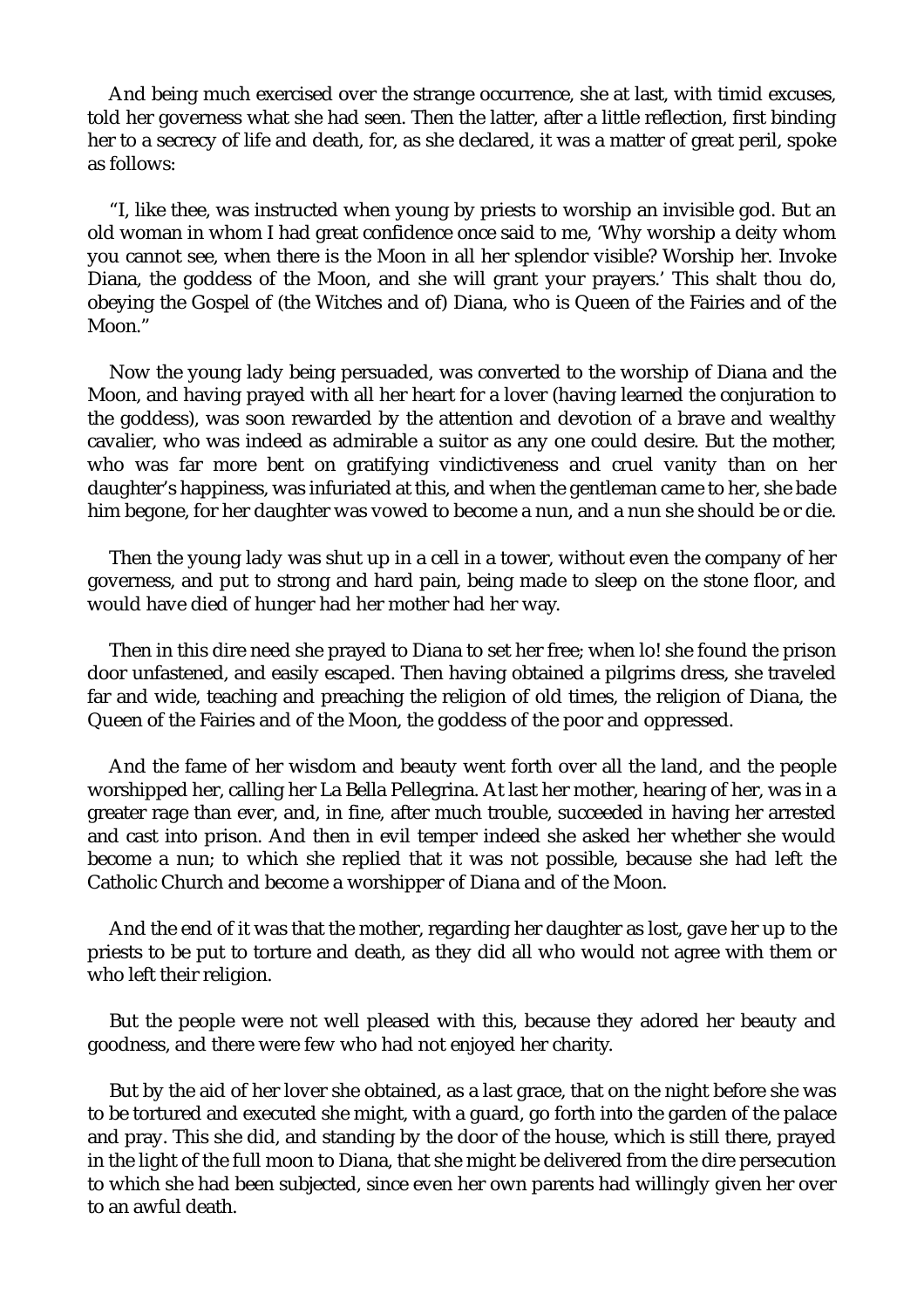And being much exercised over the strange occurrence, she at last, with timid excuses, told her governess what she had seen. Then the latter, after a little reflection, first binding her to a secrecy of life and death, for, as she declared, it was a matter of great peril, spoke as follows:

"I, like thee, was instructed when young by priests to worship an invisible god. But an old woman in whom I had great confidence once said to me, 'Why worship a deity whom you cannot see, when there is the Moon in all her splendor visible? Worship her. Invoke Diana, the goddess of the Moon, and she will grant your prayers.' This shalt thou do, obeying the Gospel of (the Witches and of) Diana, who is Queen of the Fairies and of the Moon."

Now the young lady being persuaded, was converted to the worship of Diana and the Moon, and having prayed with all her heart for a lover (having learned the conjuration to the goddess), was soon rewarded by the attention and devotion of a brave and wealthy cavalier, who was indeed as admirable a suitor as any one could desire. But the mother, who was far more bent on gratifying vindictiveness and cruel vanity than on her daughter's happiness, was infuriated at this, and when the gentleman came to her, she bade him begone, for her daughter was vowed to become a nun, and a nun she should be or die.

Then the young lady was shut up in a cell in a tower, without even the company of her governess, and put to strong and hard pain, being made to sleep on the stone floor, and would have died of hunger had her mother had her way.

Then in this dire need she prayed to Diana to set her free; when lo! she found the prison door unfastened, and easily escaped. Then having obtained a pilgrims dress, she traveled far and wide, teaching and preaching the religion of old times, the religion of Diana, the Queen of the Fairies and of the Moon, the goddess of the poor and oppressed.

And the fame of her wisdom and beauty went forth over all the land, and the people worshipped her, calling her La Bella Pellegrina. At last her mother, hearing of her, was in a greater rage than ever, and, in fine, after much trouble, succeeded in having her arrested and cast into prison. And then in evil temper indeed she asked her whether she would become a nun; to which she replied that it was not possible, because she had left the Catholic Church and become a worshipper of Diana and of the Moon.

And the end of it was that the mother, regarding her daughter as lost, gave her up to the priests to be put to torture and death, as they did all who would not agree with them or who left their religion.

But the people were not well pleased with this, because they adored her beauty and goodness, and there were few who had not enjoyed her charity.

But by the aid of her lover she obtained, as a last grace, that on the night before she was to be tortured and executed she might, with a guard, go forth into the garden of the palace and pray. This she did, and standing by the door of the house, which is still there, prayed in the light of the full moon to Diana, that she might be delivered from the dire persecution to which she had been subjected, since even her own parents had willingly given her over to an awful death.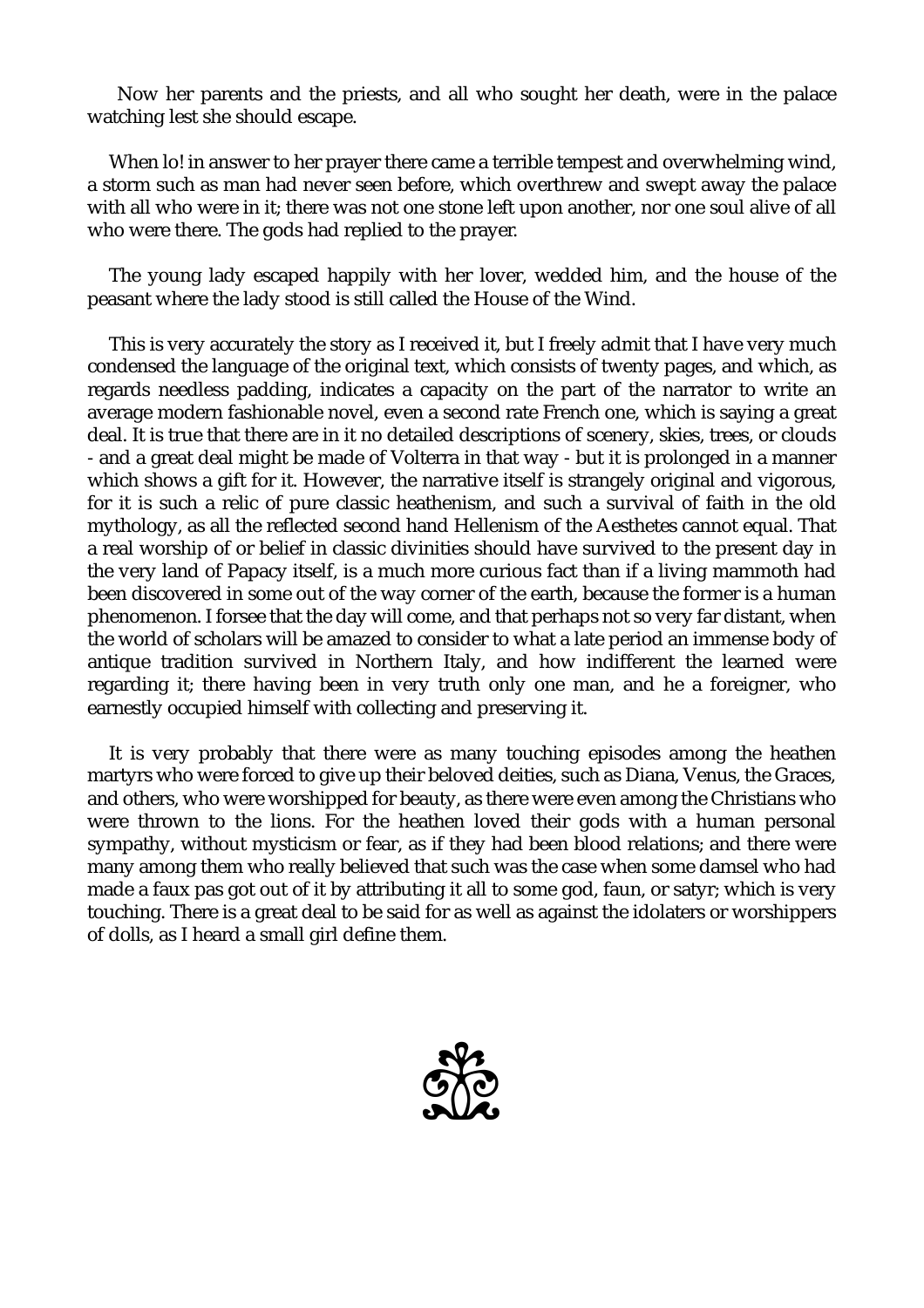Now her parents and the priests, and all who sought her death, were in the palace watching lest she should escape.

When lo! in answer to her prayer there came a terrible tempest and overwhelming wind, a storm such as man had never seen before, which overthrew and swept away the palace with all who were in it; there was not one stone left upon another, nor one soul alive of all who were there. The gods had replied to the prayer.

The young lady escaped happily with her lover, wedded him, and the house of the peasant where the lady stood is still called the House of the Wind.

This is very accurately the story as I received it, but I freely admit that I have very much condensed the language of the original text, which consists of twenty pages, and which, as regards needless padding, indicates a capacity on the part of the narrator to write an average modern fashionable novel, even a second rate French one, which is saying a great deal. It is true that there are in it no detailed descriptions of scenery, skies, trees, or clouds - and a great deal might be made of Volterra in that way - but it is prolonged in a manner which shows a gift for it. However, the narrative itself is strangely original and vigorous, for it is such a relic of pure classic heathenism, and such a survival of faith in the old mythology, as all the reflected second hand Hellenism of the Aesthetes cannot equal. That a real worship of or belief in classic divinities should have survived to the present day in the very land of Papacy itself, is a much more curious fact than if a living mammoth had been discovered in some out of the way corner of the earth, because the former is a human phenomenon. I forsee that the day will come, and that perhaps not so very far distant, when the world of scholars will be amazed to consider to what a late period an immense body of antique tradition survived in Northern Italy, and how indifferent the learned were regarding it; there having been in very truth only one man, and he a foreigner, who earnestly occupied himself with collecting and preserving it.

It is very probably that there were as many touching episodes among the heathen martyrs who were forced to give up their beloved deities, such as Diana, Venus, the Graces, and others, who were worshipped for beauty, as there were even among the Christians who were thrown to the lions. For the heathen loved their gods with a human personal sympathy, without mysticism or fear, as if they had been blood relations; and there were many among them who really believed that such was the case when some damsel who had made a faux pas got out of it by attributing it all to some god, faun, or satyr; which is very touching. There is a great deal to be said for as well as against the idolaters or worshippers of dolls, as I heard a small girl define them.

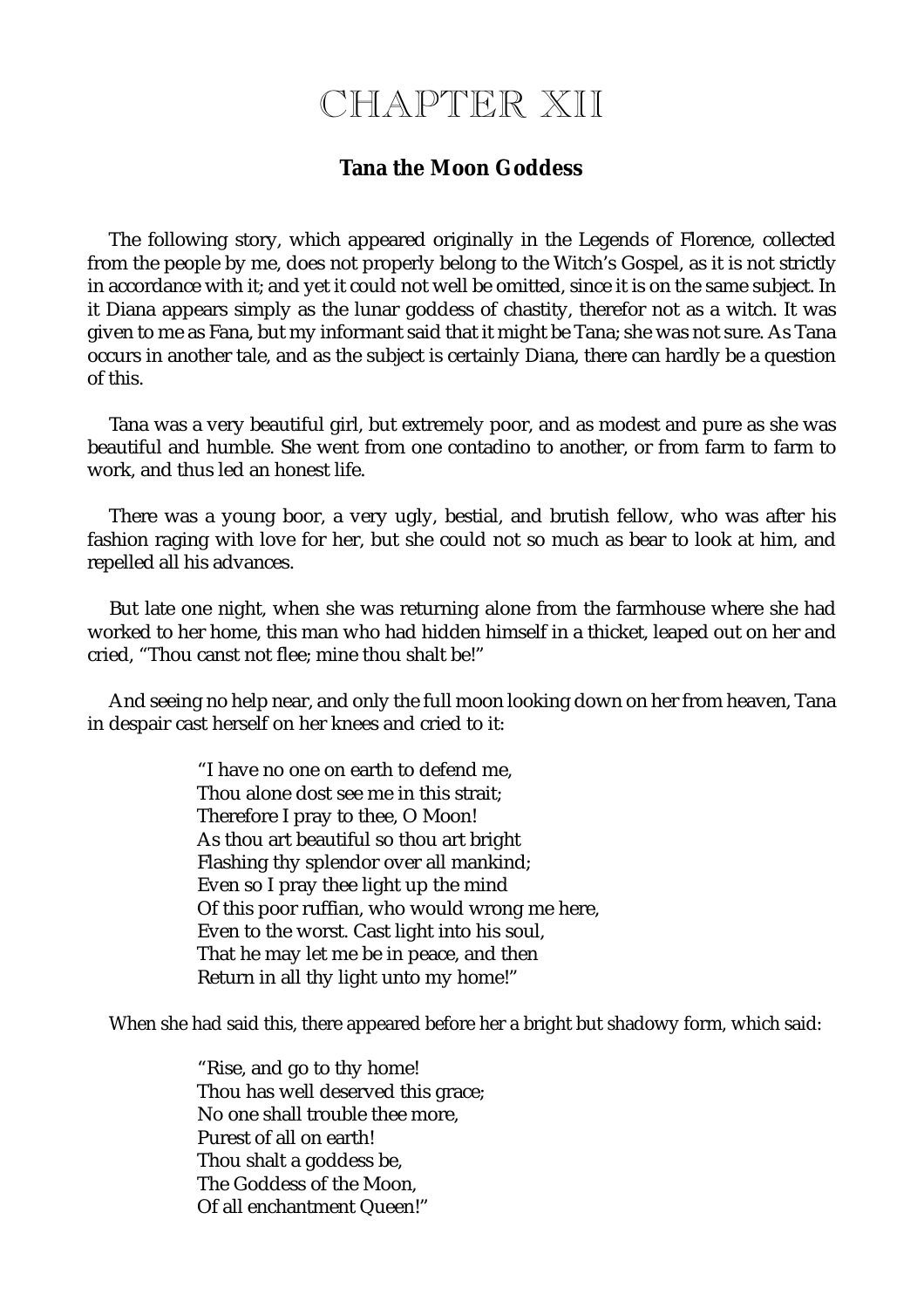## CHAPTER XII

### **Tana the Moon Goddess**

The following story, which appeared originally in the Legends of Florence, collected from the people by me, does not properly belong to the Witch's Gospel, as it is not strictly in accordance with it; and yet it could not well be omitted, since it is on the same subject. In it Diana appears simply as the lunar goddess of chastity, therefor not as a witch. It was given to me as Fana, but my informant said that it might be Tana; she was not sure. As Tana occurs in another tale, and as the subject is certainly Diana, there can hardly be a question of this.

Tana was a very beautiful girl, but extremely poor, and as modest and pure as she was beautiful and humble. She went from one contadino to another, or from farm to farm to work, and thus led an honest life.

There was a young boor, a very ugly, bestial, and brutish fellow, who was after his fashion raging with love for her, but she could not so much as bear to look at him, and repelled all his advances.

But late one night, when she was returning alone from the farmhouse where she had worked to her home, this man who had hidden himself in a thicket, leaped out on her and cried, "Thou canst not flee; mine thou shalt be!"

And seeing no help near, and only the full moon looking down on her from heaven, Tana in despair cast herself on her knees and cried to it:

> "I have no one on earth to defend me, Thou alone dost see me in this strait; Therefore I pray to thee, O Moon! As thou art beautiful so thou art bright Flashing thy splendor over all mankind; Even so I pray thee light up the mind Of this poor ruffian, who would wrong me here, Even to the worst. Cast light into his soul, That he may let me be in peace, and then Return in all thy light unto my home!"

When she had said this, there appeared before her a bright but shadowy form, which said:

"Rise, and go to thy home! Thou has well deserved this grace; No one shall trouble thee more, Purest of all on earth! Thou shalt a goddess be, The Goddess of the Moon, Of all enchantment Queen!"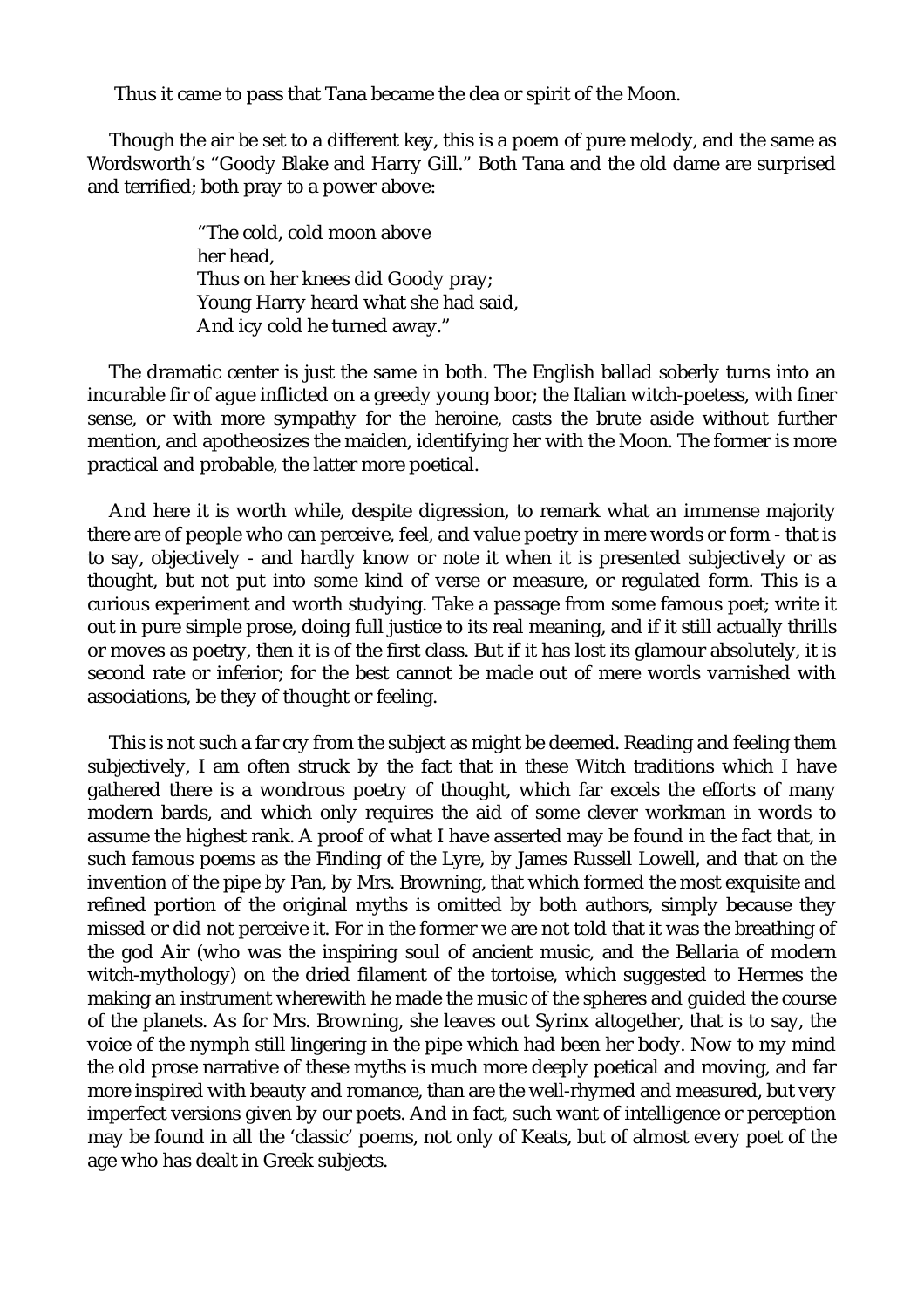Thus it came to pass that Tana became the dea or spirit of the Moon.

Though the air be set to a different key, this is a poem of pure melody, and the same as Wordsworth's "Goody Blake and Harry Gill." Both Tana and the old dame are surprised and terrified; both pray to a power above:

> "The cold, cold moon above her head, Thus on her knees did Goody pray; Young Harry heard what she had said, And icy cold he turned away."

The dramatic center is just the same in both. The English ballad soberly turns into an incurable fir of ague inflicted on a greedy young boor; the Italian witch-poetess, with finer sense, or with more sympathy for the heroine, casts the brute aside without further mention, and apotheosizes the maiden, identifying her with the Moon. The former is more practical and probable, the latter more poetical.

And here it is worth while, despite digression, to remark what an immense majority there are of people who can perceive, feel, and value poetry in mere words or form - that is to say, objectively - and hardly know or note it when it is presented subjectively or as thought, but not put into some kind of verse or measure, or regulated form. This is a curious experiment and worth studying. Take a passage from some famous poet; write it out in pure simple prose, doing full justice to its real meaning, and if it still actually thrills or moves as poetry, then it is of the first class. But if it has lost its glamour absolutely, it is second rate or inferior; for the best cannot be made out of mere words varnished with associations, be they of thought or feeling.

This is not such a far cry from the subject as might be deemed. Reading and feeling them subjectively, I am often struck by the fact that in these Witch traditions which I have gathered there is a wondrous poetry of thought, which far excels the efforts of many modern bards, and which only requires the aid of some clever workman in words to assume the highest rank. A proof of what I have asserted may be found in the fact that, in such famous poems as the Finding of the Lyre, by James Russell Lowell, and that on the invention of the pipe by Pan, by Mrs. Browning, that which formed the most exquisite and refined portion of the original myths is omitted by both authors, simply because they missed or did not perceive it. For in the former we are not told that it was the breathing of the god Air (who was the inspiring soul of ancient music, and the Bellaria of modern witch-mythology) on the dried filament of the tortoise, which suggested to Hermes the making an instrument wherewith he made the music of the spheres and guided the course of the planets. As for Mrs. Browning, she leaves out Syrinx altogether, that is to say, the voice of the nymph still lingering in the pipe which had been her body. Now to my mind the old prose narrative of these myths is much more deeply poetical and moving, and far more inspired with beauty and romance, than are the well-rhymed and measured, but very imperfect versions given by our poets. And in fact, such want of intelligence or perception may be found in all the 'classic' poems, not only of Keats, but of almost every poet of the age who has dealt in Greek subjects.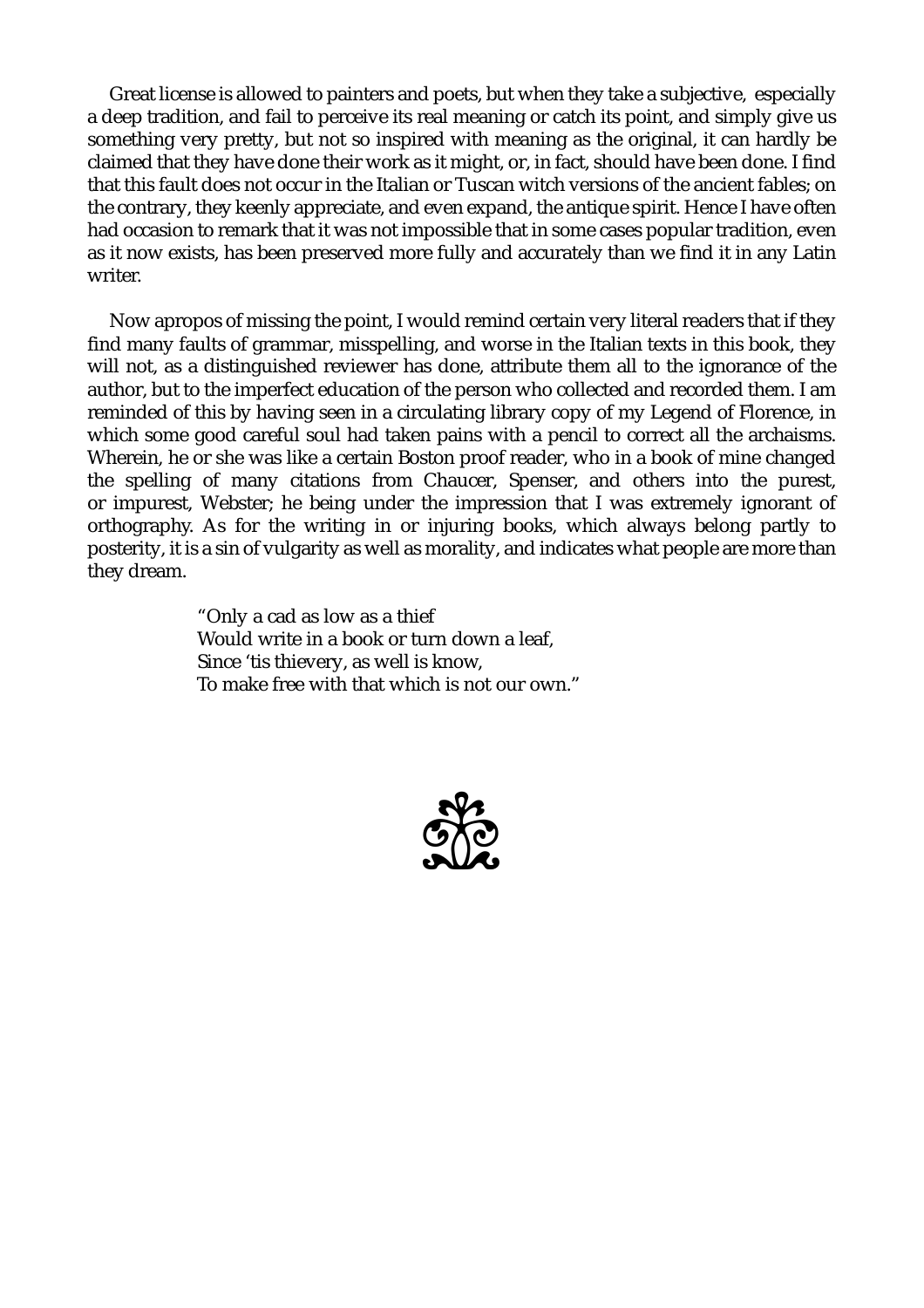Great license is allowed to painters and poets, but when they take a subjective, especially a deep tradition, and fail to perceive its real meaning or catch its point, and simply give us something very pretty, but not so inspired with meaning as the original, it can hardly be claimed that they have done their work as it might, or, in fact, should have been done. I find that this fault does not occur in the Italian or Tuscan witch versions of the ancient fables; on the contrary, they keenly appreciate, and even expand, the antique spirit. Hence I have often had occasion to remark that it was not impossible that in some cases popular tradition, even as it now exists, has been preserved more fully and accurately than we find it in any Latin writer.

Now apropos of missing the point, I would remind certain very literal readers that if they find many faults of grammar, misspelling, and worse in the Italian texts in this book, they will not, as a distinguished reviewer has done, attribute them all to the ignorance of the author, but to the imperfect education of the person who collected and recorded them. I am reminded of this by having seen in a circulating library copy of my Legend of Florence, in which some good careful soul had taken pains with a pencil to correct all the archaisms. Wherein, he or she was like a certain Boston proof reader, who in a book of mine changed the spelling of many citations from Chaucer, Spenser, and others into the purest, or impurest, Webster; he being under the impression that I was extremely ignorant of orthography. As for the writing in or injuring books, which always belong partly to posterity, it is a sin of vulgarity as well as morality, and indicates what people are more than they dream.

> "Only a cad as low as a thief Would write in a book or turn down a leaf, Since 'tis thievery, as well is know, To make free with that which is not our own."

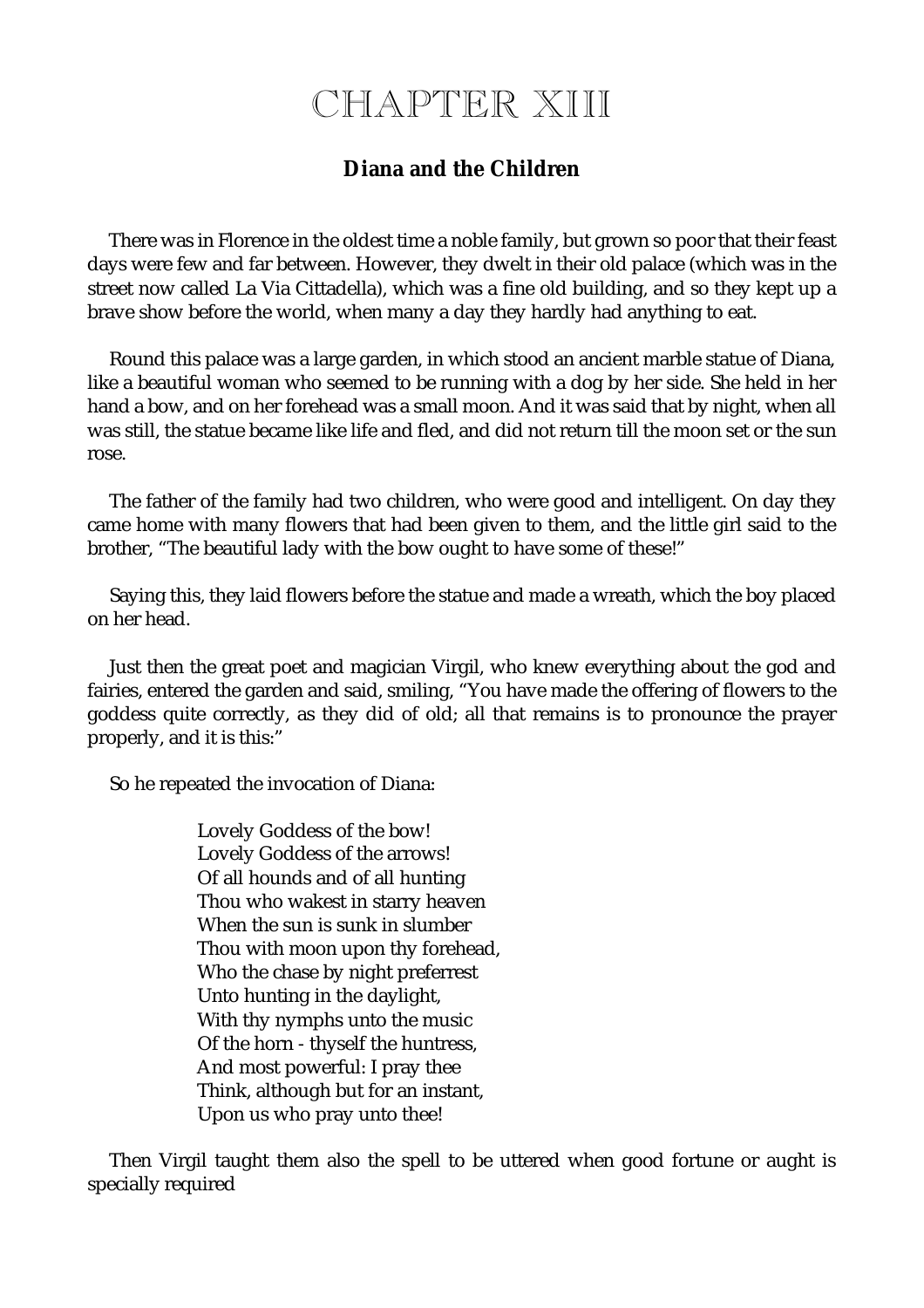## CHAPTER XIII

### **Diana and the Children**

There was in Florence in the oldest time a noble family, but grown so poor that their feast days were few and far between. However, they dwelt in their old palace (which was in the street now called La Via Cittadella), which was a fine old building, and so they kept up a brave show before the world, when many a day they hardly had anything to eat.

Round this palace was a large garden, in which stood an ancient marble statue of Diana, like a beautiful woman who seemed to be running with a dog by her side. She held in her hand a bow, and on her forehead was a small moon. And it was said that by night, when all was still, the statue became like life and fled, and did not return till the moon set or the sun rose.

The father of the family had two children, who were good and intelligent. On day they came home with many flowers that had been given to them, and the little girl said to the brother, "The beautiful lady with the bow ought to have some of these!"

Saying this, they laid flowers before the statue and made a wreath, which the boy placed on her head.

Just then the great poet and magician Virgil, who knew everything about the god and fairies, entered the garden and said, smiling, "You have made the offering of flowers to the goddess quite correctly, as they did of old; all that remains is to pronounce the prayer properly, and it is this:"

So he repeated the invocation of Diana:

Lovely Goddess of the bow! Lovely Goddess of the arrows! Of all hounds and of all hunting Thou who wakest in starry heaven When the sun is sunk in slumber Thou with moon upon thy forehead, Who the chase by night preferrest Unto hunting in the daylight, With thy nymphs unto the music Of the horn - thyself the huntress, And most powerful: I pray thee Think, although but for an instant, Upon us who pray unto thee!

Then Virgil taught them also the spell to be uttered when good fortune or aught is specially required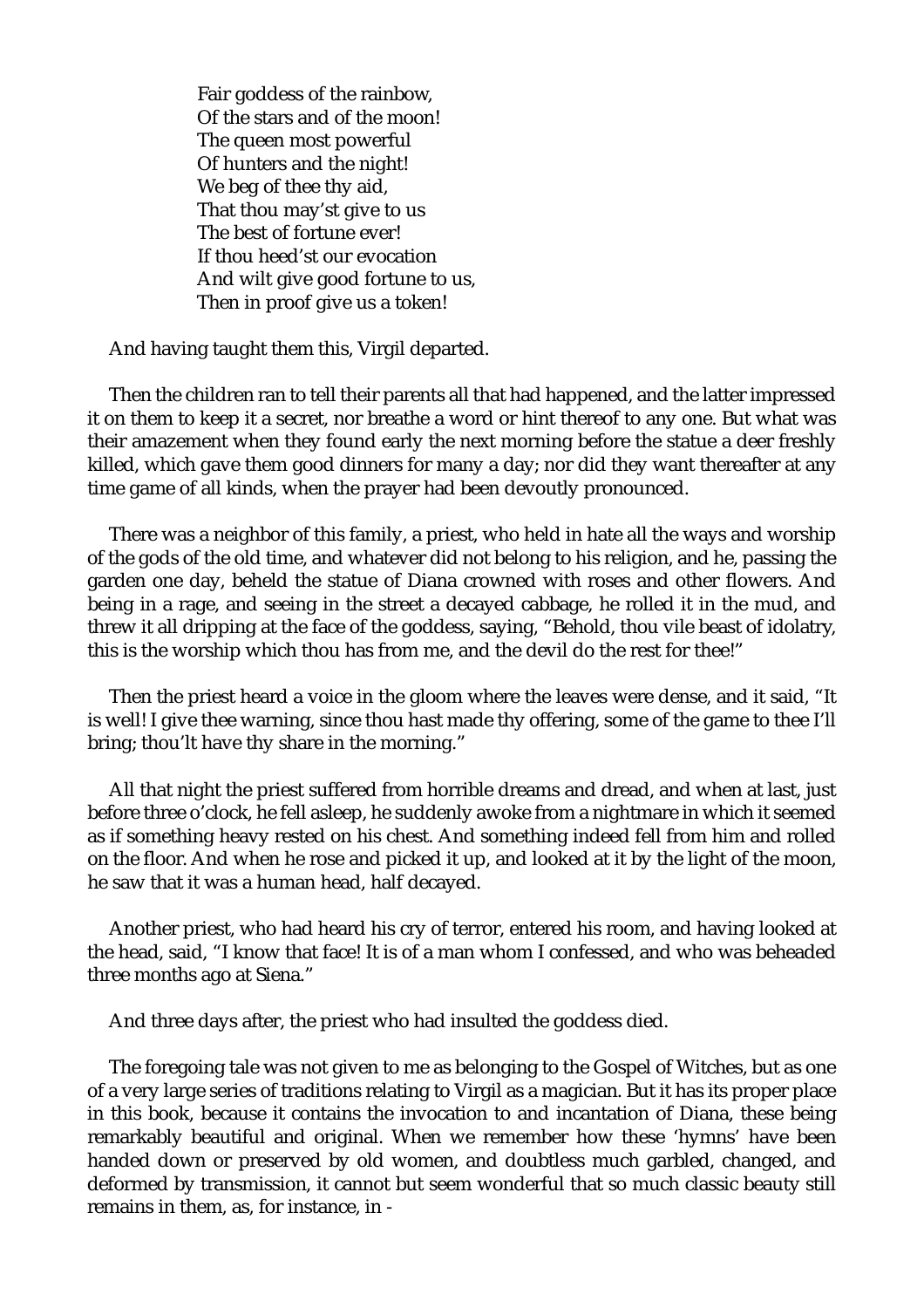Fair goddess of the rainbow, Of the stars and of the moon! The queen most powerful Of hunters and the night! We beg of thee thy aid, That thou may'st give to us The best of fortune ever! If thou heed'st our evocation And wilt give good fortune to us, Then in proof give us a token!

And having taught them this, Virgil departed.

Then the children ran to tell their parents all that had happened, and the latter impressed it on them to keep it a secret, nor breathe a word or hint thereof to any one. But what was their amazement when they found early the next morning before the statue a deer freshly killed, which gave them good dinners for many a day; nor did they want thereafter at any time game of all kinds, when the prayer had been devoutly pronounced.

There was a neighbor of this family, a priest, who held in hate all the ways and worship of the gods of the old time, and whatever did not belong to his religion, and he, passing the garden one day, beheld the statue of Diana crowned with roses and other flowers. And being in a rage, and seeing in the street a decayed cabbage, he rolled it in the mud, and threw it all dripping at the face of the goddess, saying, "Behold, thou vile beast of idolatry, this is the worship which thou has from me, and the devil do the rest for thee!"

Then the priest heard a voice in the gloom where the leaves were dense, and it said, "It is well! I give thee warning, since thou hast made thy offering, some of the game to thee I'll bring; thou'lt have thy share in the morning."

All that night the priest suffered from horrible dreams and dread, and when at last, just before three o'clock, he fell asleep, he suddenly awoke from a nightmare in which it seemed as if something heavy rested on his chest. And something indeed fell from him and rolled on the floor. And when he rose and picked it up, and looked at it by the light of the moon, he saw that it was a human head, half decayed.

Another priest, who had heard his cry of terror, entered his room, and having looked at the head, said, "I know that face! It is of a man whom I confessed, and who was beheaded three months ago at Siena."

And three days after, the priest who had insulted the goddess died.

The foregoing tale was not given to me as belonging to the Gospel of Witches, but as one of a very large series of traditions relating to Virgil as a magician. But it has its proper place in this book, because it contains the invocation to and incantation of Diana, these being remarkably beautiful and original. When we remember how these 'hymns' have been handed down or preserved by old women, and doubtless much garbled, changed, and deformed by transmission, it cannot but seem wonderful that so much classic beauty still remains in them, as, for instance, in -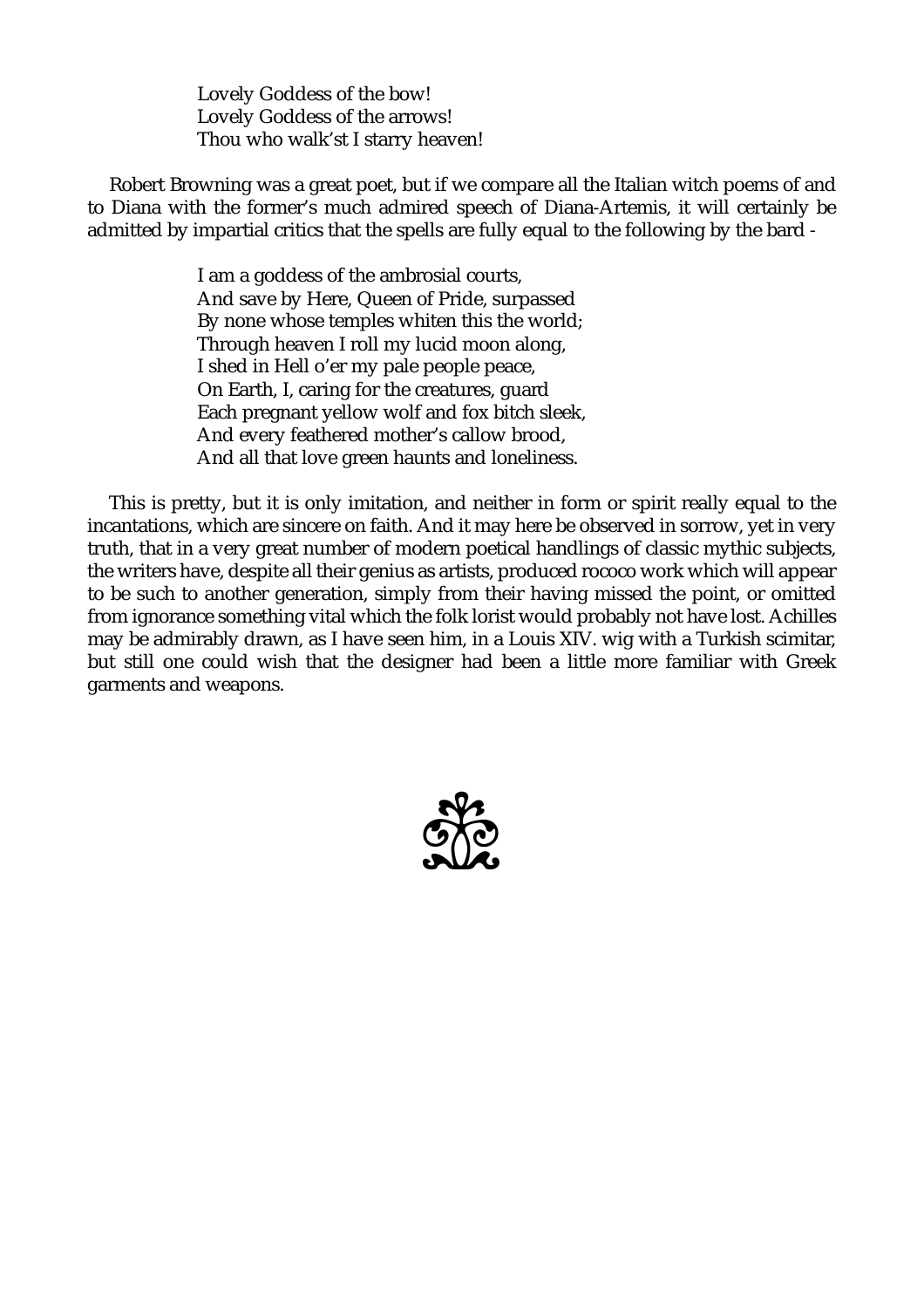Lovely Goddess of the bow! Lovely Goddess of the arrows! Thou who walk'st I starry heaven!

Robert Browning was a great poet, but if we compare all the Italian witch poems of and to Diana with the former's much admired speech of Diana-Artemis, it will certainly be admitted by impartial critics that the spells are fully equal to the following by the bard -

> I am a goddess of the ambrosial courts, And save by Here, Queen of Pride, surpassed By none whose temples whiten this the world; Through heaven I roll my lucid moon along, I shed in Hell o'er my pale people peace, On Earth, I, caring for the creatures, guard Each pregnant yellow wolf and fox bitch sleek, And every feathered mother's callow brood, And all that love green haunts and loneliness.

This is pretty, but it is only imitation, and neither in form or spirit really equal to the incantations, which are sincere on faith. And it may here be observed in sorrow, yet in very truth, that in a very great number of modern poetical handlings of classic mythic subjects, the writers have, despite all their genius as artists, produced rococo work which will appear to be such to another generation, simply from their having missed the point, or omitted from ignorance something vital which the folk lorist would probably not have lost. Achilles may be admirably drawn, as I have seen him, in a Louis XIV. wig with a Turkish scimitar, but still one could wish that the designer had been a little more familiar with Greek garments and weapons.

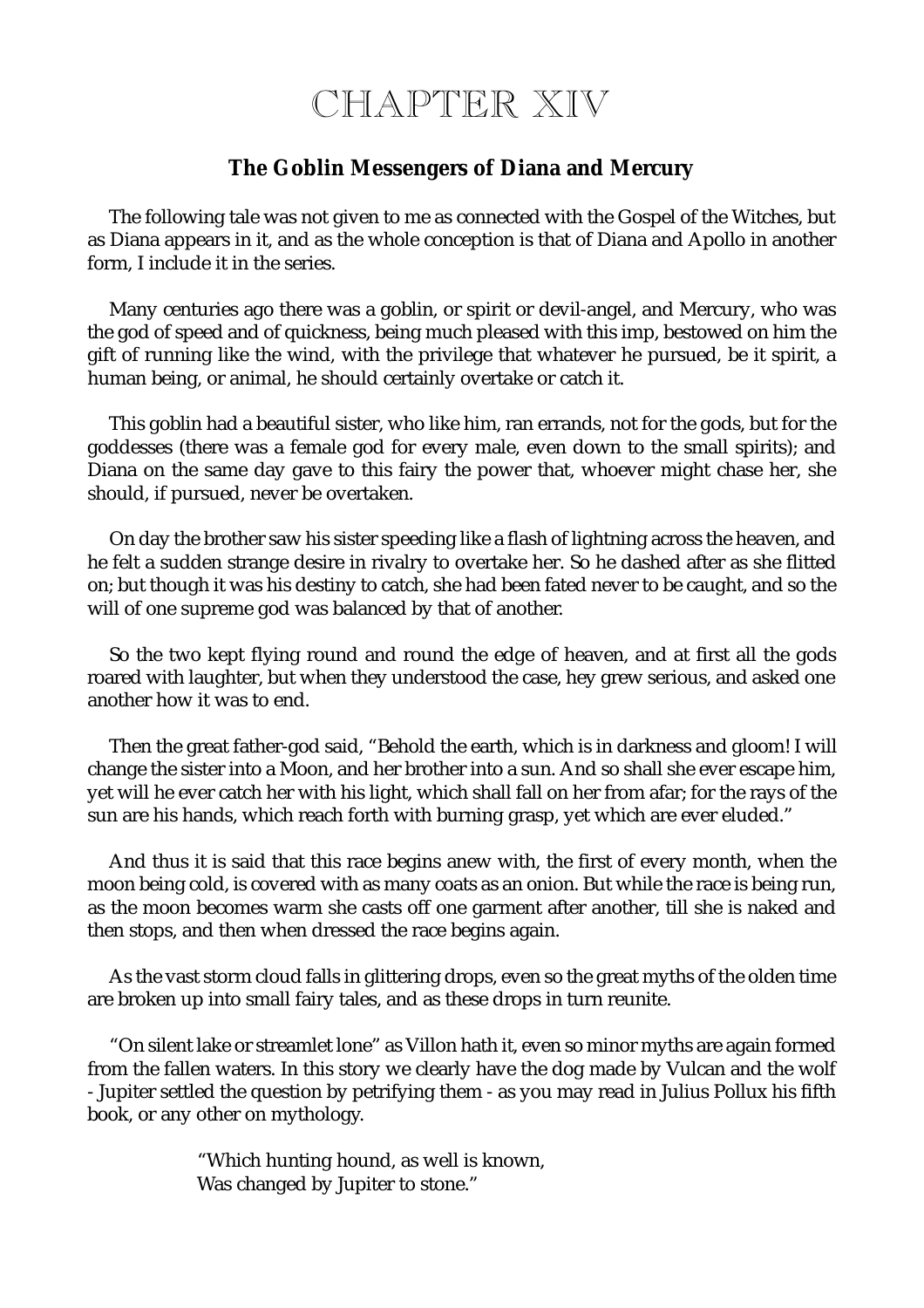## CHAPTER XIV

### **The Goblin Messengers of Diana and Mercury**

The following tale was not given to me as connected with the Gospel of the Witches, but as Diana appears in it, and as the whole conception is that of Diana and Apollo in another form, I include it in the series.

Many centuries ago there was a goblin, or spirit or devil-angel, and Mercury, who was the god of speed and of quickness, being much pleased with this imp, bestowed on him the gift of running like the wind, with the privilege that whatever he pursued, be it spirit, a human being, or animal, he should certainly overtake or catch it.

This goblin had a beautiful sister, who like him, ran errands, not for the gods, but for the goddesses (there was a female god for every male, even down to the small spirits); and Diana on the same day gave to this fairy the power that, whoever might chase her, she should, if pursued, never be overtaken.

On day the brother saw his sister speeding like a flash of lightning across the heaven, and he felt a sudden strange desire in rivalry to overtake her. So he dashed after as she flitted on; but though it was his destiny to catch, she had been fated never to be caught, and so the will of one supreme god was balanced by that of another.

So the two kept flying round and round the edge of heaven, and at first all the gods roared with laughter, but when they understood the case, hey grew serious, and asked one another how it was to end.

Then the great father-god said, "Behold the earth, which is in darkness and gloom! I will change the sister into a Moon, and her brother into a sun. And so shall she ever escape him, yet will he ever catch her with his light, which shall fall on her from afar; for the rays of the sun are his hands, which reach forth with burning grasp, yet which are ever eluded."

And thus it is said that this race begins anew with, the first of every month, when the moon being cold, is covered with as many coats as an onion. But while the race is being run, as the moon becomes warm she casts off one garment after another, till she is naked and then stops, and then when dressed the race begins again.

As the vast storm cloud falls in glittering drops, even so the great myths of the olden time are broken up into small fairy tales, and as these drops in turn reunite.

"On silent lake or streamlet lone" as Villon hath it, even so minor myths are again formed from the fallen waters. In this story we clearly have the dog made by Vulcan and the wolf - Jupiter settled the question by petrifying them - as you may read in Julius Pollux his fifth book, or any other on mythology.

> "Which hunting hound, as well is known, Was changed by Jupiter to stone."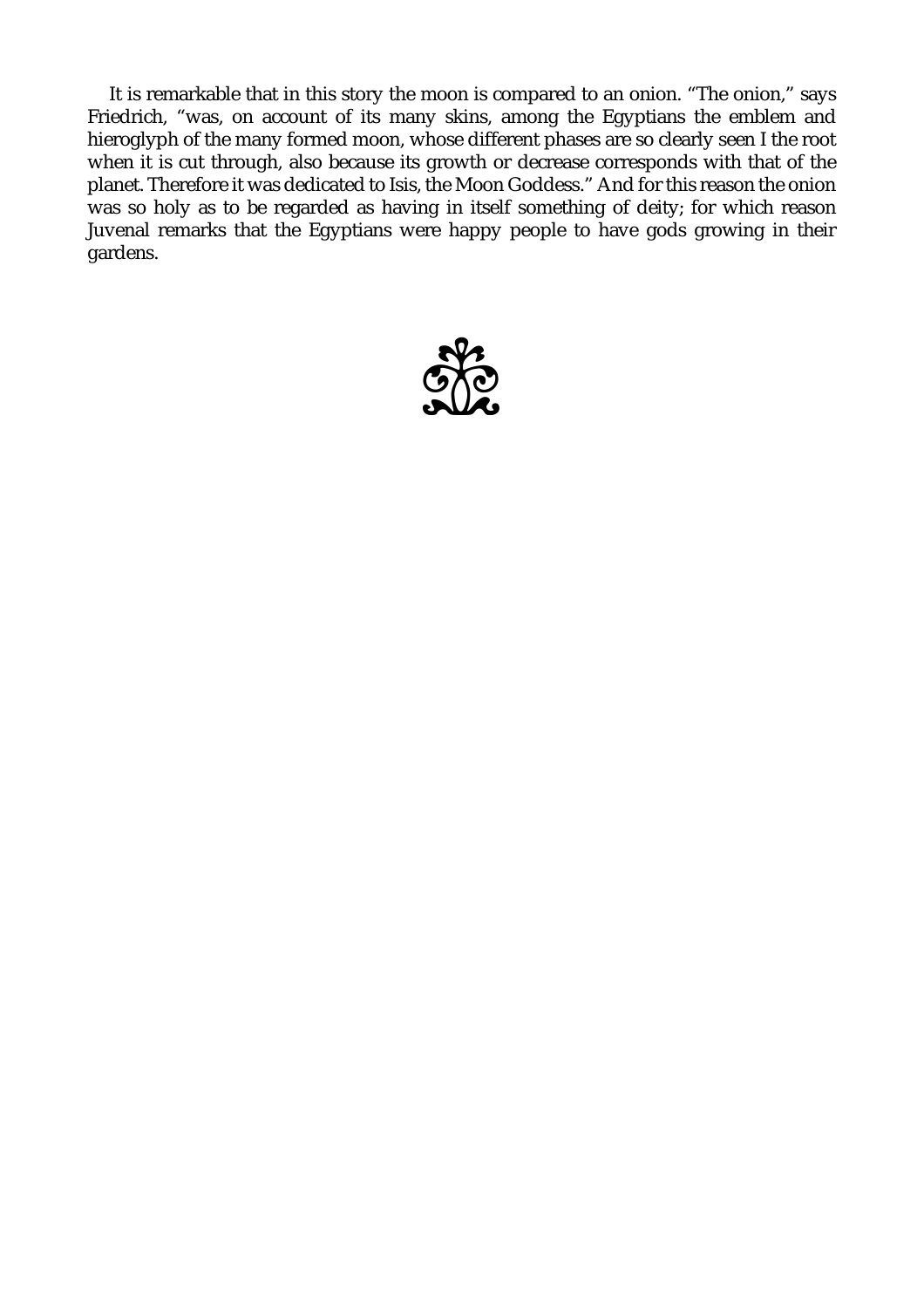It is remarkable that in this story the moon is compared to an onion. "The onion," says Friedrich, "was, on account of its many skins, among the Egyptians the emblem and hieroglyph of the many formed moon, whose different phases are so clearly seen I the root when it is cut through, also because its growth or decrease corresponds with that of the planet. Therefore it was dedicated to Isis, the Moon Goddess." And for this reason the onion was so holy as to be regarded as having in itself something of deity; for which reason Juvenal remarks that the Egyptians were happy people to have gods growing in their gardens.

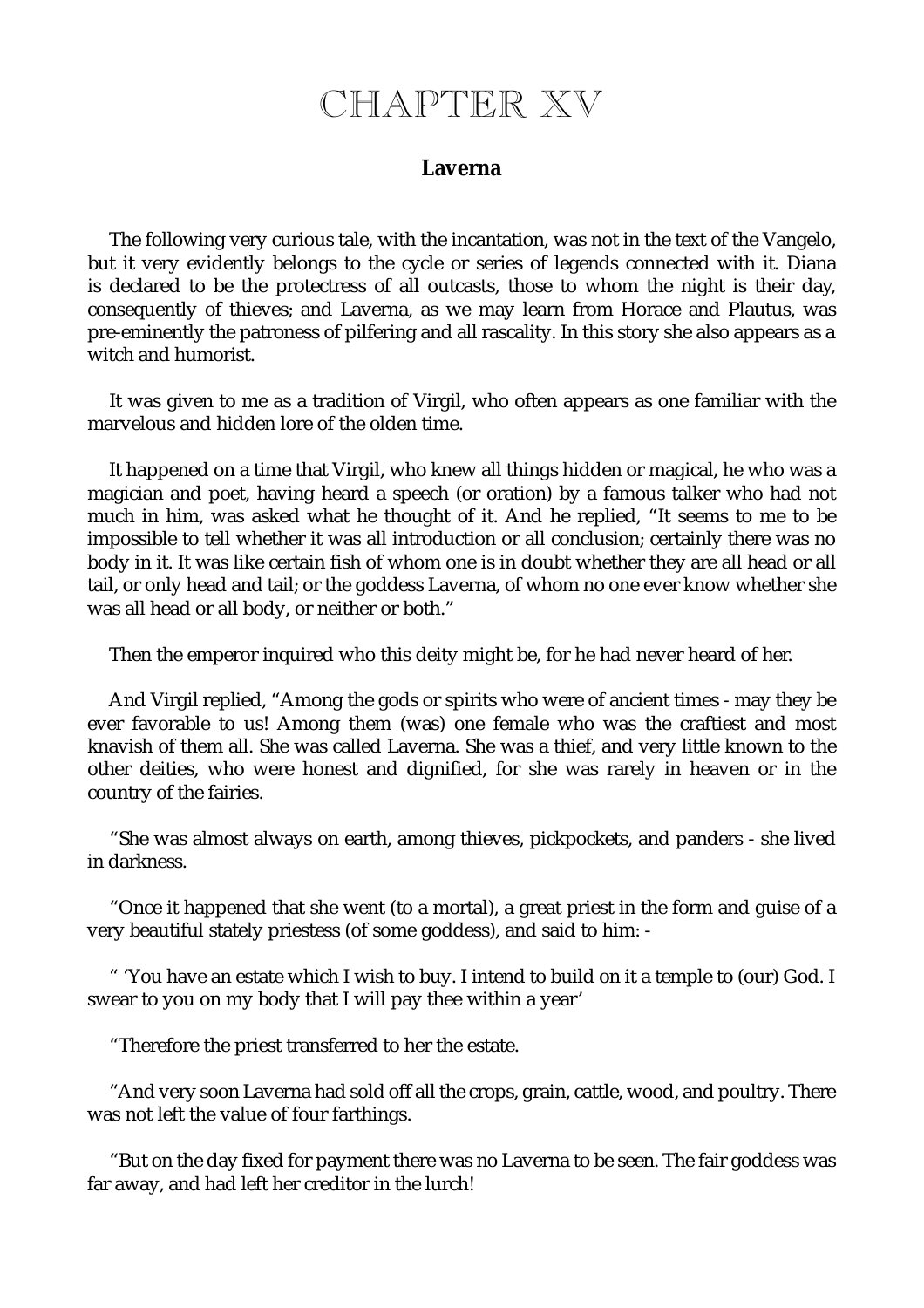## CHAPTER XV

#### **Laverna**

The following very curious tale, with the incantation, was not in the text of the Vangelo, but it very evidently belongs to the cycle or series of legends connected with it. Diana is declared to be the protectress of all outcasts, those to whom the night is their day, consequently of thieves; and Laverna, as we may learn from Horace and Plautus, was pre-eminently the patroness of pilfering and all rascality. In this story she also appears as a witch and humorist.

It was given to me as a tradition of Virgil, who often appears as one familiar with the marvelous and hidden lore of the olden time.

It happened on a time that Virgil, who knew all things hidden or magical, he who was a magician and poet, having heard a speech (or oration) by a famous talker who had not much in him, was asked what he thought of it. And he replied, "It seems to me to be impossible to tell whether it was all introduction or all conclusion; certainly there was no body in it. It was like certain fish of whom one is in doubt whether they are all head or all tail, or only head and tail; or the goddess Laverna, of whom no one ever know whether she was all head or all body, or neither or both."

Then the emperor inquired who this deity might be, for he had never heard of her.

And Virgil replied, "Among the gods or spirits who were of ancient times - may they be ever favorable to us! Among them (was) one female who was the craftiest and most knavish of them all. She was called Laverna. She was a thief, and very little known to the other deities, who were honest and dignified, for she was rarely in heaven or in the country of the fairies.

"She was almost always on earth, among thieves, pickpockets, and panders - she lived in darkness.

"Once it happened that she went (to a mortal), a great priest in the form and guise of a very beautiful stately priestess (of some goddess), and said to him: -

" 'You have an estate which I wish to buy. I intend to build on it a temple to (our) God. I swear to you on my body that I will pay thee within a year'

"Therefore the priest transferred to her the estate.

"And very soon Laverna had sold off all the crops, grain, cattle, wood, and poultry. There was not left the value of four farthings.

"But on the day fixed for payment there was no Laverna to be seen. The fair goddess was far away, and had left her creditor in the lurch!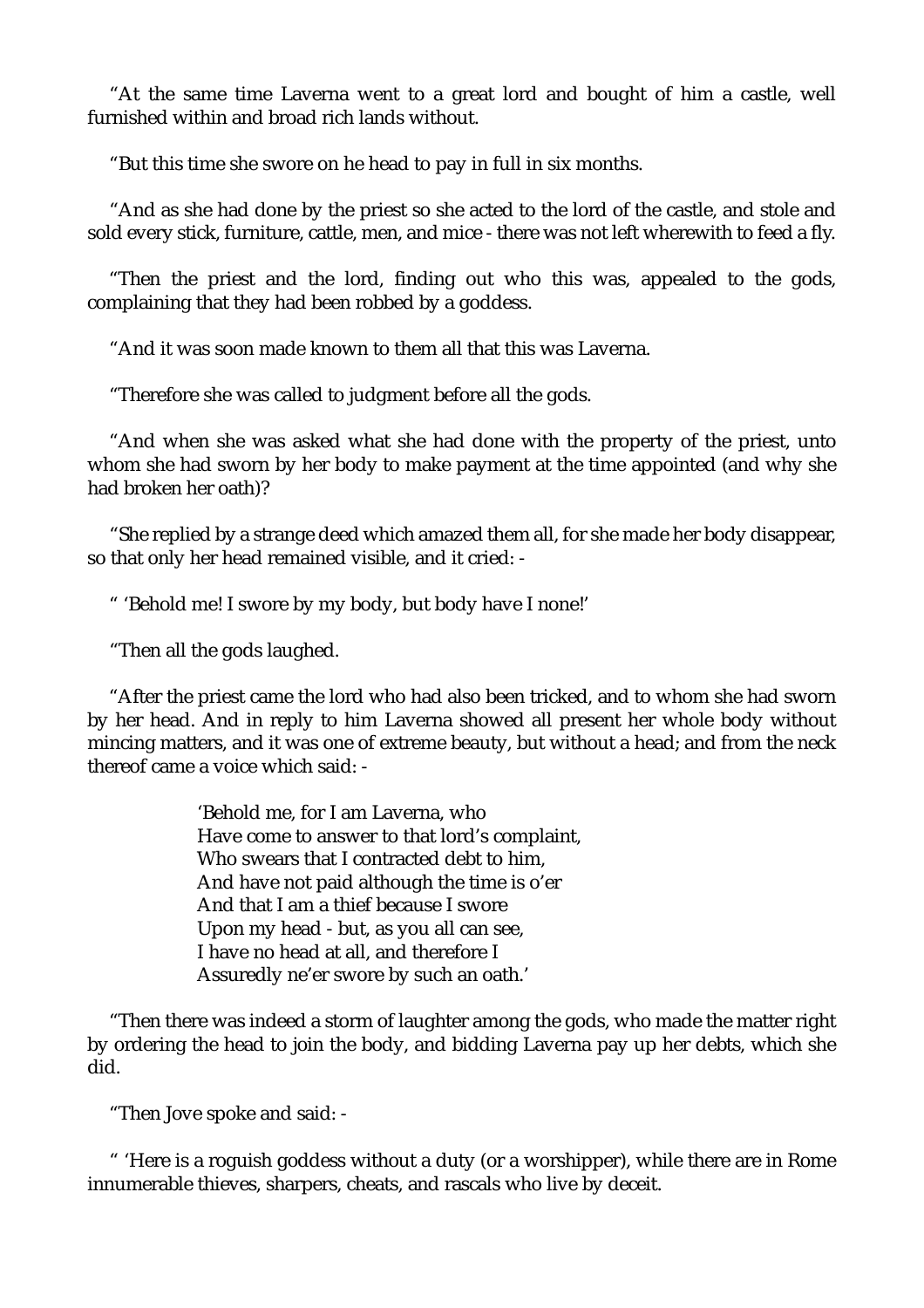"At the same time Laverna went to a great lord and bought of him a castle, well furnished within and broad rich lands without.

"But this time she swore on he head to pay in full in six months.

"And as she had done by the priest so she acted to the lord of the castle, and stole and sold every stick, furniture, cattle, men, and mice - there was not left wherewith to feed a fly.

"Then the priest and the lord, finding out who this was, appealed to the gods, complaining that they had been robbed by a goddess.

"And it was soon made known to them all that this was Laverna.

"Therefore she was called to judgment before all the gods.

"And when she was asked what she had done with the property of the priest, unto whom she had sworn by her body to make payment at the time appointed (and why she had broken her oath)?

"She replied by a strange deed which amazed them all, for she made her body disappear, so that only her head remained visible, and it cried: -

" 'Behold me! I swore by my body, but body have I none!'

"Then all the gods laughed.

"After the priest came the lord who had also been tricked, and to whom she had sworn by her head. And in reply to him Laverna showed all present her whole body without mincing matters, and it was one of extreme beauty, but without a head; and from the neck thereof came a voice which said: -

> 'Behold me, for I am Laverna, who Have come to answer to that lord's complaint, Who swears that I contracted debt to him, And have not paid although the time is o'er And that I am a thief because I swore Upon my head - but, as you all can see, I have no head at all, and therefore I Assuredly ne'er swore by such an oath.'

"Then there was indeed a storm of laughter among the gods, who made the matter right by ordering the head to join the body, and bidding Laverna pay up her debts, which she did.

"Then Jove spoke and said: -

" 'Here is a roguish goddess without a duty (or a worshipper), while there are in Rome innumerable thieves, sharpers, cheats, and rascals who live by deceit.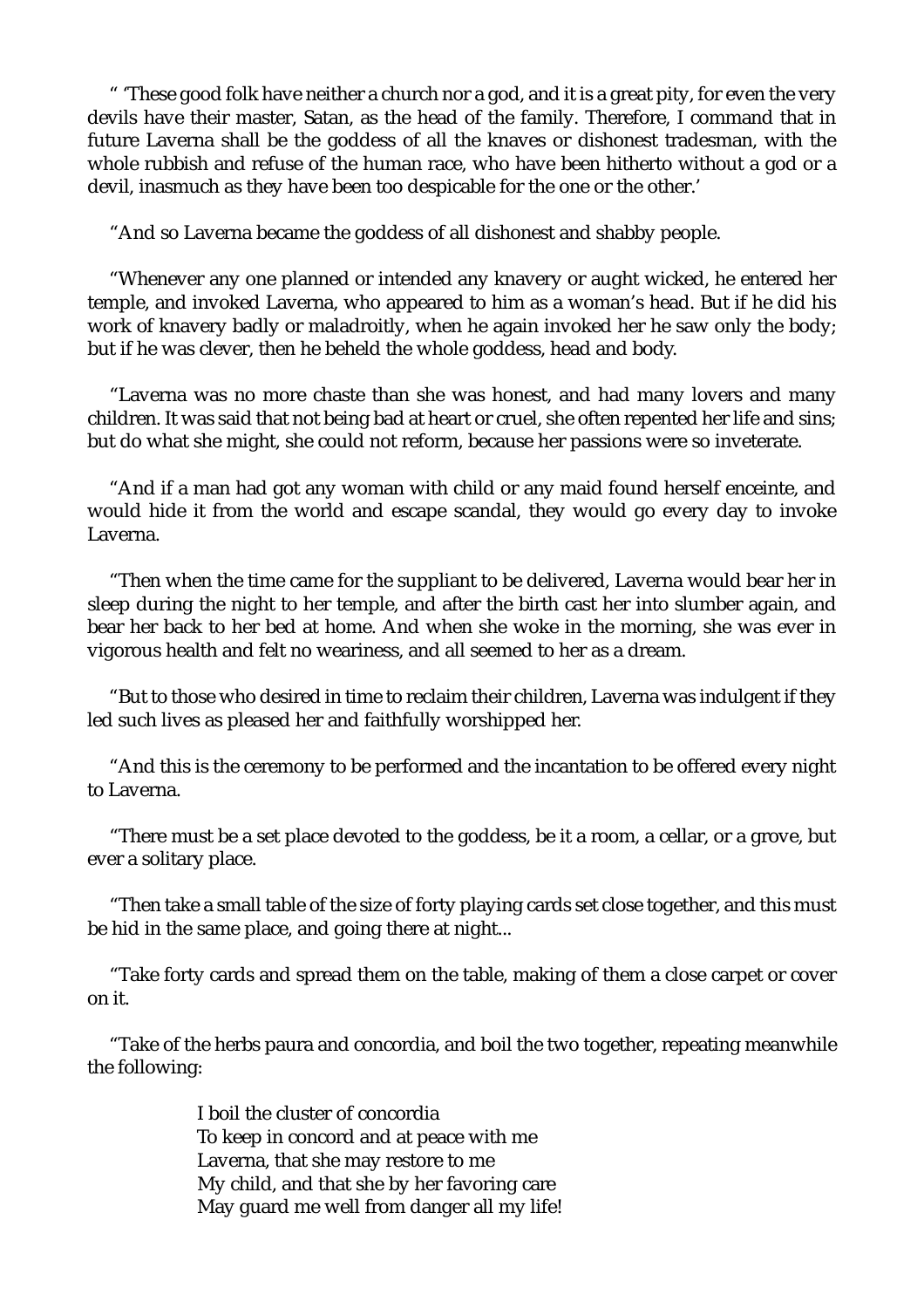" 'These good folk have neither a church nor a god, and it is a great pity, for even the very devils have their master, Satan, as the head of the family. Therefore, I command that in future Laverna shall be the goddess of all the knaves or dishonest tradesman, with the whole rubbish and refuse of the human race, who have been hitherto without a god or a devil, inasmuch as they have been too despicable for the one or the other.'

"And so Laverna became the goddess of all dishonest and shabby people.

"Whenever any one planned or intended any knavery or aught wicked, he entered her temple, and invoked Laverna, who appeared to him as a woman's head. But if he did his work of knavery badly or maladroitly, when he again invoked her he saw only the body; but if he was clever, then he beheld the whole goddess, head and body.

"Laverna was no more chaste than she was honest, and had many lovers and many children. It was said that not being bad at heart or cruel, she often repented her life and sins; but do what she might, she could not reform, because her passions were so inveterate.

"And if a man had got any woman with child or any maid found herself enceinte, and would hide it from the world and escape scandal, they would go every day to invoke Laverna.

"Then when the time came for the suppliant to be delivered, Laverna would bear her in sleep during the night to her temple, and after the birth cast her into slumber again, and bear her back to her bed at home. And when she woke in the morning, she was ever in vigorous health and felt no weariness, and all seemed to her as a dream.

"But to those who desired in time to reclaim their children, Laverna was indulgent if they led such lives as pleased her and faithfully worshipped her.

"And this is the ceremony to be performed and the incantation to be offered every night to Laverna.

"There must be a set place devoted to the goddess, be it a room, a cellar, or a grove, but ever a solitary place.

"Then take a small table of the size of forty playing cards set close together, and this must be hid in the same place, and going there at night...

"Take forty cards and spread them on the table, making of them a close carpet or cover on it.

"Take of the herbs paura and concordia, and boil the two together, repeating meanwhile the following:

> I boil the cluster of concordia To keep in concord and at peace with me Laverna, that she may restore to me My child, and that she by her favoring care May guard me well from danger all my life!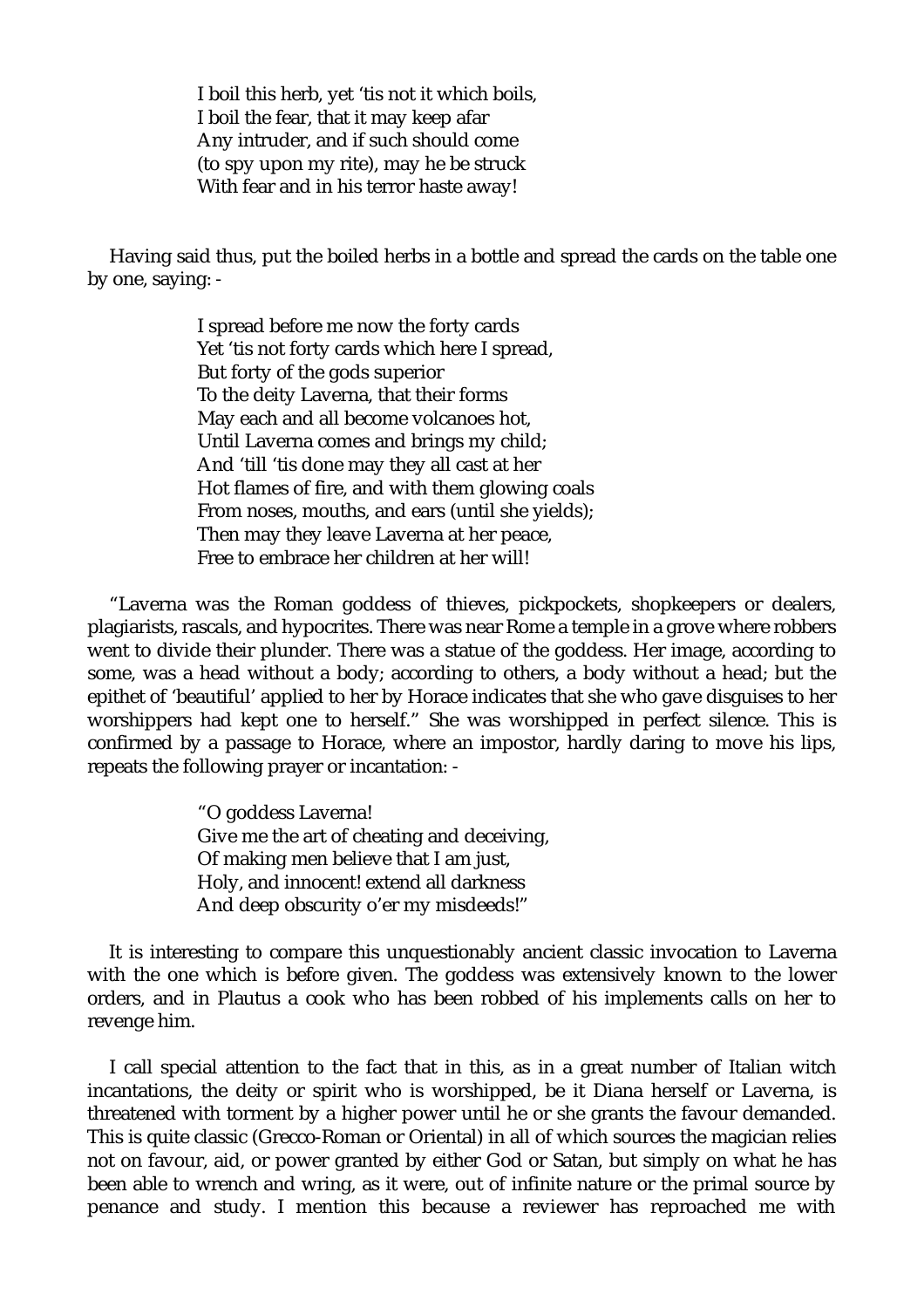I boil this herb, yet 'tis not it which boils, I boil the fear, that it may keep afar Any intruder, and if such should come (to spy upon my rite), may he be struck With fear and in his terror haste away!

Having said thus, put the boiled herbs in a bottle and spread the cards on the table one by one, saying: -

> I spread before me now the forty cards Yet 'tis not forty cards which here I spread, But forty of the gods superior To the deity Laverna, that their forms May each and all become volcanoes hot, Until Laverna comes and brings my child; And 'till 'tis done may they all cast at her Hot flames of fire, and with them glowing coals From noses, mouths, and ears (until she yields); Then may they leave Laverna at her peace, Free to embrace her children at her will!

"Laverna was the Roman goddess of thieves, pickpockets, shopkeepers or dealers, plagiarists, rascals, and hypocrites. There was near Rome a temple in a grove where robbers went to divide their plunder. There was a statue of the goddess. Her image, according to some, was a head without a body; according to others, a body without a head; but the epithet of 'beautiful' applied to her by Horace indicates that she who gave disguises to her worshippers had kept one to herself." She was worshipped in perfect silence. This is confirmed by a passage to Horace, where an impostor, hardly daring to move his lips, repeats the following prayer or incantation: -

> "O goddess Laverna! Give me the art of cheating and deceiving, Of making men believe that I am just, Holy, and innocent! extend all darkness And deep obscurity o'er my misdeeds!"

It is interesting to compare this unquestionably ancient classic invocation to Laverna with the one which is before given. The goddess was extensively known to the lower orders, and in Plautus a cook who has been robbed of his implements calls on her to revenge him.

I call special attention to the fact that in this, as in a great number of Italian witch incantations, the deity or spirit who is worshipped, be it Diana herself or Laverna, is threatened with torment by a higher power until he or she grants the favour demanded. This is quite classic (Grecco-Roman or Oriental) in all of which sources the magician relies not on favour, aid, or power granted by either God or Satan, but simply on what he has been able to wrench and wring, as it were, out of infinite nature or the primal source by penance and study. I mention this because a reviewer has reproached me with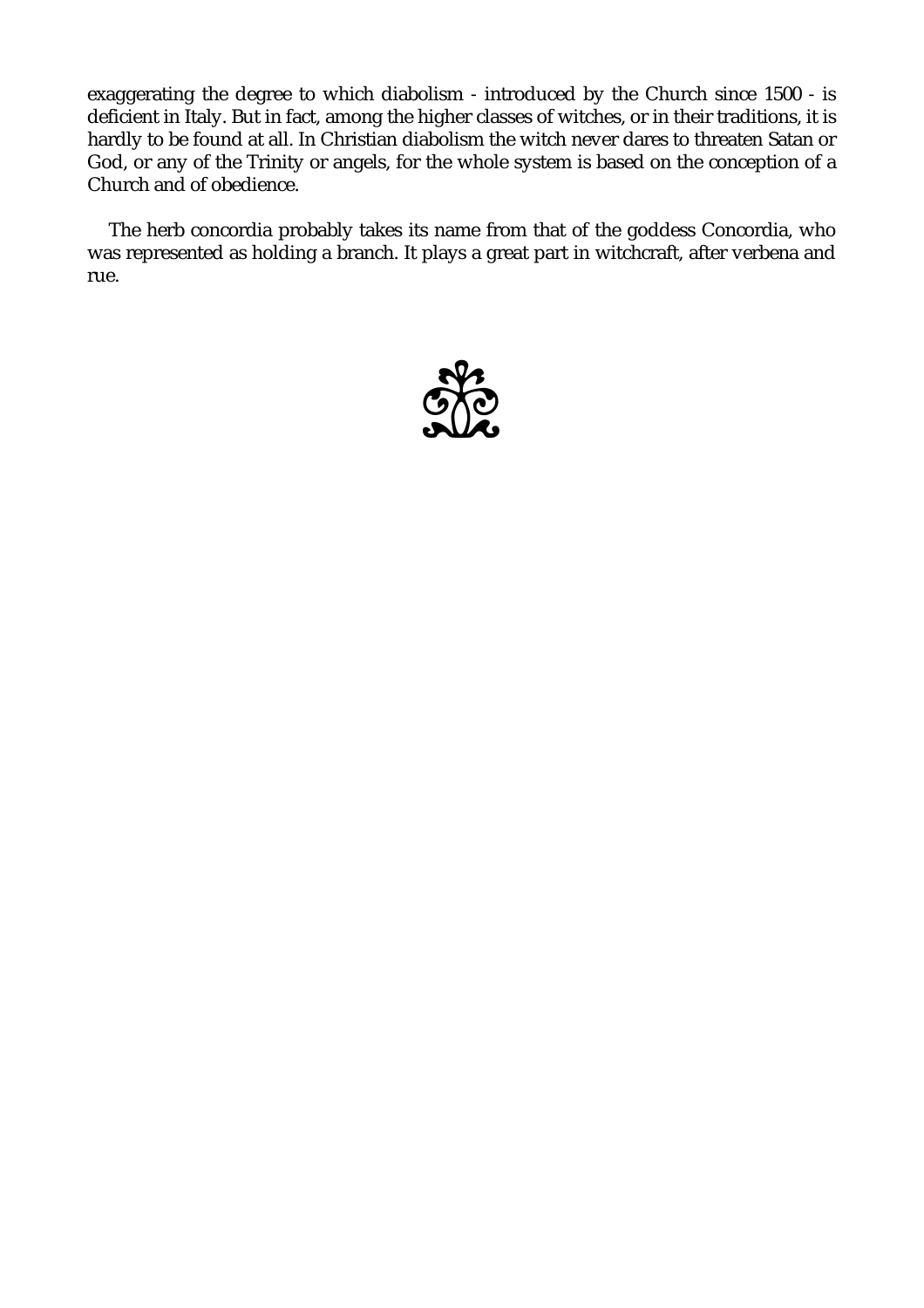exaggerating the degree to which diabolism - introduced by the Church since 1500 - is deficient in Italy. But in fact, among the higher classes of witches, or in their traditions, it is hardly to be found at all. In Christian diabolism the witch never dares to threaten Satan or God, or any of the Trinity or angels, for the whole system is based on the conception of a Church and of obedience.

The herb concordia probably takes its name from that of the goddess Concordia, who was represented as holding a branch. It plays a great part in witchcraft, after verbena and rue.

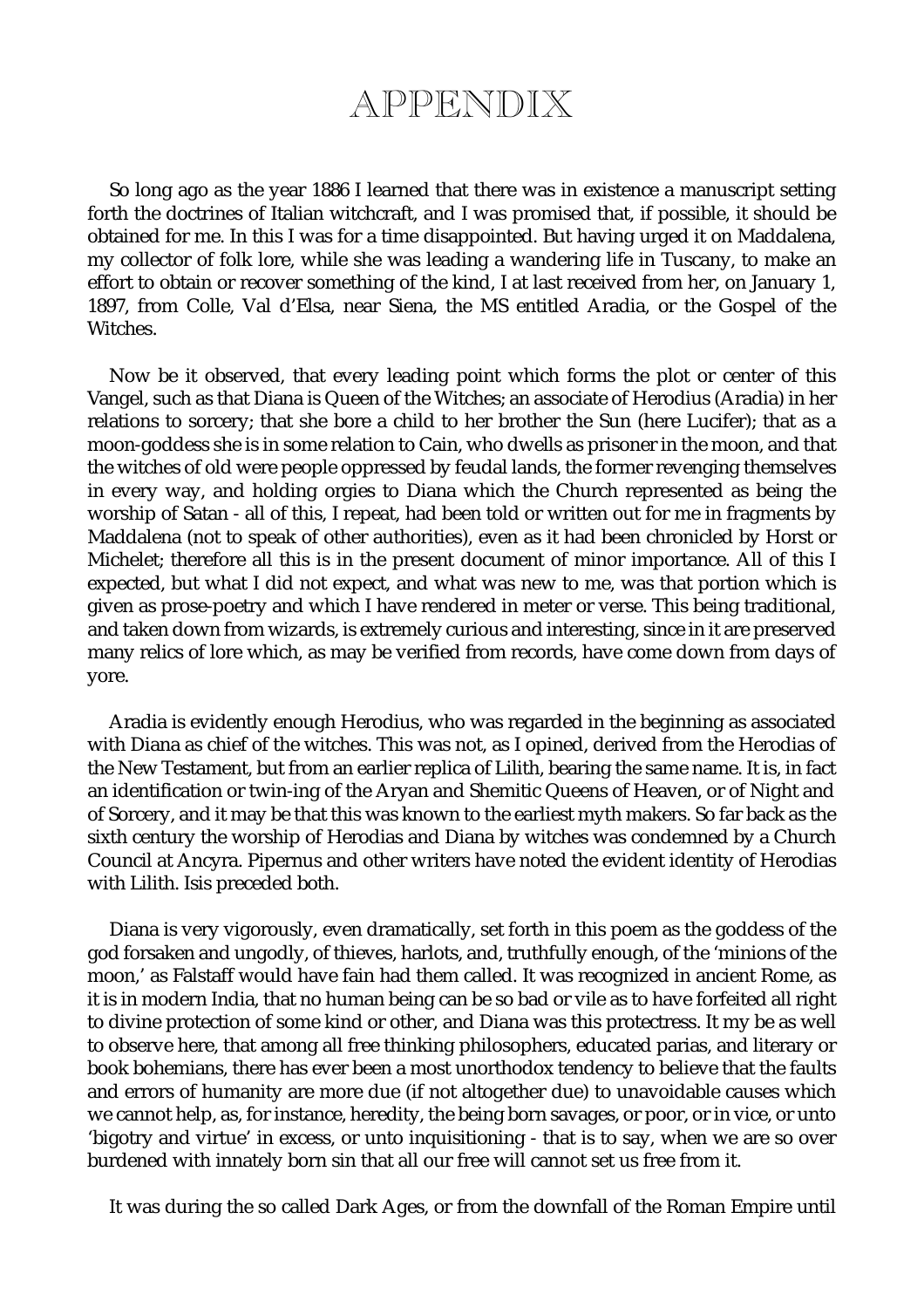## APPENDIX

So long ago as the year 1886 I learned that there was in existence a manuscript setting forth the doctrines of Italian witchcraft, and I was promised that, if possible, it should be obtained for me. In this I was for a time disappointed. But having urged it on Maddalena, my collector of folk lore, while she was leading a wandering life in Tuscany, to make an effort to obtain or recover something of the kind, I at last received from her, on January 1, 1897, from Colle, Val d'Elsa, near Siena, the MS entitled Aradia, or the Gospel of the Witches.

Now be it observed, that every leading point which forms the plot or center of this Vangel, such as that Diana is Queen of the Witches; an associate of Herodius (Aradia) in her relations to sorcery; that she bore a child to her brother the Sun (here Lucifer); that as a moon-goddess she is in some relation to Cain, who dwells as prisoner in the moon, and that the witches of old were people oppressed by feudal lands, the former revenging themselves in every way, and holding orgies to Diana which the Church represented as being the worship of Satan - all of this, I repeat, had been told or written out for me in fragments by Maddalena (not to speak of other authorities), even as it had been chronicled by Horst or Michelet; therefore all this is in the present document of minor importance. All of this I expected, but what I did not expect, and what was new to me, was that portion which is given as prose-poetry and which I have rendered in meter or verse. This being traditional, and taken down from wizards, is extremely curious and interesting, since in it are preserved many relics of lore which, as may be verified from records, have come down from days of yore.

Aradia is evidently enough Herodius, who was regarded in the beginning as associated with Diana as chief of the witches. This was not, as I opined, derived from the Herodias of the New Testament, but from an earlier replica of Lilith, bearing the same name. It is, in fact an identification or twin-ing of the Aryan and Shemitic Queens of Heaven, or of Night and of Sorcery, and it may be that this was known to the earliest myth makers. So far back as the sixth century the worship of Herodias and Diana by witches was condemned by a Church Council at Ancyra. Pipernus and other writers have noted the evident identity of Herodias with Lilith. Isis preceded both.

Diana is very vigorously, even dramatically, set forth in this poem as the goddess of the god forsaken and ungodly, of thieves, harlots, and, truthfully enough, of the 'minions of the moon,' as Falstaff would have fain had them called. It was recognized in ancient Rome, as it is in modern India, that no human being can be so bad or vile as to have forfeited all right to divine protection of some kind or other, and Diana was this protectress. It my be as well to observe here, that among all free thinking philosophers, educated parias, and literary or book bohemians, there has ever been a most unorthodox tendency to believe that the faults and errors of humanity are more due (if not altogether due) to unavoidable causes which we cannot help, as, for instance, heredity, the being born savages, or poor, or in vice, or unto 'bigotry and virtue' in excess, or unto inquisitioning - that is to say, when we are so over burdened with innately born sin that all our free will cannot set us free from it.

It was during the so called Dark Ages, or from the downfall of the Roman Empire until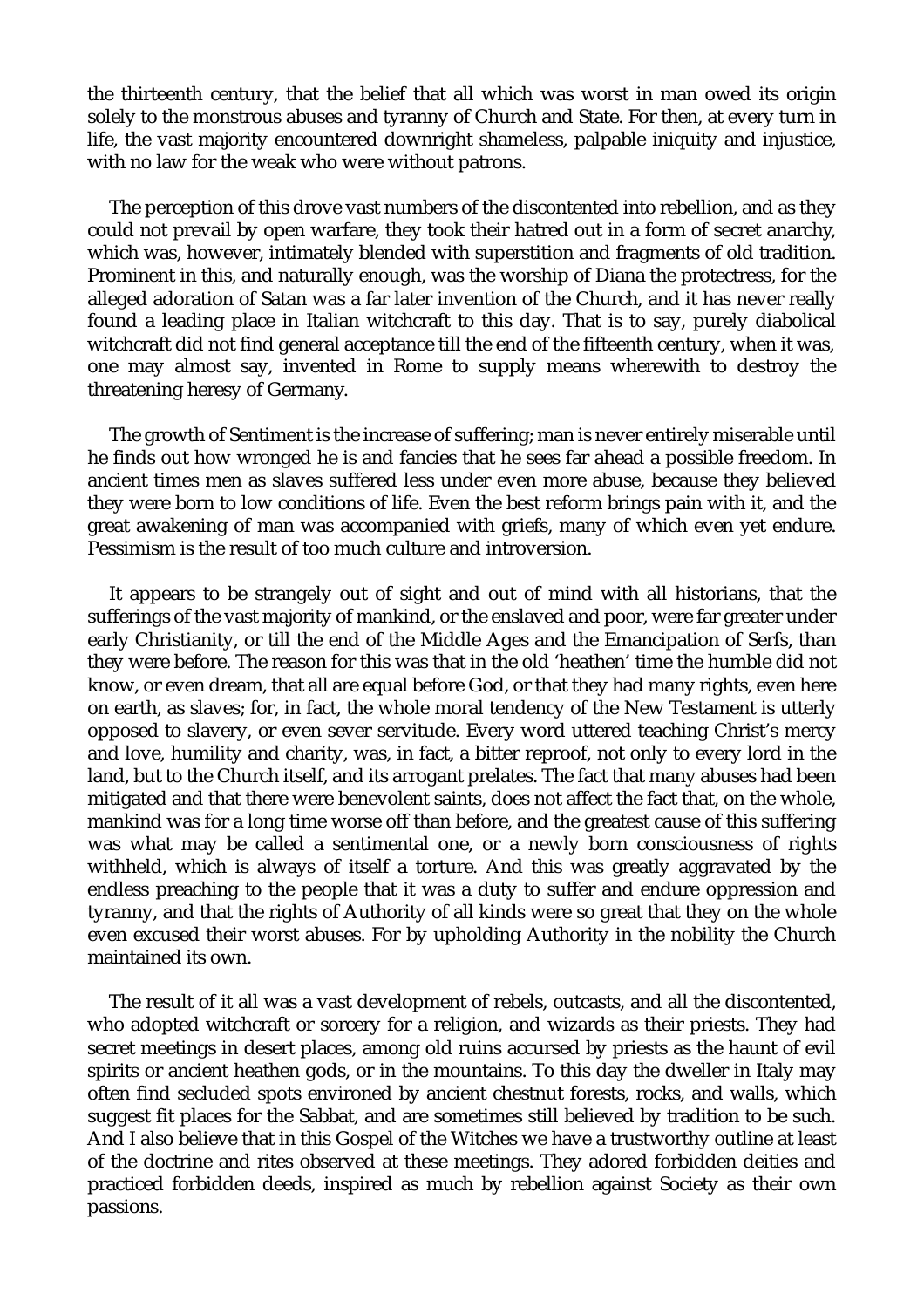the thirteenth century, that the belief that all which was worst in man owed its origin solely to the monstrous abuses and tyranny of Church and State. For then, at every turn in life, the vast majority encountered downright shameless, palpable iniquity and injustice, with no law for the weak who were without patrons.

The perception of this drove vast numbers of the discontented into rebellion, and as they could not prevail by open warfare, they took their hatred out in a form of secret anarchy, which was, however, intimately blended with superstition and fragments of old tradition. Prominent in this, and naturally enough, was the worship of Diana the protectress, for the alleged adoration of Satan was a far later invention of the Church, and it has never really found a leading place in Italian witchcraft to this day. That is to say, purely diabolical witchcraft did not find general acceptance till the end of the fifteenth century, when it was, one may almost say, invented in Rome to supply means wherewith to destroy the threatening heresy of Germany.

The growth of Sentiment is the increase of suffering; man is never entirely miserable until he finds out how wronged he is and fancies that he sees far ahead a possible freedom. In ancient times men as slaves suffered less under even more abuse, because they believed they were born to low conditions of life. Even the best reform brings pain with it, and the great awakening of man was accompanied with griefs, many of which even yet endure. Pessimism is the result of too much culture and introversion.

It appears to be strangely out of sight and out of mind with all historians, that the sufferings of the vast majority of mankind, or the enslaved and poor, were far greater under early Christianity, or till the end of the Middle Ages and the Emancipation of Serfs, than they were before. The reason for this was that in the old 'heathen' time the humble did not know, or even dream, that all are equal before God, or that they had many rights, even here on earth, as slaves; for, in fact, the whole moral tendency of the New Testament is utterly opposed to slavery, or even sever servitude. Every word uttered teaching Christ's mercy and love, humility and charity, was, in fact, a bitter reproof, not only to every lord in the land, but to the Church itself, and its arrogant prelates. The fact that many abuses had been mitigated and that there were benevolent saints, does not affect the fact that, on the whole, mankind was for a long time worse off than before, and the greatest cause of this suffering was what may be called a sentimental one, or a newly born consciousness of rights withheld, which is always of itself a torture. And this was greatly aggravated by the endless preaching to the people that it was a duty to suffer and endure oppression and tyranny, and that the rights of Authority of all kinds were so great that they on the whole even excused their worst abuses. For by upholding Authority in the nobility the Church maintained its own.

The result of it all was a vast development of rebels, outcasts, and all the discontented, who adopted witchcraft or sorcery for a religion, and wizards as their priests. They had secret meetings in desert places, among old ruins accursed by priests as the haunt of evil spirits or ancient heathen gods, or in the mountains. To this day the dweller in Italy may often find secluded spots environed by ancient chestnut forests, rocks, and walls, which suggest fit places for the Sabbat, and are sometimes still believed by tradition to be such. And I also believe that in this Gospel of the Witches we have a trustworthy outline at least of the doctrine and rites observed at these meetings. They adored forbidden deities and practiced forbidden deeds, inspired as much by rebellion against Society as their own passions.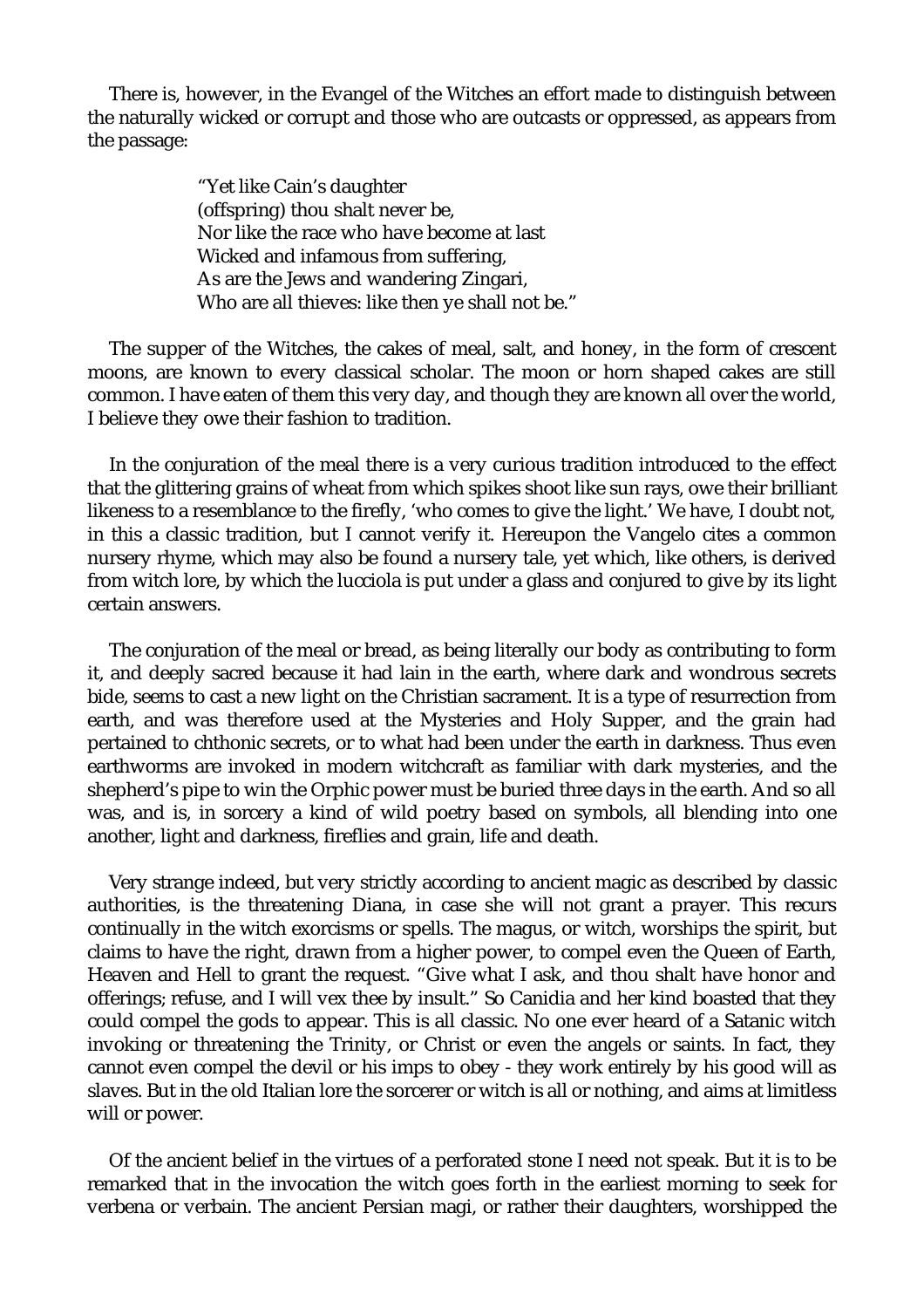There is, however, in the Evangel of the Witches an effort made to distinguish between the naturally wicked or corrupt and those who are outcasts or oppressed, as appears from the passage:

> "Yet like Cain's daughter (offspring) thou shalt never be, Nor like the race who have become at last Wicked and infamous from suffering, As are the Jews and wandering Zingari, Who are all thieves: like then ye shall not be."

The supper of the Witches, the cakes of meal, salt, and honey, in the form of crescent moons, are known to every classical scholar. The moon or horn shaped cakes are still common. I have eaten of them this very day, and though they are known all over the world, I believe they owe their fashion to tradition.

In the conjuration of the meal there is a very curious tradition introduced to the effect that the glittering grains of wheat from which spikes shoot like sun rays, owe their brilliant likeness to a resemblance to the firefly, 'who comes to give the light.' We have, I doubt not, in this a classic tradition, but I cannot verify it. Hereupon the Vangelo cites a common nursery rhyme, which may also be found a nursery tale, yet which, like others, is derived from witch lore, by which the lucciola is put under a glass and conjured to give by its light certain answers.

The conjuration of the meal or bread, as being literally our body as contributing to form it, and deeply sacred because it had lain in the earth, where dark and wondrous secrets bide, seems to cast a new light on the Christian sacrament. It is a type of resurrection from earth, and was therefore used at the Mysteries and Holy Supper, and the grain had pertained to chthonic secrets, or to what had been under the earth in darkness. Thus even earthworms are invoked in modern witchcraft as familiar with dark mysteries, and the shepherd's pipe to win the Orphic power must be buried three days in the earth. And so all was, and is, in sorcery a kind of wild poetry based on symbols, all blending into one another, light and darkness, fireflies and grain, life and death.

Very strange indeed, but very strictly according to ancient magic as described by classic authorities, is the threatening Diana, in case she will not grant a prayer. This recurs continually in the witch exorcisms or spells. The magus, or witch, worships the spirit, but claims to have the right, drawn from a higher power, to compel even the Queen of Earth, Heaven and Hell to grant the request. "Give what I ask, and thou shalt have honor and offerings; refuse, and I will vex thee by insult." So Canidia and her kind boasted that they could compel the gods to appear. This is all classic. No one ever heard of a Satanic witch invoking or threatening the Trinity, or Christ or even the angels or saints. In fact, they cannot even compel the devil or his imps to obey - they work entirely by his good will as slaves. But in the old Italian lore the sorcerer or witch is all or nothing, and aims at limitless will or power.

Of the ancient belief in the virtues of a perforated stone I need not speak. But it is to be remarked that in the invocation the witch goes forth in the earliest morning to seek for verbena or verbain. The ancient Persian magi, or rather their daughters, worshipped the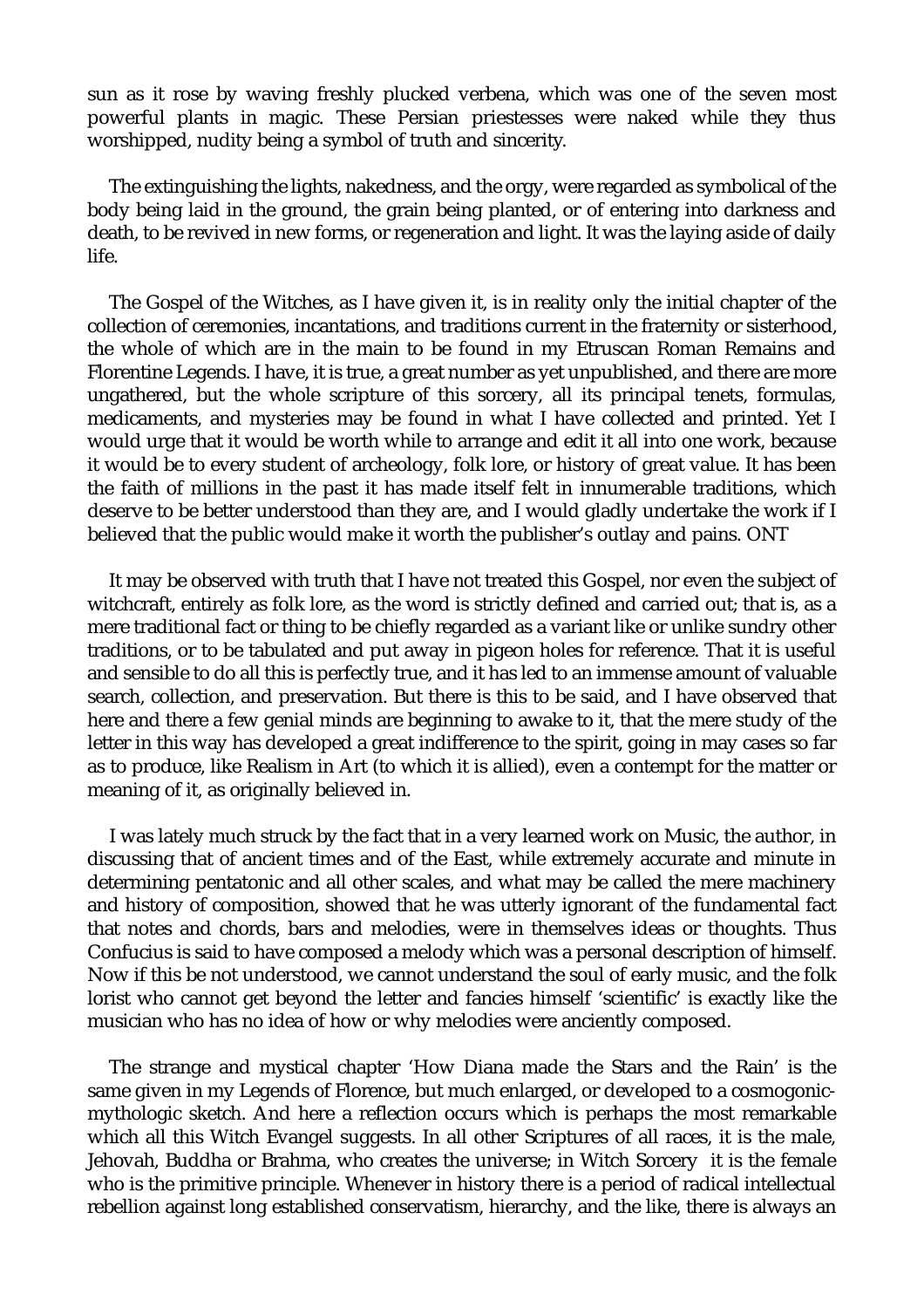sun as it rose by waving freshly plucked verbena, which was one of the seven most powerful plants in magic. These Persian priestesses were naked while they thus worshipped, nudity being a symbol of truth and sincerity.

The extinguishing the lights, nakedness, and the orgy, were regarded as symbolical of the body being laid in the ground, the grain being planted, or of entering into darkness and death, to be revived in new forms, or regeneration and light. It was the laying aside of daily life.

The Gospel of the Witches, as I have given it, is in reality only the initial chapter of the collection of ceremonies, incantations, and traditions current in the fraternity or sisterhood, the whole of which are in the main to be found in my Etruscan Roman Remains and Florentine Legends. I have, it is true, a great number as yet unpublished, and there are more ungathered, but the whole scripture of this sorcery, all its principal tenets, formulas, medicaments, and mysteries may be found in what I have collected and printed. Yet I would urge that it would be worth while to arrange and edit it all into one work, because it would be to every student of archeology, folk lore, or history of great value. It has been the faith of millions in the past it has made itself felt in innumerable traditions, which deserve to be better understood than they are, and I would gladly undertake the work if I believed that the public would make it worth the publisher's outlay and pains. ONT

It may be observed with truth that I have not treated this Gospel, nor even the subject of witchcraft, entirely as folk lore, as the word is strictly defined and carried out; that is, as a mere traditional fact or thing to be chiefly regarded as a variant like or unlike sundry other traditions, or to be tabulated and put away in pigeon holes for reference. That it is useful and sensible to do all this is perfectly true, and it has led to an immense amount of valuable search, collection, and preservation. But there is this to be said, and I have observed that here and there a few genial minds are beginning to awake to it, that the mere study of the letter in this way has developed a great indifference to the spirit, going in may cases so far as to produce, like Realism in Art (to which it is allied), even a contempt for the matter or meaning of it, as originally believed in.

I was lately much struck by the fact that in a very learned work on Music, the author, in discussing that of ancient times and of the East, while extremely accurate and minute in determining pentatonic and all other scales, and what may be called the mere machinery and history of composition, showed that he was utterly ignorant of the fundamental fact that notes and chords, bars and melodies, were in themselves ideas or thoughts. Thus Confucius is said to have composed a melody which was a personal description of himself. Now if this be not understood, we cannot understand the soul of early music, and the folk lorist who cannot get beyond the letter and fancies himself 'scientific' is exactly like the musician who has no idea of how or why melodies were anciently composed.

The strange and mystical chapter 'How Diana made the Stars and the Rain' is the same given in my Legends of Florence, but much enlarged, or developed to a cosmogonicmythologic sketch. And here a reflection occurs which is perhaps the most remarkable which all this Witch Evangel suggests. In all other Scriptures of all races, it is the male, Jehovah, Buddha or Brahma, who creates the universe; in Witch Sorcery it is the female who is the primitive principle. Whenever in history there is a period of radical intellectual rebellion against long established conservatism, hierarchy, and the like, there is always an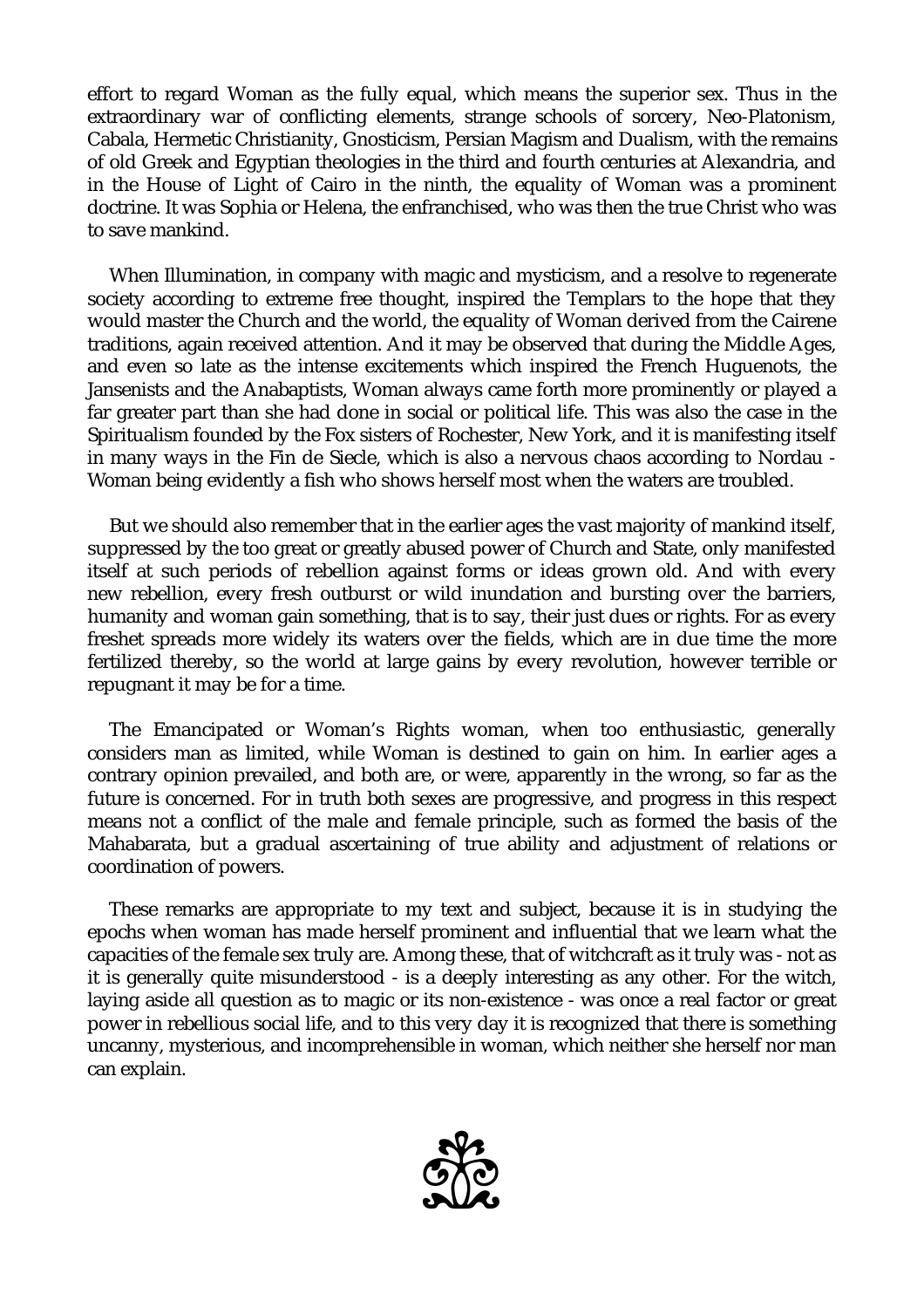effort to regard Woman as the fully equal, which means the superior sex. Thus in the extraordinary war of conflicting elements, strange schools of sorcery, Neo-Platonism, Cabala, Hermetic Christianity, Gnosticism, Persian Magism and Dualism, with the remains of old Greek and Egyptian theologies in the third and fourth centuries at Alexandria, and in the House of Light of Cairo in the ninth, the equality of Woman was a prominent doctrine. It was Sophia or Helena, the enfranchised, who was then the true Christ who was to save mankind.

When Illumination, in company with magic and mysticism, and a resolve to regenerate society according to extreme free thought, inspired the Templars to the hope that they would master the Church and the world, the equality of Woman derived from the Cairene traditions, again received attention. And it may be observed that during the Middle Ages, and even so late as the intense excitements which inspired the French Huguenots, the Jansenists and the Anabaptists, Woman always came forth more prominently or played a far greater part than she had done in social or political life. This was also the case in the Spiritualism founded by the Fox sisters of Rochester, New York, and it is manifesting itself in many ways in the Fin de Siecle, which is also a nervous chaos according to Nordau - Woman being evidently a fish who shows herself most when the waters are troubled.

But we should also remember that in the earlier ages the vast majority of mankind itself, suppressed by the too great or greatly abused power of Church and State, only manifested itself at such periods of rebellion against forms or ideas grown old. And with every new rebellion, every fresh outburst or wild inundation and bursting over the barriers, humanity and woman gain something, that is to say, their just dues or rights. For as every freshet spreads more widely its waters over the fields, which are in due time the more fertilized thereby, so the world at large gains by every revolution, however terrible or repugnant it may be for a time.

The Emancipated or Woman's Rights woman, when too enthusiastic, generally considers man as limited, while Woman is destined to gain on him. In earlier ages a contrary opinion prevailed, and both are, or were, apparently in the wrong, so far as the future is concerned. For in truth both sexes are progressive, and progress in this respect means not a conflict of the male and female principle, such as formed the basis of the Mahabarata, but a gradual ascertaining of true ability and adjustment of relations or coordination of powers.

These remarks are appropriate to my text and subject, because it is in studying the epochs when woman has made herself prominent and influential that we learn what the capacities of the female sex truly are. Among these, that of witchcraft as it truly was - not as it is generally quite misunderstood - is a deeply interesting as any other. For the witch, laying aside all question as to magic or its non-existence - was once a real factor or great power in rebellious social life, and to this very day it is recognized that there is something uncanny, mysterious, and incomprehensible in woman, which neither she herself nor man can explain.

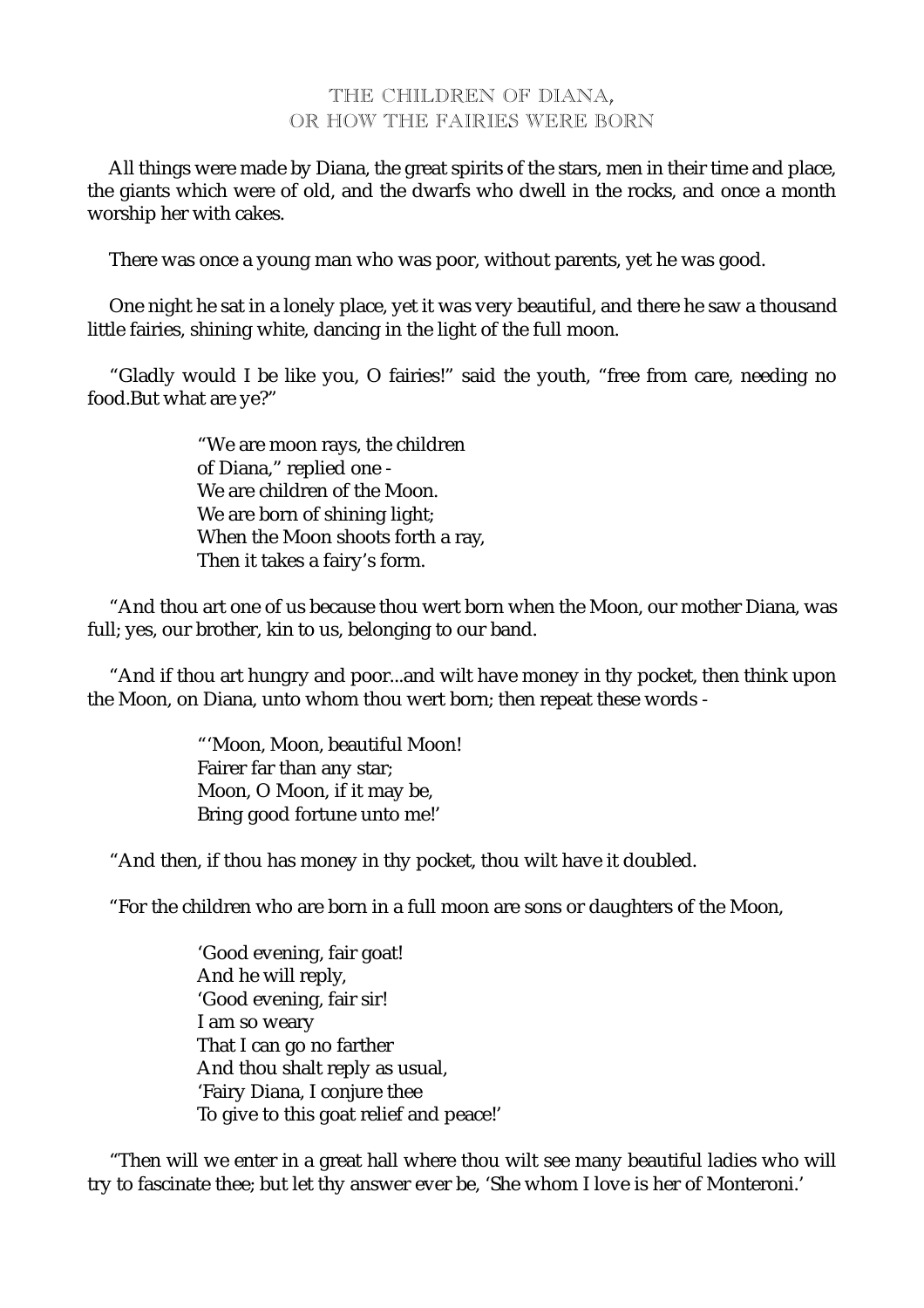### THE CHILDREN OF DIANA, OR HOW THE FAIRIES WERE BORN

All things were made by Diana, the great spirits of the stars, men in their time and place, the giants which were of old, and the dwarfs who dwell in the rocks, and once a month worship her with cakes.

There was once a young man who was poor, without parents, yet he was good.

One night he sat in a lonely place, yet it was very beautiful, and there he saw a thousand little fairies, shining white, dancing in the light of the full moon.

"Gladly would I be like you, O fairies!" said the youth, "free from care, needing no food.But what are ye?"

> "We are moon rays, the children of Diana," replied one - We are children of the Moon. We are born of shining light; When the Moon shoots forth a ray, Then it takes a fairy's form.

"And thou art one of us because thou wert born when the Moon, our mother Diana, was full; yes, our brother, kin to us, belonging to our band.

"And if thou art hungry and poor...and wilt have money in thy pocket, then think upon the Moon, on Diana, unto whom thou wert born; then repeat these words -

> "'Moon, Moon, beautiful Moon! Fairer far than any star; Moon, O Moon, if it may be, Bring good fortune unto me!'

"And then, if thou has money in thy pocket, thou wilt have it doubled.

"For the children who are born in a full moon are sons or daughters of the Moon,

'Good evening, fair goat! And he will reply, 'Good evening, fair sir! I am so weary That I can go no farther And thou shalt reply as usual, 'Fairy Diana, I conjure thee To give to this goat relief and peace!'

"Then will we enter in a great hall where thou wilt see many beautiful ladies who will try to fascinate thee; but let thy answer ever be, 'She whom I love is her of Monteroni.'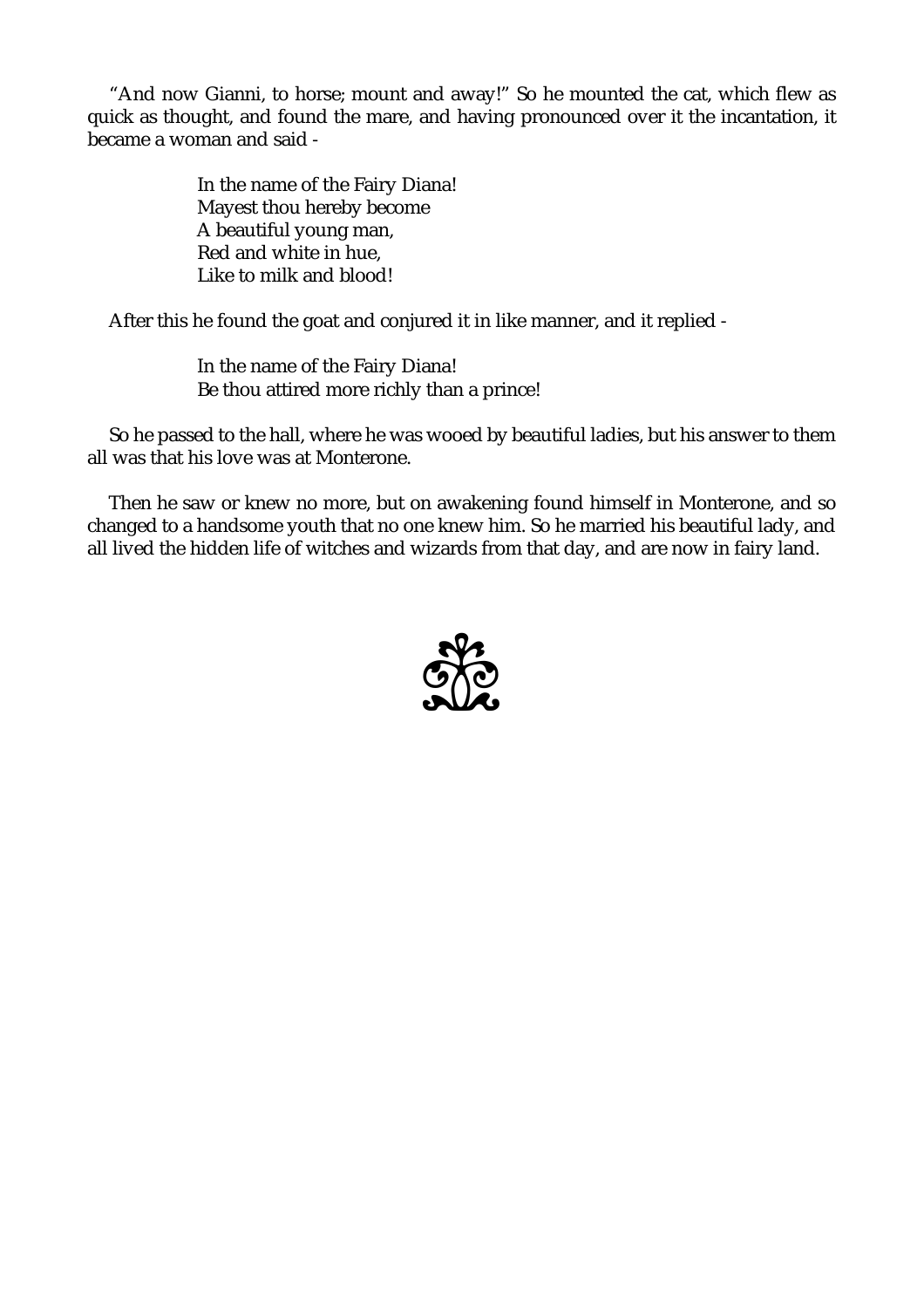"And now Gianni, to horse; mount and away!" So he mounted the cat, which flew as quick as thought, and found the mare, and having pronounced over it the incantation, it became a woman and said -

> In the name of the Fairy Diana! Mayest thou hereby become A beautiful young man, Red and white in hue, Like to milk and blood!

After this he found the goat and conjured it in like manner, and it replied -

In the name of the Fairy Diana! Be thou attired more richly than a prince!

So he passed to the hall, where he was wooed by beautiful ladies, but his answer to them all was that his love was at Monterone.

Then he saw or knew no more, but on awakening found himself in Monterone, and so changed to a handsome youth that no one knew him. So he married his beautiful lady, and all lived the hidden life of witches and wizards from that day, and are now in fairy land.